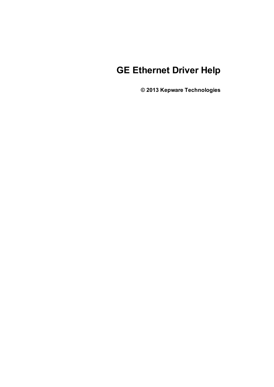# **GE Ethernet Driver Help**

**© 2013 Kepware Technologies**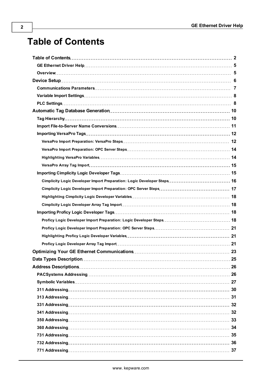# <span id="page-1-0"></span>**Table of Contents**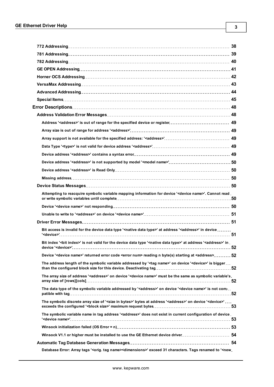| Attempting to reacquire symbolic variable mapping information for device ' <device name="">'. Cannot read.</device>                                         |  |
|-------------------------------------------------------------------------------------------------------------------------------------------------------------|--|
|                                                                                                                                                             |  |
|                                                                                                                                                             |  |
|                                                                                                                                                             |  |
| Bit access is invalid for the device data type ' <native data="" type="">' at address '<address>' in device </address></native>                             |  |
| Bit index '<br>' is not valid for the device data type ' <native data="" type="">' at address '<address>' in</address></native>                             |  |
| Device ' <device name="">' returned error code <error num=""> reading n byte(s) starting at <address> 52</address></error></device>                         |  |
| The address length of the symbolic variable addressed by ' <tag name="">' on device '<device>' is bigger</device></tag>                                     |  |
| The array size of address ' <address>' on device '<device name="">' must be the same as symbolic variable's.</device></address>                             |  |
| The data type of the symbolic variable addressed by ' <address>' on device '<device name="">' is not com-</device></address>                                |  |
| The symbolic discrete array size of ' <size bytes="" in="">' bytes at address '<address>' on device '<device>'</device></address></size>                    |  |
| The symbolic variable name in tag address ' <address>' does not exist in current configuration of device</address>                                          |  |
|                                                                                                                                                             |  |
| Winsock V1.1 or higher must be installed to use the GE Ethernet device driver 54                                                                            |  |
|                                                                                                                                                             |  |
| Database Error: Array tags ' <orig. name="" tag=""><dimensions>' exceed 31 characters. Tags renamed to '<new.< td=""><td></td></new.<></dimensions></orig.> |  |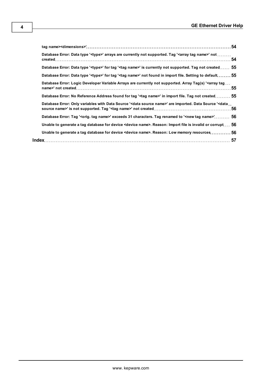| Database Error: Data type ' <type>' arrays are currently not supported. Tag '<array name="" tag="">' not </array></type>                     |  |
|----------------------------------------------------------------------------------------------------------------------------------------------|--|
| Database Error: Data type ' <type>' for tag '<tag name="">' is currently not supported. Tag not created 55</tag></type>                      |  |
| Database Error: Data type ' <type>' for tag '<tag name="">' not found in import file. Setting to default  55</tag></type>                    |  |
| Database Error: Logic Developer Variable Arrays are currently not supported. Array Tag(s) ' <array tag<="" td=""><td></td></array>           |  |
| Database Error: No Reference Address found for tag ' <tag name="">' in import file. Tag not created 55</tag>                                 |  |
| Database Error: Only variables with Data Source ' <data name="" source="">' are imported. Data Source '<data< td=""><td></td></data<></data> |  |
| Database Error: Tag ' <orig. name="" tag="">' exceeds 31 characters. Tag renamed to '<new name="" tag="">' 56</new></orig.>                  |  |
| Unable to generate a tag database for device <device name="">. Reason: Import file is invalid or corrupt 56</device>                         |  |
| Unable to generate a tag database for device <device name="">. Reason: Low memory resources 56</device>                                      |  |
|                                                                                                                                              |  |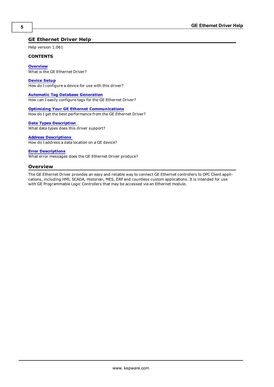## <span id="page-4-0"></span>**GE Ethernet Driver Help**

Help version 1.061

#### **CONTENTS**

**[Overview](#page-4-1)** What is the GE Ethernet Driver?

**[Device](#page-5-0) [Setup](#page-5-0)** How do I configure a device for use with this driver?

**[Automatic](#page-9-0) [Tag](#page-9-0) [Database](#page-9-0) [Generation](#page-9-0)** How can I easily configure tags for the GE Ethernet Driver?

**[Optimizing](#page-22-0) [Your](#page-22-0) [GE](#page-22-0) [Ethernet](#page-22-0) [Communications](#page-22-0)** How do I get the best performance from the GE Ethernet Driver?

**[Data](#page-24-0) [Types](#page-24-0) [Description](#page-24-0)**

What data types does this driver support?

## **[Address](#page-25-0) [Descriptions](#page-25-0)**

How do I address a data location on a GE device?

#### **[Error](#page-47-0) [Descriptions](#page-47-0)**

<span id="page-4-1"></span>What error messages does the GE Ethernet Driver produce?

## **Overview**

The GE Ethernet Driver provides an easy and reliable way to connect GE Ethernet controllers to OPC Client applications, including HMI, SCADA, Historian, MES, ERP and countless custom applications. It is intended for use with GE Programmable Logic Controllers that may be accessed via an Ethernet module.

**5**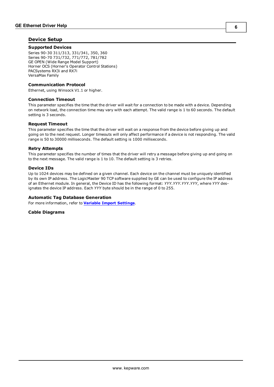## <span id="page-5-0"></span>**Device Setup**

#### **Supported Devices**

Series 90-30 311/313, 331/341, 350, 360 Series 90-70 731/732, 771/772, 781/782 GE OPEN (Wide Range Model Support) Horner OCS (Horner's Operator Control Stations) PACSystems RX3i and RX7i VersaMax Family

#### <span id="page-5-3"></span>**Communication Protocol**

Ethernet, using Winsock V1.1 or higher.

#### <span id="page-5-2"></span>**Connection Timeout**

This parameter specifies the time that the driver will wait for a connection to be made with a device. Depending on network load, the connection time may vary with each attempt. The valid range is 1 to 60 seconds. The default setting is 3 seconds.

#### **Request Timeout**

This parameter specifies the time that the driver will wait on a response from the device before giving up and going on to the next request. Longer timeouts will only affect performance if a device is not responding. The valid range is 50 to 30000 milliseconds. The default setting is 1000 milliseconds.

#### **Retry Attempts**

This parameter specifies the number of times that the driver will retry a message before giving up and going on to the next message. The valid range is 1 to 10. The default setting is 3 retries.

#### <span id="page-5-1"></span>**Device IDs**

Up to 1024 devices may be defined on a given channel. Each device on the channel must be uniquely identified by its own IP address. The LogicMaster 90 TCP software supplied by GE can be used to configure the IP address of an Ethernet module. In general, the Device ID has the following format: *YYY.YYY.YYY.YYY*, where *YYY* designates the device IP address. Each *YYY* byte should be in the range of 0 to 255.

#### **Automatic Tag Database Generation**

For more information, refer to **[Variable](#page-7-0) [Import](#page-7-0) [Settings](#page-7-0)**.

**Cable Diagrams**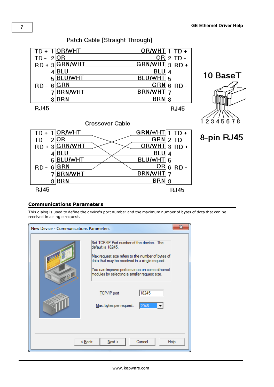

## Patch Cable (Straight Through)

## <span id="page-6-0"></span>**Communications Parameters**

This dialog is used to define the device's port number and the maximum number of bytes of data that can be received in a single request.

| New Device - Communications Parameters |                                                                                                                                                                                                                                                                      |
|----------------------------------------|----------------------------------------------------------------------------------------------------------------------------------------------------------------------------------------------------------------------------------------------------------------------|
|                                        | Set TCP/IP Port number of the device. The<br>default is 18245.<br>Max request size refers to the number of bytes of<br>data that may be received in a single request.<br>You can improve performance on some ethemet<br>modules by selecting a smaller request size. |
|                                        | 18245<br><b>TCP/IP</b> port<br>Max. bytes per request:<br>2048                                                                                                                                                                                                       |
|                                        | Cancel<br>$<$ Back<br>Next<br>Help                                                                                                                                                                                                                                   |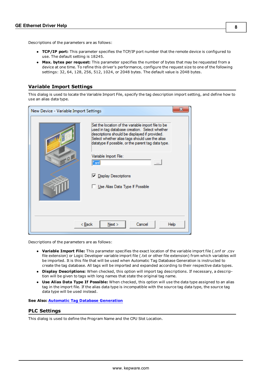**8**

Descriptions of the parameters are as follows:

- **TCP/IP port:** This parameter specifies the TCP/IP port number that the remote device is configured to use. The default setting is 18245.
- **Max. bytes per request:** This parameter specifies the number of bytes that may be requested from a device at one time. To refine this driver's performance, configure the request size to one of the following settings: 32, 64, 128, 256, 512, 1024, or 2048 bytes. The default value is 2048 bytes.

## <span id="page-7-0"></span>**Variable Import Settings**

This dialog is used to locate the Variable Import File, specify the tag description import setting, and define how to use an alias data type.

| New Device - Variable Import Settings | x                                                                                                                                                                                                                                                                                     |
|---------------------------------------|---------------------------------------------------------------------------------------------------------------------------------------------------------------------------------------------------------------------------------------------------------------------------------------|
| Q                                     | Set the location of the variable import file to be<br>used in tag database creation. Select whether<br>descriptions should be displayed if provided.<br>Select whether alias tags should use the alias<br>datatype if possible, or the parent tag data type.<br>Variable Import File: |
|                                       | '.srif<br>$\sim$<br><b>▽</b> Display Descriptions<br>Use Alias Data Type If Possible                                                                                                                                                                                                  |
|                                       | Next<br>Cancel<br>< <u>B</u> ack<br>Help                                                                                                                                                                                                                                              |

Descriptions of the parameters are as follows:

- l **Variable Import File:** This parameter specifies the exact location of the variable import file (.snf or .csv file extension) or Logic Developer variable import file (.txt or other file extension) from which variables will be imported. It is this file that will be used when Automatic Tag Database Generation is instructed to create the tag database. All tags will be imported and expanded according to their respective data types.
- **Display Descriptions:** When checked, this option will import tag descriptions. If necessary, a description will be given to tags with long names that state the original tag name.
- **Use Alias Data Type If Possible:** When checked, this option will use the data type assigned to an alias tag in the import file. If the alias data type is incompatible with the source tag data type, the source tag data type will be used instead.

#### <span id="page-7-1"></span>**See Also: [Automatic](#page-9-0) [Tag](#page-9-0) [Database](#page-9-0) [Generation](#page-9-0)**

## **PLC Settings**

This dialog is used to define the Program Name and the CPU Slot Location.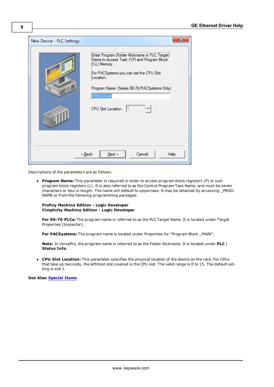| New Device - PLC Settings |                                                                                                                                                                                                                                                                 |
|---------------------------|-----------------------------------------------------------------------------------------------------------------------------------------------------------------------------------------------------------------------------------------------------------------|
| Q                         | Enter Program (Folder Nickname or PLC Target)<br>Name to access Task (%P) and Program Block<br>(%L) Memory.<br>For PACSystems you can set the CPU Slot<br>Location.<br>Program Name: (Series 90-70/PACSystems Only)<br>PROGRAM<br>츾<br>CPU Slot Location:<br>11 |
|                           | Cancel<br>Next<br>< <u>B</u> ack<br>Help                                                                                                                                                                                                                        |

Descriptions of the parameters are as follows:

<span id="page-8-0"></span>**Program Name:** This parameter is required in order to access program block registers (P) or subprogram block registers (L). It is also referred to as the Control Program Task Name, and must be seven characters or less in length. The name will default to uppercase. It may be obtained by accessing \_PROG-NAME or from the following programming packages:

#### **Proficy Machine Edition - Logic Developer Cimplicity Machine Edition - Logic Developer**

**For 90-70 PLCs:** The program name is referred to as the PLC Target Name. It is located under Target Properties (Inspector).

**For PACSystems:** The program name is located under Properties for "Program Block \_MAIN".

**Note:** In VersaPro, the program name is referred to as the Folder Nickname. It is located under **PLC** | **Status Info**.

**CPU Slot Location:** This parameter specifies the physical location of the device on the rack. For CPUs that take up two slots, the leftmost slot covered is the CPU slot. The valid range is 0 to 15. The default setting is slot 1.

**See Also: [Special](#page-44-0) [Items](#page-44-0)**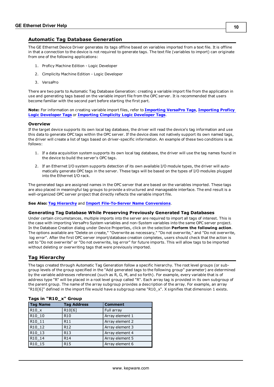## <span id="page-9-0"></span>**Automatic Tag Database Generation**

The GE Ethernet Device Driver generates its tags offline based on variables imported from a text file. It is offline in that a connection to the device is not required to generate tags. The text file (variables to import) can originate from one of the following applications:

- 1. Proficy Machine Edition Logic Developer
- 2. Cimplicity Machine Edition Logic Developer
- 3. VersaPro

There are two parts to Automatic Tag Database Generation: creating a variable import file from the application in use and generating tags based on the variable import file from the OPC server. It is recommended that users become familiar with the second part before starting the first part.

**Note:** For information on creating variable import files, refer to **[Importing](#page-11-0) [VersaPro](#page-11-0) [Tags](#page-11-0)**, **[Importing](#page-17-2) [Proficy](#page-17-2) [Logic](#page-17-2) [Developer](#page-17-2) [Tags](#page-17-2)** or **[Importing](#page-14-1) [Cimplicity](#page-14-1) [Logic](#page-14-1) [Developer](#page-14-1) [Tags](#page-14-1)**.

#### **Overview**

If the target device supports its own local tag database, the driver will read the device's tag information and use this data to generate OPC tags within the OPC server. If the device does not natively support its own named tags, the driver will create a list of tags based on driver-specific information. An example of these two conditions is as follows:

- 1. If a data acquisition system supports its own local tag database, the driver will use the tag names found in the device to build the server's OPC tags.
- 2. If an Ethernet I/O system supports detection of its own available I/O module types, the driver will automatically generate OPC tags in the server. These tags will be based on the types of I/O modules plugged into the Ethernet I/O rack.

The generated tags are assigned names in the OPC server that are based on the variables imported. These tags are also placed in meaningful tag groups to provide a structured and manageable interface. The end result is a well-organized OPC server project that directly reflects the variable import file.

#### **See Also: [Tag](#page-9-1) [Hierarchy](#page-9-1)** and **[Import](#page-10-0) [File-To-Server](#page-10-0) [Name](#page-10-0) [Conversions](#page-10-0)**.

#### **Generating Tag Database While Preserving Previously Generated Tag Databases**

Under certain circumstances, multiple imports into the server are required to import all tags of interest. This is the case with importing VersaPro System variables and non-System variables into the same OPC server project. In the Database Creation dialog under Device Properties, click on the selection **Perform the following action**. The options available are "Delete on create," "Overwrite as necessary," "Do not overwrite," and "Do not overwrite, log error". After the first OPC server import/database creation completes, users should check that the action is set to "Do not overwrite" or "Do not overwrite, log error" for future imports. This will allow tags to be imported without deleting or overwriting tags that were previously imported.

## <span id="page-9-1"></span>**Tag Hierarchy**

The tags created through Automatic Tag Generation follow a specific hierarchy. The root level groups (or subgroup levels of the group specified in the "Add generated tags to the following group" parameter) are determined by the variable addresses referenced (such as R, G, M, and so forth). For example, every variable that is of address type "R" will be placed in a root level group called "R". Each array tag is provided in its own subgroup of the parent group. The name of the array subgroup provides a description of the array. For example, an array "R10[6]" defined in the import file would have a subgroup name "R10\_x". X signifies that dimension 1 exists.

| <b>Tag Name</b>    | <b>Tag Address</b> | <b>Comment</b>  |
|--------------------|--------------------|-----------------|
| R10 x              | R10[6]             | Full array      |
| R10 10             | R <sub>10</sub>    | Array element 1 |
| R10 11             | R11                | Array element 2 |
| R10 12             | R <sub>12</sub>    | Array element 3 |
| R10 13             | R <sub>13</sub>    | Array element 4 |
| R10 14             | R14                | Array element 5 |
| R <sub>10</sub> 15 | R <sub>15</sub>    | Array element 6 |

#### **Tags in "R10\_x" Group**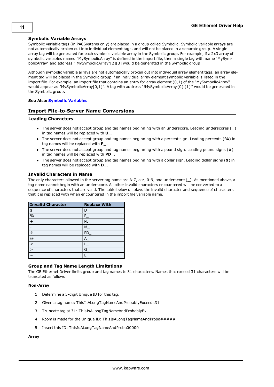## **Symbolic Variable Arrays**

Symbolic variable tags (in PACSystems only) are placed in a group called Symbolic. Symbolic variable arrays are not automatically broken out into individual element tags, and will not be placed in a separate group. A single array tag will be generated for each symbolic variable array in the Symbolic group. For example, if a 2x3 array of symbolic variables named "MySymbolicArray" is defined in the import file, then a single tag with name "MySymbolicArray" and address "!MySymbolicArray"[2][3] would be generated in the Symbolic group.

Although symbolic variable arrays are not automatically broken out into individual array element tags, an array element tag will be placed in the Symbolic group if an individual array element symbolic variable is listed in the import file. For example, an import file that contains an entry for array element (0,1) of the "MySymbolicArray" would appear as "MySymbolicArray[0,1]". A tag with address "!MySymbolicArray{0}{1}" would be generated in the Symbolic group.

## <span id="page-10-0"></span>**See Also: [Symbolic](#page-26-0) [Variables](#page-26-0)**

## **Import File-to-Server Name Conversions**

#### **Leading Characters**

- **I** The server does not accept group and tag names beginning with an underscore. Leading underscores  $\Box$ in tag names will be replaced with **U\_**.
- **•** The server does not accept group and tag names beginning with a percent sign. Leading percents (%) in tag names will be replaced with **P\_**.
- The server does not accept group and tag names beginning with a pound sign. Leading pound signs (#) in tag names will be replaced with **PD\_**.
- l The server does not accept group and tag names beginning with a dollar sign. Leading dollar signs (**\$**) in tag names will be replaced with **D\_**.

#### **Invalid Characters in Name**

The only characters allowed in the server tag name are A-Z, a-z, 0-9, and underscore (\_). As mentioned above, a tag name cannot begin with an underscore. All other invalid characters encountered will be converted to a sequence of characters that are valid. The table below displays the invalid character and sequence of characters that it is replaced with when encountered in the import file variable name.

| <b>Invalid Character</b> | <b>Replace With</b> |
|--------------------------|---------------------|
| $\pmb{\mathfrak{\$}}$    | г                   |
| $\frac{0}{0}$            | P                   |
| $\ddot{}$                | P                   |
|                          | N                   |
| #                        | <b>PD</b>           |
| @                        |                     |
|                          |                     |
| $\rightarrow$            | G                   |
|                          | E                   |

#### **Group and Tag Name Length Limitations**

The GE Ethernet Driver limits group and tag names to 31 characters. Names that exceed 31 characters will be truncated as follows:

#### **Non-Array**

- 1. Determine a 5-digit Unique ID for this tag.
- 2. Given a tag name: ThisIsALongTagNameAndProbablyExceeds31
- 3. Truncate tag at 31: ThisIsALongTagNameAndProbablyEx
- 4. Room is made for the Unique ID: ThisIsALongTagNameAndProba#####
- 5. Insert this ID: ThisIsALongTagNameAndProba00000

## **Array**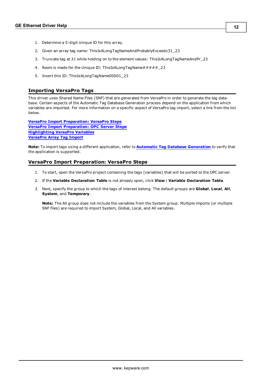- 1. Determine a 5-digit Unique ID for this array.
- 2. Given an array tag name: ThisIsALongTagNameAndProbablyExceeds31\_23
- 3. Truncate tag at 31 while holding on to the element values: ThisIsALongTagNameAndPr\_23
- 4. Room is made for the Unique ID: ThisIsALongTagName##### 23
- 5. Insert this ID: ThisIsALongTagName00001\_23

#### <span id="page-11-0"></span>**Importing VersaPro Tags**

This driver uses Shared Name Files (SNF) that are generated from VersaPro in order to generate the tag database. Certain aspects of the Automatic Tag Database Generation process depend on the application from which variables are imported. For more information on a specific aspect of VersaPro tag import, select a link from the list below.

**[VersaPro](#page-11-1) [Import](#page-11-1) [Preparation:](#page-11-1) [VersaPro](#page-11-1) [Steps](#page-11-1) [VersaPro](#page-13-0) [Import](#page-13-0) [Preparation:](#page-13-0) [OPC](#page-13-0) [Server](#page-13-0) [Steps](#page-13-0) [Highlighting](#page-13-1) [VersaPro](#page-13-1) [Variables](#page-13-1) [VersaPro](#page-14-0) [Array](#page-14-0) [Tag](#page-14-0) [Import](#page-14-0)**

**Note:** To import tags using a different application, refer to **[Automatic](#page-9-0) [Tag](#page-9-0) [Database](#page-9-0) [Generation](#page-9-0)** to verify that the application is supported.

#### <span id="page-11-1"></span>**VersaPro Import Preparation: VersaPro Steps**

- 1. To start, open the VersaPro project containing the tags (variables) that will be ported to the OPC server.
- 2. If the **Variable Declaration Table** is not already open, click **View** | **Variable Declaration Table**.
- 3. Next, specify the group to which the tags of interest belong. The default groups are **Global**, **Local**, **All**, **System**, and **Temporary**.

**Note:** The All group does not include the variables from the System group. Multiple imports (or multiple SNF files) are required to import System, Global, Local, and All variables.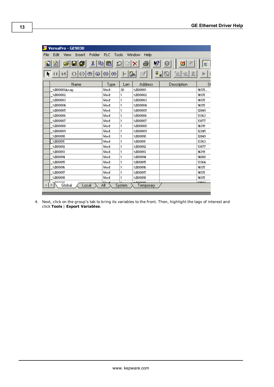| VersaPro - GE9030                            |            |        |                     |             |       |
|----------------------------------------------|------------|--------|---------------------|-------------|-------|
| Folder<br>File<br>Edit<br>View<br>Insert     | PLC:       | Tools  | Window<br>Help      |             |       |
| y,<br>₫<br>n.                                | 昀<br>亀     |        |                     |             |       |
| $1$<br>$\left(\downarrow\right)$<br>$\omega$ | (S)<br>(R) |        | $\overline{a}$<br>瑜 | 恒<br>迴<br>Ð |       |
| Name                                         | Type       | Len    | <b>Address</b>      | Description | SI    |
| XR00001Array                                 | Word       | 30     | ×R00001             |             | 14135 |
| ×R00002                                      | Word       |        | $\times$ R00002     |             | 14135 |
| XR00003                                      | Word       | 1      | $\times$ R00003     |             | 14135 |
| $\times$ R00004                              | Word       |        | $\times$ R00004     |             | 14135 |
| ×R00005                                      | Word       |        | $\times$ R00005     |             | 12849 |
| ×R00006                                      | Word       |        | ×R00006             |             | 13363 |
| $\times$ R00007                              | Word       | 1      | $\times$ R00007     |             | 13877 |
| $\times$ R00008                              | Word       |        | ×R00008             |             | 14391 |
| ×R00009                                      | Word       | 1      | $\times$ R00009     |             | 12345 |
| ×R00010                                      | Word       | 1      | XR00010             |             | 12849 |
| $\times$ R00011                              | Word       | 1      | $\times$ R00011     |             | 13363 |
| ×R00012                                      | Word       | 1      | ×R00012             |             | 13877 |
| ×R00013                                      | Word       | 1      | ×R00013             |             | 14391 |
| ×R00014                                      | Word       | 1      | ×R00014             |             | 14080 |
| ×R00015                                      | Word       | 1      | ×R00015             |             | 13364 |
| ×R00016                                      | Word       | 1      | ×R00016             |             | 14135 |
| ×R00017                                      | Word       | 1      | $\times$ R00017     |             | 14135 |
| ×R00018                                      | Word       | 1      | $\times$ R00018     |             | 14135 |
| 200010<br>Global                             | ÄΙ         |        | متمممته             |             | 10500 |
| Local                                        |            | System | Temporary           |             |       |
|                                              |            |        |                     |             |       |

4. Next, click on the group's tab to bring its variables to the front. Then, highlight the tags of interest and click **Tools** | **Export Variables**.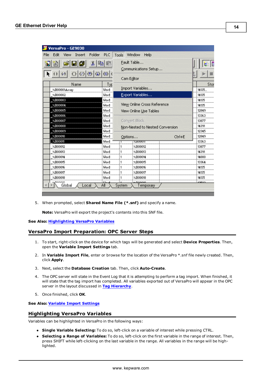| VersaPro - GE9030                        |                       |                        |                                 |        |        |
|------------------------------------------|-----------------------|------------------------|---------------------------------|--------|--------|
| Folder<br>Edit<br>File<br>Insert<br>View | <b>PLC</b>            | Tools                  | <b>Window</b><br>Help           |        |        |
| y,<br>₫<br>H                             | 嚕                     |                        | Fault Table                     |        |        |
|                                          |                       |                        | Communications Setup            |        |        |
| $\omega$ $\omega$ $\vert$<br>$\omega$    | $\bigcirc$ $\bigcirc$ |                        |                                 |        |        |
|                                          |                       |                        | Cam Editor                      |        |        |
| Name                                     | Typ                   |                        |                                 |        | Sto    |
| %R00001Array                             | Word                  |                        | Import Variables                |        | 14135. |
| ×R00002                                  | Word                  |                        | Export Variables                |        | 14135  |
| ×R00003                                  | Word                  |                        |                                 |        | 14135  |
| $\times$ R00004                          | Word                  |                        | View Online Cross Reference     |        | 14135  |
| $\times$ R00005                          | Word                  | View Online Use Tables | 12849                           |        |        |
| $\times$ R00006                          | Word                  |                        |                                 |        |        |
| ×R00007                                  | Word                  |                        | Convert Block                   |        | 13877  |
| $\times$ R00008                          | Word                  |                        | Non-Nested to Nested Conversion |        | 14391  |
| $\times$ R00009                          | Word                  |                        |                                 |        | 12345  |
| $\times$ R00010                          | Word                  |                        | Options                         | Ctrl+E | 12849  |
| $\times$ R00011                          | Word                  |                        | ZKUUUH                          |        | 13363  |
| $\times$ R00012                          | Word                  | 1                      | ×R00012                         |        | 13877  |
| ×R00013                                  | Word                  | 1                      | ×R00013                         |        | 14391  |
| $\times$ R00014                          | Word                  | 1                      | $\times$ R00014                 |        | 14080  |
| ×R00015                                  | Word                  | 1                      | $\times$ R00015                 |        | 13364  |
| $\times$ R00016                          | Word                  |                        | ×R00016                         |        | 14135  |
| ×R00017                                  | Word                  | 1                      | $\times$ R00017                 |        | 14135  |
| $\times$ R00018                          | Word                  |                        | $\times$ R00018                 |        | 14135  |
| noooso<br>Global<br>Local                | Αll                   | System                 | <b>MD00010</b><br>Temporary     |        | 10500  |
|                                          |                       |                        |                                 |        |        |

5. When prompted, select **Shared Name File (\*.snf)** and specify a name.

**Note:** VersaPro will export the project's contents into this SNF file.

#### <span id="page-13-0"></span>**See Also: [Highlighting](#page-13-1) [VersaPro](#page-13-1) [Variables](#page-13-1)**

## **VersaPro Import Preparation: OPC Server Steps**

- 1. To start, right-click on the device for which tags will be generated and select **Device Properties**. Then, open the **Variable Import Settings** tab.
- 2. In **Variable Import File**, enter or browse for the location of the VersaPro \*.snf file newly created. Then, click **Apply**.
- 3. Next, select the **Database Creation** tab. Then, click **Auto-Create**.
- 4. The OPC server will state in the Event Log that it is attempting to perform a tag import. When finished, it will state that the tag import has completed. All variables exported out of VersaPro will appear in the OPC server in the layout discussed in **[Tag](#page-9-1) [Hierarchy](#page-9-1)**.
- 5. Once finished, click **OK**.

## <span id="page-13-1"></span>**See Also: [Variable](#page-7-0) [Import](#page-7-0) [Settings](#page-7-0)**

## **Highlighting VersaPro Variables**

Variables can be highlighted in VersaPro in the following ways:

- **Single Variable Selecting:** To do so, left-click on a variable of interest while pressing CTRL.
- l **Selecting a Range of Variables:** To do so, left-click on the first variable in the range of interest. Then, press SHIFT while left-clicking on the last variable in the range. All variables in the range will be highlighted.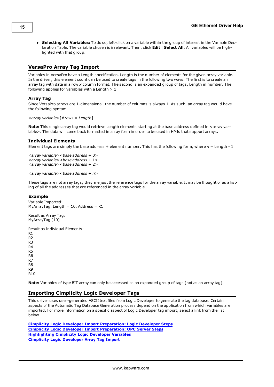l **Selecting All Variables:** To do so, left-click on a variable within the group of interest in the Variable Declaration Table. The variable chosen is irrelevant. Then, click **Edit** | **Select All**. All variables will be highlighted with that group.

## <span id="page-14-0"></span>**VersaPro Array Tag Import**

Variables in VersaPro have a Length specification. Length is the number of elements for the given array variable. In the driver, this element count can be used to create tags in the following two ways. The first is to create an array tag with data in a row *x* column format. The second is an expanded group of tags, Length in number. The following applies for variables with a Length  $> 1$ .

#### **Array Tag**

Since VersaPro arrays are 1-dimensional, the number of columns is always 1. As such, an array tag would have the following syntax:

```
<array variable>[#rows = Length]
```
**Note:** This single array tag would retrieve Length elements starting at the base address defined in <array variable>. The data will come back formatted in array form in order to be used in HMIs that support arrays.

#### **Individual Elements**

Element tags are simply the base address + element number. This has the following form, where  $n =$  Length - 1.

```
<array variable><base address + 0>
<array variable><base address + 1>
<array variable><base address + 2>
...
<array variable><base address + n>
```
These tags are not array tags; they are just the reference tags for the array variable. It may be thought of as a listing of all the addresses that are referenced in the array variable.

#### **Example**

Variable Imported: MyArrayTag, Length =  $10$ , Address = R1

Result as Array Tag: MyArrayTag [10]

Result as Individual Elements:

```
R1
R<sub>2</sub>
R3
R4
R5
R6
R7
R8
R9
R10
```
<span id="page-14-1"></span>**Note:** Variables of type BIT array can only be accessed as an expanded group of tags (not as an array tag).

## **Importing Cimplicity Logic Developer Tags**

This driver uses user-generated ASCII text files from Logic Developer to generate the tag database. Certain aspects of the Automatic Tag Database Generation process depend on the application from which variables are imported. For more information on a specific aspect of Logic Developer tag import, select a link from the list below.

**[Cimplicity](#page-15-0) [Logic](#page-15-0) [Developer](#page-15-0) [Import](#page-15-0) [Preparation:](#page-15-0) [Logic](#page-15-0) [Developer](#page-15-0) [Steps](#page-15-0) [Cimplicity](#page-16-0) [Logic](#page-16-0) [Developer](#page-16-0) [Import](#page-16-0) [Preparation:](#page-16-0) [OPC](#page-16-0) [Server](#page-16-0) [Steps](#page-16-0) [Highlighting](#page-17-0) [Cimplicity](#page-17-0) [Logic](#page-17-0) [Developer](#page-17-0) [Variables](#page-17-0) [Cimplicity](#page-17-1) [Logic](#page-17-1) [Developer](#page-17-1) [Array](#page-17-1) [Tag](#page-17-1) [Import](#page-17-1)**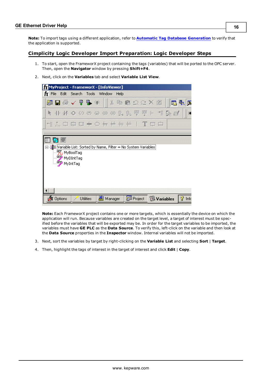**Note:** To import tags using a different application, refer to **[Automatic](#page-9-0) [Tag](#page-9-0) [Database](#page-9-0) [Generation](#page-9-0)** to verify that the application is supported.

## <span id="page-15-0"></span>**Cimplicity Logic Developer Import Preparation: Logic Developer Steps**

1. To start, open the FrameworX project containing the tags (variables) that will be ported to the OPC server. Then, open the **Navigator** window by pressing **Shift+F4**.





**Note:** Each FrameworX project contains one or more targets, which is essentially the device on which the application will run. Because variables are created on the target level, a target of interest must be specified before the variables that will be exported may be. In order for the target variables to be imported, the variables must have **GE PLC** as the **Data Source**. To verify this, left-click on the variable and then look at the **Data Source** properties in the **Inspector** window. Internal variables will not be imported.

- 3. Next, sort the variables by target by right-clicking on the **Variable List** and selecting **Sort** | **Target**.
- 4. Then, highlight the tags of interest in the target of interest and click **Edit** | **Copy**.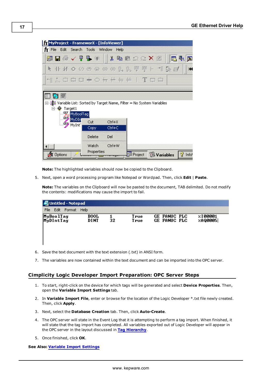| [MMyProject - FrameworX - [InfoViewer]]                                              |                      |     |        |        |      |  |  |  |  |
|--------------------------------------------------------------------------------------|----------------------|-----|--------|--------|------|--|--|--|--|
| fy File Edit Search Tools Window                                                     |                      |     |        |        | Help |  |  |  |  |
|                                                                                      |                      |     |        |        |      |  |  |  |  |
| ◆ 十米 ◆ ◇ ※ ※ ※ ※ \$ ↓ 架 吧 中 ← 情 @ 画                                                  |                      |     |        |        |      |  |  |  |  |
| *** 而中国中心开开开井   T 中国                                                                 |                      |     |        |        |      |  |  |  |  |
|                                                                                      |                      |     |        |        |      |  |  |  |  |
| 瀏≣ Variable List: Sorted by Target Name, Filter = No System Variables<br>⊟…⊙ Target1 | <b>For MyBoolTag</b> |     |        |        |      |  |  |  |  |
|                                                                                      | <b>GEP</b> MyDIN     | Cut |        | Ctrl+X |      |  |  |  |  |
|                                                                                      | <b>GED</b> MyInt     |     | Copy   | Ctrl+C |      |  |  |  |  |
|                                                                                      |                      |     | Delete | Del    |      |  |  |  |  |

**Note:** The highlighted variables should now be copied to the Clipboard.

5. Next, open a word processing program like Notepad or Wordpad. Then, click **Edit** | **Paste**.

**Note:** The variables on the Clipboard will now be pasted to the document, TAB delimited. Do not modify the contents: modifications may cause the import to fail.

B Project

**B**Variables

Ÿ Info<sup>1</sup>

| <b>Untitled - Notepad</b> |                     |    |              |  |                                            |  |                          |  |  |
|---------------------------|---------------------|----|--------------|--|--------------------------------------------|--|--------------------------|--|--|
| Fdit<br>'File<br>Format   | Help                |    |              |  |                                            |  |                          |  |  |
| MyBoolTag<br>MyDIntTag    | <b>BOOL</b><br>DINT | 32 | True<br>True |  | <b>GE FANUC PLC</b><br><b>GE FANUC PLC</b> |  | 90001<br><b>ZAQ00051</b> |  |  |

- 6. Save the text document with the text extension (.txt) in ANSI form.
- 7. The variables are now contained within the text document and can be imported into the OPC server.

## <span id="page-16-0"></span>**Cimplicity Logic Developer Import Preparation: OPC Server Steps**

- 1. To start, right-click on the device for which tags will be generated and select **Device Properties**. Then, open the **Variable Import Settings** tab.
- 2. In **Variable Import File**, enter or browse for the location of the Logic Developer \*.txt file newly created. Then, click **Apply**.
- 3. Next, select the **Database Creation** tab. Then, click **Auto-Create**.
- 4. The OPC server will state in the Event Log that it is attempting to perform a tag import. When finished, it will state that the tag import has completed. All variables exported out of Logic Developer will appear in the OPC server in the layout discussed in **[Tag](#page-9-1) [Hierarchy](#page-9-1)**.
- 5. Once finished, click **OK**.

**X** Options

**See Also: [Variable](#page-7-0) [Import](#page-7-0) [Settings](#page-7-0)**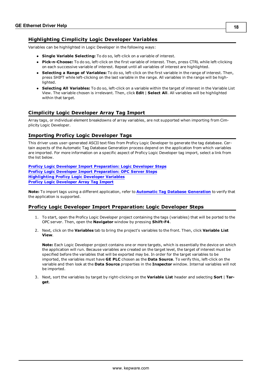## <span id="page-17-0"></span>**Highlighting Cimplicity Logic Developer Variables**

Variables can be highlighted in Logic Developer in the following ways:

- **Single Variable Selecting:** To do so, left-click on a variable of interest.
- **Pick-n-Choose:** To do so, left-click on the first variable of interest. Then, press CTRL while left-clicking on each successive variable of interest. Repeat until all variables of interest are highlighted.
- l **Selecting a Range of Variables:** To do so, left-click on the first variable in the range of interest. Then, press SHIFT while left-clicking on the last variable in the range. All variables in the range will be highlighted.
- l **Selecting All Variables:** To do so, left-click on a variable within the target of interest in the Variable List View. The variable chosen is irrelevant. Then, click **Edit** | **Select All**. All variables will be highlighted within that target.

## <span id="page-17-1"></span>**Cimplicity Logic Developer Array Tag Import**

Array tags, or individual element breakdowns of array variables, are not supported when importing from Cimplicity Logic Developer.

## <span id="page-17-2"></span>**Importing Proficy Logic Developer Tags**

This driver uses user-generated ASCII text files from Proficy Logic Developer to generate the tag database. Certain aspects of the Automatic Tag Database Generation process depend on the application from which variables are imported. For more information on a specific aspect of Proficy Logic Developer tag import, select a link from the list below.

**[Proficy](#page-17-3) [Logic](#page-17-3) [Developer](#page-17-3) [Import](#page-17-3) [Preparation:](#page-17-3) [Logic](#page-17-3) [Developer](#page-17-3) [Steps](#page-17-3) [Proficy](#page-20-0) [Logic](#page-20-0) [Developer](#page-20-0) [Import](#page-20-0) [Preparation:](#page-20-0) [OPC](#page-20-0) [Server](#page-20-0) [Steps](#page-20-0) [Highlighting](#page-20-1) [Proficy](#page-20-1) [Logic](#page-20-1) [Developer](#page-20-1) [Variables](#page-20-1) [Proficy](#page-20-2) [Logic](#page-20-2) [Developer](#page-20-2) [Array](#page-20-2) [Tag](#page-20-2) [Import](#page-20-2)**

**Note:** To import tags using a different application, refer to **[Automatic](#page-9-0) [Tag](#page-9-0) [Database](#page-9-0) [Generation](#page-9-0)** to verify that the application is supported.

## <span id="page-17-3"></span>**Proficy Logic Developer Import Preparation: Logic Developer Steps**

- 1. To start, open the Proficy Logic Developer project containing the tags (variables) that will be ported to the OPC server. Then, open the **Navigator** window by pressing **Shift-F4**.
- 2. Next, click on the **Variables** tab to bring the project's variables to the front. Then, click **Variable List View**.

**Note:** Each Logic Developer project contains one or more targets, which is essentially the device on which the application will run. Because variables are created on the target level, the target of interest must be specified before the variables that will be exported may be. In order for the target variables to be imported, the variables must have **GE PLC** chosen as the **Data Source**. To verify this, left-click on the variable and then look at the **Data Source** properties in the **Inspector** window. Internal variables will not be imported.

3. Next, sort the variables by target by right-clicking on the **Variable List** header and selecting **Sort** | **Target**.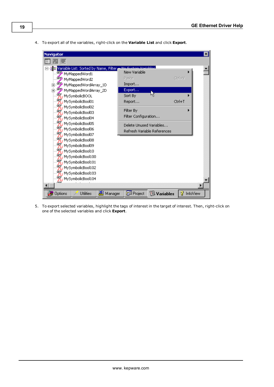4. To export all of the variables, right-click on the **Variable List** and click **Export**.



5. To export selected variables, highlight the tags of interest in the target of interest. Then, right-click on one of the selected variables and click **Export**.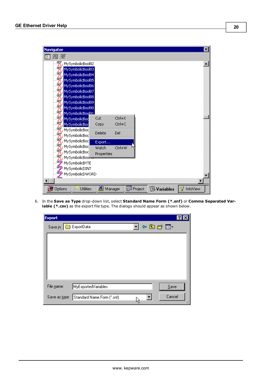| <b>Navigator</b>                            |            |        |                |                    | $\mathbf{x}$  |
|---------------------------------------------|------------|--------|----------------|--------------------|---------------|
| EL.<br>E.                                   |            |        |                |                    |               |
| Fig. MySymbolicBool82                       |            |        |                |                    |               |
| 甄<br>MySymbolicBool83                       |            |        |                |                    |               |
| <b>FF</b> MySymbolicBool84                  |            |        |                |                    |               |
| <b>FF</b> MySymbolicBool85                  |            |        |                |                    |               |
| 甄<br>MySymbolicBool86                       |            |        |                |                    |               |
| 甄<br>MySymbolicBool87                       |            |        |                |                    |               |
| 甄<br>MySymbolicBool88                       |            |        |                |                    |               |
| <b>ERENE</b><br>MySymbolicBool89            |            |        |                |                    |               |
| MySymbolicBool90                            |            |        |                |                    |               |
| MySymbolicBool91                            |            |        |                |                    |               |
| 甄<br>MySymbolicBod                          | Cut        | Ctrl+X |                |                    |               |
| 氈<br>MySymbolicBoc                          | Copy       | Ctrl+C |                |                    |               |
| 罚<br>MySymbolicBod                          | Delete     | Del    |                |                    |               |
| Fi MySymbolicBod                            |            |        |                |                    |               |
| Fig. MySymbolicBod                          | Export     |        |                |                    |               |
| <b>FL</b> MySymbolicBod                     | Watch      | Ctrl+W |                |                    |               |
| <b>FL</b> MySymbolicBod                     | Properties |        |                |                    |               |
| <mark>"片</mark> MySymbolicBoo <del>r)</del> |            |        |                |                    |               |
| <b>FR</b> MySymbolicBYTE                    |            |        |                |                    |               |
| . <b>ŒB</b> MySymbolicDINT                  |            |        |                |                    |               |
| ፺<br>MySymbolicDWORD                        |            |        |                |                    |               |
|                                             |            |        |                |                    |               |
| Options<br>Utilities                        | 息 Manager  |        | <b>Project</b> | <b>B</b> Variables | InfoView<br>Ÿ |

6. In the **Save as Type** drop-down list, select **Standard Name Form (\*.snf)** or **Comma Separated Variable (\*.csv)** as the export file type. The dialogs should appear as shown below.

| <b>Export</b>       |                            |          |        |
|---------------------|----------------------------|----------|--------|
| Save in: ExportData |                            | 「や白び風・   |        |
|                     |                            |          |        |
|                     |                            |          |        |
|                     |                            |          |        |
|                     |                            |          |        |
|                     |                            |          |        |
| File name:          | MyExportedVariables        |          | Save   |
| Save as type:       |                            |          | Cancel |
|                     | Standard Name Form (".snf) | Y.<br>٣ļ |        |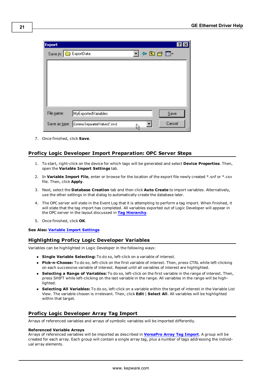

7. Once finished, click **Save**.

## <span id="page-20-0"></span>**Proficy Logic Developer Import Preparation: OPC Server Steps**

- 1. To start, right-click on the device for which tags will be generated and select **Device Properties**. Then, open the **Variable Import Settings** tab.
- 2. In **Variable Import File**, enter or browse for the location of the export file newly created \*.snf or \*.csv file. Then, click **Apply**.
- 3. Next, select the **Database Creation** tab and then click **Auto Create** to import variables. Alternatively, use the other settings in that dialog to automatically create the database later.
- 4. The OPC server will state in the Event Log that it is attempting to perform a tag import. When finished, it will state that the tag import has completed. All variables exported out of Logic Developer will appear in the OPC server in the layout discussed in **[Tag](#page-9-1) [Hierarchy](#page-9-1)**.
- 5. Once finished, click **OK**.

## <span id="page-20-1"></span>**See Also: [Variable](#page-7-0) [Import](#page-7-0) [Settings](#page-7-0)**

## **Highlighting Proficy Logic Developer Variables**

Variables can be highlighted in Logic Developer in the following ways:

- **Single Variable Selecting:** To do so, left-click on a variable of interest.
- **Pick-n-Choose:** To do so, left-click on the first variable of interest. Then, press CTRL while left-clicking on each successive variable of interest. Repeat until all variables of interest are highlighted.
- l **Selecting a Range of Variables:** To do so, left-click on the first variable in the range of interest. Then, press SHIFT while left-clicking on the last variable in the range. All variables in the range will be highlighted.
- l **Selecting All Variables:** To do so, left-click on a variable within the target of interest in the Variable List View. The variable chosen is irrelevant. Then, click **Edit** | **Select All**. All variables will be highlighted within that target.

## <span id="page-20-2"></span>**Proficy Logic Developer Array Tag Import**

Arrays of referenced variables and arrays of symbolic variables will be imported differently.

#### **Referenced Variable Arrays**

Arrays of referenced variables will be imported as described in **[VersaPro](#page-14-0) [Array](#page-14-0) [Tag](#page-14-0) [Import](#page-14-0)**. A group will be created for each array. Each group will contain a single array tag, plus a number of tags addressing the individual array elements.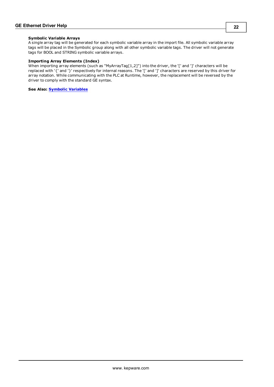#### **Symbolic Variable Arrays**

A single array tag will be generated for each symbolic variable array in the import file. All symbolic variable array tags will be placed in the Symbolic group along with all other symbolic variable tags. The driver will not generate tags for BOOL and STRING symbolic variable arrays.

#### **Importing Array Elements (Index)**

When importing array elements (such as "MyArrayTag[1,2]") into the driver, the '[' and ']' characters will be replaced with '{' and '}' respectively for internal reasons. The '[' and ']' characters are reserved by this driver for array notation. While communicating with the PLC at Runtime, however, the replacement will be reversed by the driver to comply with the standard GE syntax.

**See Also: [Symbolic](#page-26-0) [Variables](#page-26-0)**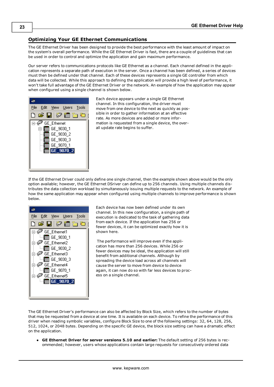## <span id="page-22-0"></span>**Optimizing Your GE Ethernet Communications**

The GE Ethernet Driver has been designed to provide the best performance with the least amount of impact on the system's overall performance. While the GE Ethernet Driver is fast, there are a couple of guidelines that can be used in order to control and optimize the application and gain maximum performance.

Our server refers to communications protocols like GE Ethernet as a channel. Each channel defined in the application represents a separate path of execution in the server. Once a channel has been defined, a series of devices must then be defined under that channel. Each of these devices represents a single GE controller from which data will be collected. While this approach to defining the application will provide a high level of performance, it won't take full advantage of the GE Ethernet Driver or the network. An example of how the application may appear when configured using a single channel is shown below.



Each device appears under a single GE Ethernet channel. In this configuration, the driver must move from one device to the next as quickly as possible in order to gather information at an effective rate. As more devices are added or more information is requested from a single device, the overall update rate begins to suffer.

If the GE Ethernet Driver could only define one single channel, then the example shown above would be the only option available; however, the GE Ethernet DSriver can define up to 256 channels. Using multiple channels distributes the data collection workload by simultaneously issuing multiple requests to the network. An example of how the same application may appear when configured using multiple channels to improve performance is shown below.



Each device has now been defined under its own channel. In this new configuration, a single path of execution is dedicated to the task of gathering data from each device. If the application has 256 or fewer devices, it can be optimized exactly how it is shown here.

The performance will improve even if the application has more than 256 devices. While 256 or fewer devices may be ideal, the application will still benefit from additional channels. Although by spreading the device load across all channels will cause the server to move from device to device again, it can now do so with far less devices to process on a single channel.

The GE Ethernet Driver's performance can also be affected by Block Size, which refers to the number of bytes that may be requested from a device at one time. It is available on each device. To refine the performance of this driver when reading symbolic variables, configure Block Size to one of the following settings: 32, 64, 128, 256, 512, 1024, or 2048 bytes. Depending on the specific GE device, the block size setting can have a dramatic effect on the application.

l **GE Ethernet Driver for server versions 5.10 and earlier:** The default setting of 256 bytes is recommended; however, users whose applications contain large requests for consecutively ordered data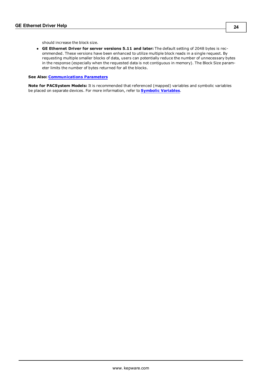should increase the block size.

l **GE Ethernet Driver for server versions 5.11 and later:** The default setting of 2048 bytes is recommended. These versions have been enhanced to utilize multiple block reads in a single request. By requesting multiple smaller blocks of data, users can potentially reduce the number of unnecessary bytes in the response (especially when the requested data is not contiguous in memory). The Block Size parameter limits the number of bytes returned for all the blocks.

#### **See Also: [Communications](#page-6-0) [Parameters](#page-6-0)**

**Note for PACSystem Models:** It is recommended that referenced (mapped) variables and symbolic variables be placed on separate devices. For more information, refer to **[Symbolic](#page-26-0) [Variables](#page-26-0)**.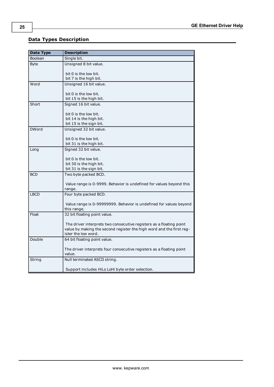## <span id="page-24-0"></span>**Data Types Description**

<span id="page-24-9"></span><span id="page-24-8"></span><span id="page-24-7"></span><span id="page-24-6"></span><span id="page-24-5"></span><span id="page-24-4"></span><span id="page-24-3"></span><span id="page-24-2"></span><span id="page-24-1"></span>

| Data Type     | <b>Description</b>                                                                          |
|---------------|---------------------------------------------------------------------------------------------|
| Boolean       | Single bit.                                                                                 |
| <b>Byte</b>   | Unsigned 8 bit value.                                                                       |
|               |                                                                                             |
|               | bit 0 is the low bit.<br>bit 7 is the high bit.                                             |
| Word          | Unsigned 16 bit value.                                                                      |
|               |                                                                                             |
|               | bit 0 is the low bit.                                                                       |
|               | bit 15 is the high bit.                                                                     |
| Short         | Signed 16 bit value.                                                                        |
|               |                                                                                             |
|               | bit 0 is the low bit.                                                                       |
|               | bit 14 is the high bit.<br>bit 15 is the sign bit.                                          |
| <b>DWord</b>  | Unsigned 32 bit value.                                                                      |
|               |                                                                                             |
|               | bit 0 is the low bit.                                                                       |
|               | bit 31 is the high bit.                                                                     |
| Long          | Signed 32 bit value.                                                                        |
|               | bit 0 is the low bit.                                                                       |
|               | bit 30 is the high bit.                                                                     |
|               | bit 31 is the sign bit.                                                                     |
| <b>BCD</b>    | Two byte packed BCD.                                                                        |
|               |                                                                                             |
|               | Value range is 0-9999. Behavior is undefined for values beyond this                         |
|               | range.                                                                                      |
| <b>LBCD</b>   | Four byte packed BCD.                                                                       |
|               | Value range is 0-99999999. Behavior is undefined for values beyond                          |
|               | this range.                                                                                 |
| Float         | 32 bit floating point value.                                                                |
|               |                                                                                             |
|               | The driver interprets two consecutive registers as a floating point                         |
|               | value by making the second register the high word and the first reg-<br>ister the low word. |
| Double        | 64 bit floating point value.                                                                |
|               |                                                                                             |
|               | The driver interprets four consecutive registers as a floating point                        |
|               | value.                                                                                      |
| <b>String</b> | Null terminated ASCII string.                                                               |
|               | Support includes HiLo LoHi byte order selection.                                            |
|               |                                                                                             |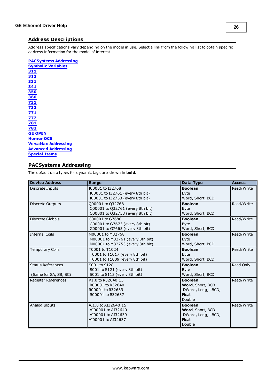## <span id="page-25-0"></span>**Address Descriptions**

Address specifications vary depending on the model in use. Select a link from the following list to obtain specific address information for the model of interest.

#### **[PACSystems](#page-25-1) [Addressing](#page-25-1)**

**[Symbolic](#page-26-0) [Variables](#page-26-0) [311](#page-29-0) [313](#page-30-0) [331](#page-31-0) [341](#page-31-1) [350](#page-32-0) [360](#page-33-0) [731](#page-34-0) [732](#page-35-0) [771](#page-36-0) [772](#page-37-0) [781](#page-38-0) [782](#page-39-0) [GE](#page-40-0) [OPEN](#page-40-0) [Horner](#page-41-0) [OCS](#page-41-0) [VersaMax](#page-42-0) [Addressing](#page-42-0) [Advanced](#page-43-0) [Addressing](#page-43-0) [Special](#page-44-0) [Items](#page-44-0)**

## <span id="page-25-1"></span>**PACSystems Addressing**

The default data types for dynamic tags are shown in **bold**.

| <b>Device Address</b>    | Range                            | Data Type          | <b>Access</b> |
|--------------------------|----------------------------------|--------------------|---------------|
| Discrete Inputs          | I00001 to I32768                 | <b>Boolean</b>     | Read/Write    |
|                          | I00001 to I32761 (every 8th bit) | <b>B</b> vte       |               |
|                          | I00001 to I32753 (every 8th bit) | Word, Short, BCD   |               |
| Discrete Outputs         | Q00001 to Q32768                 | <b>Boolean</b>     | Read/Write    |
|                          | 000001 to 032761 (every 8th bit) | <b>Byte</b>        |               |
|                          | 000001 to 032753 (every 8th bit) | Word, Short, BCD   |               |
| Discrete Globals         | G00001 to G7680                  | <b>Boolean</b>     | Read/Write    |
|                          | G00001 to G7673 (every 8th bit)  | <b>Byte</b>        |               |
|                          | G00001 to G7665 (every 8th bit)  | Word, Short, BCD   |               |
| <b>Internal Coils</b>    | M00001 to M32768                 | <b>Boolean</b>     | Read/Write    |
|                          | M00001 to M32761 (every 8th bit) | <b>B</b> vte       |               |
|                          | M00001 to M32753 (every 8th bit) | Word, Short, BCD   |               |
| <b>Temporary Coils</b>   | T0001 to T1024                   | <b>Boolean</b>     | Read/Write    |
|                          | T0001 to T1017 (every 8th bit)   | <b>Byte</b>        |               |
|                          | T0001 to T1009 (every 8th bit)   | Word, Short, BCD   |               |
| <b>Status References</b> | S001 to S128                     | <b>Boolean</b>     | Read Only     |
|                          | S001 to S121 (every 8th bit)     | <b>Byte</b>        |               |
| (Same for SA, SB, SC)    | S001 to S113 (every 8th bit)     | Word, Short, BCD   |               |
| Register References      | R1.0 to R32640.15                | <b>Boolean</b>     | Read/Write    |
|                          | R00001 to R32640                 | Word, Short, BCD   |               |
|                          | R00001 to R32639                 | DWord, Long, LBCD, |               |
|                          | R00001 to R32637                 | <b>Float</b>       |               |
|                          |                                  | Double             |               |
| Analog Inputs            | AI1.0 to AI32640.15              | <b>Boolean</b>     | Read/Write    |
|                          | AI00001 to AI32640               | Word, Short, BCD   |               |
|                          | AI00001 to AI32639               | DWord, Long, LBCD, |               |
|                          | AI00001 to AI32637               | <b>Float</b>       |               |
|                          |                                  | Double             |               |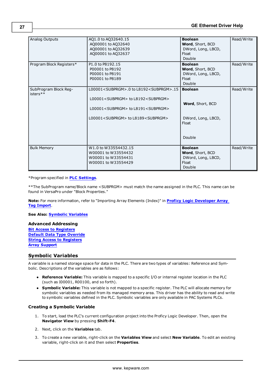| Analog Outputs                    | AQ1.0 to AQ32640.15<br>AQ00001 to AQ32640<br>AQ00001 to AQ32639<br>AQ00001 to AQ32637                                                                                                                                                     | <b>Boolean</b><br>Word, Short, BCD<br>DWord, Long, LBCD,<br>Float<br>Double | Read/Write |
|-----------------------------------|-------------------------------------------------------------------------------------------------------------------------------------------------------------------------------------------------------------------------------------------|-----------------------------------------------------------------------------|------------|
| Program Block Registers*          | P1.0 to P8192.15<br>P00001 to P8192<br>P00001 to P8191<br>P00001 to P8189                                                                                                                                                                 | <b>Boolean</b><br>Word, Short, BCD<br>DWord, Long, LBCD,<br>Float<br>Double | Read/Write |
| SubProgram Block Reg-<br>isters** | L00001 <subprgm>.0 to L8192<subprgm>.15<br/>L00001<subprgm> to L8192<subprgm><br/>L00001<subprgm> to L8191<subprgm><br/>L00001<subprgm> to L8189<subprgm></subprgm></subprgm></subprgm></subprgm></subprgm></subprgm></subprgm></subprgm> | <b>Boolean</b><br>Word, Short, BCD<br>DWord, Long, LBCD,<br>Float<br>Double | Read/Write |
| <b>Bulk Memory</b>                | W1.0 to W33554432.15<br>W00001 to W33554432<br>W00001 to W33554431<br>W00001 to W33554429                                                                                                                                                 | <b>Boolean</b><br>Word, Short, BCD<br>DWord, Long, LBCD,<br>Float<br>Double | Read/Write |

\*Program specified in **[PLC](#page-7-1) [Settings](#page-7-1)**.

\*\*The SubProgram name/Block name <SUBPRGM> must match the name assigned in the PLC. This name can be found in VersaPro under "Block Properties."

**Note:** For more information, refer to "Importing Array Elements (Index)" in **[Proficy](#page-20-2) [Logic](#page-20-2) [Developer](#page-20-2) [Array](#page-20-2) [Tag](#page-20-2) [Import](#page-20-2)**.

**See Also: [Symbolic](#page-26-0) [Variables](#page-26-0)**

#### **Advanced Addressing**

**[Bit](#page-43-1) [Access](#page-43-1) [to](#page-43-1) [Registers](#page-43-1) [Default](#page-43-2) [Data](#page-43-2) [Type](#page-43-2) [Override](#page-43-2) [String](#page-43-3) [Access](#page-43-3) [to](#page-43-3) [Registers](#page-43-3) [Array](#page-44-1) [Support](#page-44-1)**

## <span id="page-26-0"></span>**Symbolic Variables**

A variable is a named storage space for data in the PLC. There are two types of variables: Reference and Symbolic. Descriptions of the variables are as follows:

- **Reference Variable:** This variable is mapped to a specific I/O or internal register location in the PLC (such as I00001, R00100, and so forth).
- **Symbolic Variable:** This variable is not mapped to a specific register. The PLC will allocate memory for symbolic variables as needed from its managed memory area. This driver has the ability to read and write to symbolic variables defined in the PLC. Symbolic variables are only available in PAC Systems PLCs.

#### **Creating a Symbolic Variable**

- 1. To start, load the PLC's current configuration project into the Proficy Logic Developer. Then, open the **Navigator View** by pressing **Shift-F4**.
- 2. Next, click on the **Variables** tab.
- 3. To create a new variable, right-click on the **Variables View** and select **New Variable**. To edit an existing variable, right-click on it and then select **Properties**.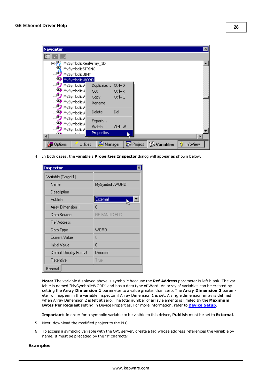

4. In both cases, the variable's **Properties Inspector** dialog will appear as shown below.

| <b>Inspector</b>       |                |
|------------------------|----------------|
| Variable [Target1]     |                |
| Name                   | MySymbolicWORD |
| Description            |                |
| Publish                | External       |
| Array Dimension 1      | n              |
| Data Source            | GE FANUC PLC   |
| <b>Ref Address</b>     |                |
| Data Type              | WORD           |
| Current Value          | П              |
| Initial Value          | n              |
| Default Display Format | Decimal        |
| Retentive              | True           |
| General                |                |

**Note:** The variable displayed above is symbolic because the **Ref Address** parameter is left blank. The variable is named "MySymbolicWORD" and has a data type of Word. An array of variables can be created by setting the **Array Dimension 1** parameter to a value greater than zero. The **Array Dimension 2** parameter will appear in the variable inspector if Array Dimension 1 is set. A single dimension array is defined when Array Dimension 2 is left at zero. The total number of array elements is limited by the **Maximum Bytes Per Request** setting in Device Properties. For more information, refer to **[Device](#page-5-0) [Setup](#page-5-0)**.

**Important:** In order for a symbolic variable to be visible to this driver, **Publish** must be set to **External**.

- 5. Next, download the modified project to the PLC.
- 6. To access a symbolic variable with the OPC server, create a tag whose address references the variable by name. It must be preceded by the "!" character.

#### **Examples**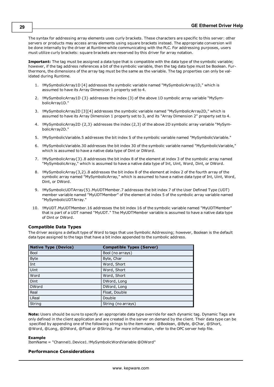The syntax for addressing array elements uses curly brackets. These characters are specific to this server: other servers or products may access array elements using square brackets instead. The appropriate conversion will be done internally by the driver at Runtime while communicating with the PLC. For addressing purposes, users must utilize curly brackets: square brackets are reserved by this driver for array notation.

**Important:** The tag must be assigned a data type that is compatible with the data type of the symbolic variable; however, if the tag address references a bit of the symbolic variable, then the tag data type must be Boolean. Furthermore, the dimensions of the array tag must be the same as the variable. The tag properties can only be validated during Runtime.

- 1. !MySymbolicArray1D [4] addresses the symbolic variable named "MySymbolicArray1D," which is assumed to have its Array Dimension 1 property set to 4.
- 2. !MySymbolicArray1D {3} addresses the index (3) of the above 1D symbolic array variable "MySymbolicArray1D."
- 3. !MySymbolicArray2D [3][4] addresses the symbolic variable named "MySymbolicArray2D," which is assumed to have its Array Dimension 1 property set to 3, and its "Array Dimension 2" property set to 4.
- 4. !MySymbolicArray2D {2,3} addresses the index (2,3) of the above 2D symbolic array variable "MySymbolicArray2D."
- 5. !MySymbolicVariable.5 addresses the bit index 5 of the symbolic variable named "MySymbolicVariable."
- 6. !MySymbolicVariable.30 addresses the bit index 30 of the symbolic variable named "MySymbolicVariable," which is assumed to have a native data type of Dint or DWord.
- 7. !MySymbolicArray{3}.8 addresses the bit index 8 of the element at index 3 of the symbolic array named "MySymbolicArray," which is assumed to have a native data type of Int, Uint, Word, Dint, or DWord.
- 8. !MySymbolicArray{3,2}.8 addresses the bit index 8 of the element at index 2 of the fourth array of the symbolic array named "MySymbolicArray," which is assumed to have a native data type of Int, Uint, Word, Dint, or DWord.
- 9. !MySymbolicUDTArray{5}.MyUDTMember.7 addresses the bit index 7 of the User Defined Type (UDT) member variable named "MyUDTMember" of the element at index 5 of the symbolic array variable named "MySymbolicUDTArray."
- 10. !MyUDT.MyUDTMember.16 addresses the bit index 16 of the symbolic variable named "MyUDTMember" that is part of a UDT named "MyUDT." The MyUDTMember variable is assumed to have a native data type of Dint or DWord.

## **Compatible Data Types**

The driver assigns a default type of Word to tags that use Symbolic Addressing; however, Boolean is the default data type assigned to the tags that have a bit index appended to the symbolic address.

| <b>Native Type (Device)</b> | <b>Compatible Types (Server)</b> |
|-----------------------------|----------------------------------|
| <b>Bool</b>                 | Bool (no arrays)                 |
| <b>Byte</b>                 | Byte, Char                       |
| Int                         | Word, Short                      |
| Uint                        | Word, Short                      |
| Word                        | Word, Short                      |
| Dint                        | DWord, Long                      |
| <b>DWord</b>                | DWord, Long                      |
| Real                        | Float, Double                    |
| <b>LReal</b>                | Double                           |
| String                      | String (no arrays)               |

**Note:** Users should be sure to specify an appropriate data type override for each dynamic tag. Dynamic Tags are only defined in the client application and are created in the server on demand by the client. Their data type can be specified by appending one of the following strings to the item name: @Boolean, @Byte, @Char, @Short, @Word, @Long, @DWord, @Float or @String. For more information, refer to the OPC server help file.

#### **Example**

ItemName = "Channel1.Device1.!MySymbolicWordVariable @DWord"

#### **Performance Considerations**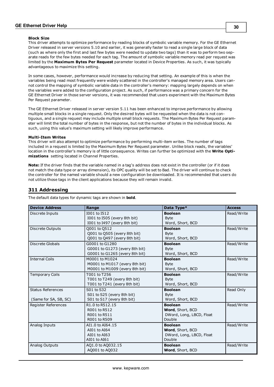## **GE Ethernet Driver Help**

#### **Block Size**

This driver attempts to optimize performance by reading blocks of symbolic variable memory. For the GE Ethernet Driver released in server versions 5.10 and earlier, it was generally faster to read a single large block of data (such as where only the first and last few bytes were needed to update two tags) than it was to perform two separate reads for the few bytes needed for each tag. The amount of symbolic variable memory read per request was limited by the **Maximum Bytes Per Request** parameter located in Device Properties. As such, it was typically advantageous to maximize this setting.

In some cases, however, performance would increase by reducing that setting. An example of this is when the variables being read most frequently were widely scattered in the controller's managed memory area. Users cannot control the mapping of symbolic variable data in the controller's memory: mapping largely depends on when the variables were added to the configuration project. As such, if performance was a primary concern for the GE Ethernet Driver in those server versions, it was recommended that users experiment with the Maximum Bytes Per Request parameter.

The GE Ethernet Driver released in server version 5.11 has been enhanced to improve performance by allowing multiple small blocks in a single request. Only the desired bytes will be requested when the data is not contiguous, and a single request may include multiple small block requests. The Maximum Bytes Per Request parameter will limit the total number of bytes in the response, but not the number of bytes in the individual blocks. As such, using this value's maximum setting will likely improve performance.

#### **Multi-Item Writes**

This driver will also attempt to optimize performance by performing multi-item writes. The number of tags included in a request is limited by the Maximum Bytes Per Request parameter. Unlike block reads, the variables' location in the controller's memory is of little consequence. Writes can further be optimized with the **Write Optimizations** setting located in Channel Properties.

**Note:** If the driver finds that the variable named in a tag's address does not exist in the controller (or if it does not match the data type or array dimension), its OPC quality will be set to Bad. The driver will continue to check the controller for the named variable should a new configuration be downloaded. It is recommended that users do not utilize those tags in the client applications because they will remain invalid.

## <span id="page-29-0"></span>**311 Addressing**

The default data types for dynamic tags are shown in **bold**.

| <b>Device Address</b>                             | Range                                                                              | Data Type*                                                               | <b>Access</b> |
|---------------------------------------------------|------------------------------------------------------------------------------------|--------------------------------------------------------------------------|---------------|
| Discrete Inputs                                   | I001 to I512<br>1001 to 1505 (every 8th bit)<br>I001 to I497 (every 8th bit)       | <b>Boolean</b><br><b>Byte</b><br>Word, Short, BCD                        | Read/Write    |
| <b>Discrete Outputs</b>                           | 0001 to 0512<br>Q001 to Q505 (every 8th bit)<br>Q001 to Q497 (every 8th bit)       | <b>Boolean</b><br><b>Byte</b><br>Word, Short, BCD                        | Read/Write    |
| Discrete Globals                                  | G0001 to G1280<br>G0001 to G1273 (every 8th bit)<br>G0001 to G1265 (every 8th bit) | <b>Boolean</b><br><b>Byte</b><br>Word, Short, BCD                        | Read/Write    |
| <b>Internal Coils</b>                             | M0001 to M1024<br>M0001 to M1017 (every 8th bit)<br>M0001 to M1009 (every 8th bit) | <b>Boolean</b><br><b>Byte</b><br>Word, Short, BCD                        | Read/Write    |
| <b>Temporary Coils</b>                            | T001 to T256<br>T001 to T249 (every 8th bit)<br>T001 to T241 (every 8th bit)       | <b>Boolean</b><br><b>Byte</b><br>Word, Short, BCD                        | Read/Write    |
| <b>Status References</b><br>(Same for SA, SB, SC) | S01 to S32<br>S01 to S25 (every 8th bit)<br>S01 to S17 (every 8th bit)             | <b>Boolean</b><br><b>Byte</b><br>Word, Short, BCD                        | Read Only     |
| Register References                               | R1.0 to R512.15<br>R001 to R512<br>R001 to R511<br>R001 to R509                    | <b>Boolean</b><br>Word, Short, BCD<br>DWord, Long, LBCD, Float<br>Double | Read/Write    |
| Analog Inputs                                     | AI1.0 to AI64.15<br>AI01 to AI64<br>AI01 to AI63<br>AI01 to AI61                   | <b>Boolean</b><br>Word, Short, BCD<br>DWord, Long, LBCD, Float<br>Double | Read/Write    |
| Analog Outputs                                    | AQ1.0 to AQ032.15<br>A0001 to A0032                                                | <b>Boolean</b><br>Word, Short, BCD                                       | Read/Write    |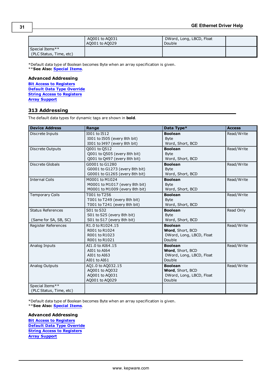|                                            | AQ001 to AQ031<br>AQ001 to AQ029 | DWord, Long, LBCD, Float<br>Double |  |
|--------------------------------------------|----------------------------------|------------------------------------|--|
| Special Items**<br>(PLC Status, Time, etc) |                                  |                                    |  |

\*Default data type of Boolean becomes Byte when an array specification is given. \*\***See Also: [Special](#page-44-0) [Items](#page-44-0)**.

### **Advanced Addressing**

**[Bit](#page-43-1) [Access](#page-43-1) [to](#page-43-1) [Registers](#page-43-1) [Default](#page-43-2) [Data](#page-43-2) [Type](#page-43-2) [Override](#page-43-2) [String](#page-43-3) [Access](#page-43-3) [to](#page-43-3) [Registers](#page-43-3) [Array](#page-44-1) [Support](#page-44-1)**

## <span id="page-30-0"></span>**313 Addressing**

The default data types for dynamic tags are shown in **bold**.

| <b>Device Address</b>                             | Range                                                                              | Data Type*                                                               | <b>Access</b> |
|---------------------------------------------------|------------------------------------------------------------------------------------|--------------------------------------------------------------------------|---------------|
| Discrete Inputs                                   | I001 to I512<br>I001 to I505 (every 8th bit)<br>I001 to I497 (every 8th bit)       | <b>Boolean</b><br><b>Byte</b><br>Word, Short, BCD                        | Read/Write    |
| Discrete Outputs                                  | 0001 to 0512<br>Q001 to Q505 (every 8th bit)<br>Q001 to Q497 (every 8th bit)       | <b>Boolean</b><br><b>Byte</b><br>Word, Short, BCD                        | Read/Write    |
| <b>Discrete Globals</b>                           | G0001 to G1280<br>G0001 to G1273 (every 8th bit)<br>G0001 to G1265 (every 8th bit) | <b>Boolean</b><br><b>Byte</b><br>Word, Short, BCD                        | Read/Write    |
| <b>Internal Coils</b>                             | M0001 to M1024<br>M0001 to M1017 (every 8th bit)<br>M0001 to M1009 (every 8th bit) | <b>Boolean</b><br><b>Byte</b><br>Word, Short, BCD                        | Read/Write    |
| <b>Temporary Coils</b>                            | T001 to T256<br>T001 to T249 (every 8th bit)<br>T001 to T241 (every 8th bit)       | <b>Boolean</b><br><b>B</b> vte<br>Word, Short, BCD                       | Read/Write    |
| <b>Status References</b><br>(Same for SA, SB, SC) | S01 to S32<br>S01 to S25 (every 8th bit)<br>S01 to S17 (every 8th bit)             | <b>Boolean</b><br><b>Byte</b><br>Word, Short, BCD                        | Read Only     |
| Register References                               | R1.0 to R1024.15<br>R001 to R1024<br>R001 to R1023<br>R001 to R1021                | <b>Boolean</b><br>Word, Short, BCD<br>DWord, Long, LBCD, Float<br>Double | Read/Write    |
| Analog Inputs                                     | AI1.0 to AI64.15<br>AI01 to AI64<br>AI01 to AI63<br>AI01 to AI61                   | <b>Boolean</b><br>Word, Short, BCD<br>DWord, Long, LBCD, Float<br>Double | Read/Write    |
| Analog Outputs                                    | AQ1.0 to AQ032.15<br>AQ001 to AQ032<br>AQ001 to AQ031<br>AQ001 to AQ029            | <b>Boolean</b><br>Word, Short, BCD<br>DWord, Long, LBCD, Float<br>Double | Read/Write    |
| Special Items**<br>(PLC Status, Time, etc)        |                                                                                    |                                                                          |               |

\*Default data type of Boolean becomes Byte when an array specification is given. \*\***See Also: [Special](#page-44-0) [Items](#page-44-0)**.

**Advanced Addressing [Bit](#page-43-1) [Access](#page-43-1) [to](#page-43-1) [Registers](#page-43-1) [Default](#page-43-2) [Data](#page-43-2) [Type](#page-43-2) [Override](#page-43-2) [String](#page-43-3) [Access](#page-43-3) [to](#page-43-3) [Registers](#page-43-3) [Array](#page-44-1) [Support](#page-44-1)**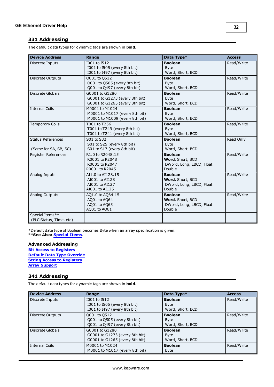## <span id="page-31-0"></span>**331 Addressing**

The default data types for dynamic tags are shown in **bold**.

| <b>Device Address</b>                             | Range                                                                              | Data Type*                                                               | <b>Access</b> |
|---------------------------------------------------|------------------------------------------------------------------------------------|--------------------------------------------------------------------------|---------------|
| Discrete Inputs                                   | I001 to I512<br>I001 to I505 (every 8th bit)<br>I001 to I497 (every 8th bit)       | <b>Boolean</b><br><b>B</b> vte<br>Word, Short, BCD                       | Read/Write    |
| Discrete Outputs                                  | Q001 to Q512<br>Q001 to Q505 (every 8th bit)<br>Q001 to Q497 (every 8th bit)       | <b>Boolean</b><br><b>Byte</b><br>Word, Short, BCD                        | Read/Write    |
| <b>Discrete Globals</b>                           | G0001 to G1280<br>G0001 to G1273 (every 8th bit)<br>G0001 to G1265 (every 8th bit) | <b>Boolean</b><br><b>Byte</b><br>Word, Short, BCD                        | Read/Write    |
| <b>Internal Coils</b>                             | M0001 to M1024<br>M0001 to M1017 (every 8th bit)<br>M0001 to M1009 (every 8th bit) | <b>Boolean</b><br><b>Byte</b><br>Word, Short, BCD                        | Read/Write    |
| <b>Temporary Coils</b>                            | T001 to T256<br>T001 to T249 (every 8th bit)<br>T001 to T241 (every 8th bit)       | <b>Boolean</b><br><b>B</b> vte<br>Word, Short, BCD                       | Read/Write    |
| <b>Status References</b><br>(Same for SA, SB, SC) | S01 to S32<br>S01 to S25 (every 8th bit)<br>S01 to S17 (every 8th bit)             | <b>Boolean</b><br><b>Byte</b><br>Word, Short, BCD                        | Read Only     |
| Register References                               | R1.0 to R2048.15<br>R0001 to R2048<br>R0001 to R2047<br>R0001 to R2045             | <b>Boolean</b><br>Word, Short, BCD<br>DWord, Long, LBCD, Float<br>Double | Read/Write    |
| Analog Inputs                                     | AI1.0 to AI128.15<br>AI001 to AI128<br>AI001 to AI127<br>AI001 to AI125            | <b>Boolean</b><br>Word, Short, BCD<br>DWord, Long, LBCD, Float<br>Double | Read/Write    |
| Analog Outputs                                    | AQ1.0 to AQ64.15<br>AQ01 to AQ64<br>AQ01 to AQ63<br>AQ01 to AQ61                   | <b>Boolean</b><br>Word, Short, BCD<br>DWord, Long, LBCD, Float<br>Double | Read/Write    |
| Special Items**<br>(PLC Status, Time, etc)        |                                                                                    |                                                                          |               |

\*Default data type of Boolean becomes Byte when an array specification is given.

\*\***See Also: [Special](#page-44-0) [Items](#page-44-0)**.

## **Advanced Addressing**

**[Bit](#page-43-1) [Access](#page-43-1) [to](#page-43-1) [Registers](#page-43-1) [Default](#page-43-2) [Data](#page-43-2) [Type](#page-43-2) [Override](#page-43-2) [String](#page-43-3) [Access](#page-43-3) [to](#page-43-3) [Registers](#page-43-3) [Array](#page-44-1) [Support](#page-44-1)**

## <span id="page-31-1"></span>**341 Addressing**

The default data types for dynamic tags are shown in **bold**.

| <b>Device Address</b> | Range                          | Data Type*       | <b>Access</b> |
|-----------------------|--------------------------------|------------------|---------------|
| Discrete Inputs       | I001 to I512                   | <b>Boolean</b>   | Read/Write    |
|                       | 1001 to 1505 (every 8th bit)   | <b>Byte</b>      |               |
|                       | I001 to I497 (every 8th bit)   | Word, Short, BCD |               |
| Discrete Outputs      | Q001 to Q512                   | <b>Boolean</b>   | Read/Write    |
|                       | Q001 to Q505 (every 8th bit)   | <b>Byte</b>      |               |
|                       | Q001 to Q497 (every 8th bit)   | Word, Short, BCD |               |
| Discrete Globals      | G0001 to G1280                 | <b>Boolean</b>   | Read/Write    |
|                       | G0001 to G1273 (every 8th bit) | <b>Byte</b>      |               |
|                       | G0001 to G1265 (every 8th bit) | Word, Short, BCD |               |
| Internal Coils        | M0001 to M1024                 | <b>Boolean</b>   | Read/Write    |
|                       | M0001 to M1017 (every 8th bit) | <b>Byte</b>      |               |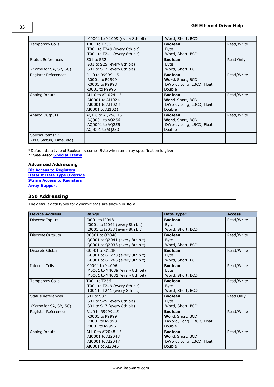|                                                   | M0001 to M1009 (every 8th bit)                                                 | Word, Short, BCD                                                                |            |
|---------------------------------------------------|--------------------------------------------------------------------------------|---------------------------------------------------------------------------------|------------|
| <b>Temporary Coils</b>                            | T001 to T256<br>T001 to T249 (every 8th bit)<br>T001 to T241 (every 8th bit)   | <b>Boolean</b><br><b>Byte</b><br>Word, Short, BCD                               | Read/Write |
| <b>Status References</b><br>(Same for SA, SB, SC) | S01 to S32<br>S01 to S25 (every 8th bit)<br>S01 to S17 (every 8th bit)         | <b>Boolean</b><br><b>Byte</b><br>Word, Short, BCD                               | Read Only  |
| Register References                               | R1.0 to R9999.15<br>R0001 to R9999<br>R0001 to R9998<br>R0001 to R9996         | <b>Boolean</b><br>Word, Short, BCD<br>DWord, Long, LBCD, Float<br>Double        | Read/Write |
| Analog Inputs                                     | AI1.0 to AI1024.15<br>AI0001 to AI1024<br>AI0001 to AI1023<br>AI0001 to AI1021 | <b>Boolean</b><br><b>Word, Short, BCD</b><br>DWord, Long, LBCD, Float<br>Double | Read/Write |
| Analog Outputs                                    | AQ1.0 to AQ256.15<br>A00001 to A0256<br>AQ0001 to AQ255<br>AQ0001 to AQ253     | <b>Boolean</b><br>Word, Short, BCD<br>DWord, Long, LBCD, Float<br>Double        | Read/Write |
| Special Items**<br>(PLC Status, Time, etc)        |                                                                                |                                                                                 |            |

\*\***See Also: [Special](#page-44-0) [Items](#page-44-0)**.

## **Advanced Addressing**

**[Bit](#page-43-1) [Access](#page-43-1) [to](#page-43-1) [Registers](#page-43-1) [Default](#page-43-2) [Data](#page-43-2) [Type](#page-43-2) [Override](#page-43-2) [String](#page-43-3) [Access](#page-43-3) [to](#page-43-3) [Registers](#page-43-3) [Array](#page-44-1) [Support](#page-44-1)**

## <span id="page-32-0"></span>**350 Addressing**

The default data types for dynamic tags are shown in **bold**.

| <b>Device Address</b>    | Range                          | Data Type*               | <b>Access</b> |
|--------------------------|--------------------------------|--------------------------|---------------|
| Discrete Inputs          | I0001 to I2048                 | <b>Boolean</b>           | Read/Write    |
|                          | I0001 to I2041 (every 8th bit) | <b>Byte</b>              |               |
|                          | I0001 to I2033 (every 8th bit) | Word, Short, BCD         |               |
| Discrete Outputs         | Q0001 to Q2048                 | <b>Boolean</b>           | Read/Write    |
|                          | Q0001 to Q2041 (every 8th bit) | <b>Byte</b>              |               |
|                          | Q0001 to Q2033 (every 8th bit) | Word, Short, BCD         |               |
| <b>Discrete Globals</b>  | G0001 to G1280                 | <b>Boolean</b>           | Read/Write    |
|                          | G0001 to G1273 (every 8th bit) | <b>Byte</b>              |               |
|                          | G0001 to G1265 (every 8th bit) | Word, Short, BCD         |               |
| <b>Internal Coils</b>    | M0001 to M4096                 | <b>Boolean</b>           | Read/Write    |
|                          | M0001 to M4089 (every 8th bit) | <b>Byte</b>              |               |
|                          | M0001 to M4081 (every 8th bit) | Word, Short, BCD         |               |
| <b>Temporary Coils</b>   | T001 to T256                   | <b>Boolean</b>           | Read/Write    |
|                          | T001 to T249 (every 8th bit)   | <b>Byte</b>              |               |
|                          | T001 to T241 (every 8th bit)   | Word, Short, BCD         |               |
| <b>Status References</b> | S01 to S32                     | <b>Boolean</b>           | Read Only     |
|                          | S01 to S25 (every 8th bit)     | <b>B</b> vte             |               |
| (Same for SA, SB, SC)    | S01 to S17 (every 8th bit)     | Word, Short, BCD         |               |
| Register References      | R1.0 to R9999.15               | <b>Boolean</b>           | Read/Write    |
|                          | R0001 to R9999                 | Word, Short, BCD         |               |
|                          | R0001 to R9998                 | DWord, Long, LBCD, Float |               |
|                          | R0001 to R9996                 | Double                   |               |
| Analog Inputs            | AI1.0 to AI2048.15             | <b>Boolean</b>           | Read/Write    |
|                          | AI0001 to AI2048               | Word, Short, BCD         |               |
|                          | AI0001 to AI2047               | DWord, Long, LBCD, Float |               |
|                          | AI0001 to AI2045               | Double                   |               |

**33**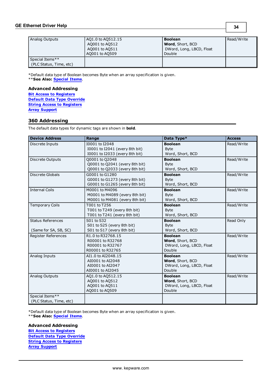## **GE Ethernet Driver Help**

Analog Outputs AQ1.0 to AQ512.15 AQ001 to AQ512 AQ001 to AQ511 AQ001 to AQ509 **Boolean Word**, Short, BCD DWord, Long, LBCD, Float Double Read/Write Special Items\*\* (PLC Status, Time, etc)

\*Default data type of Boolean becomes Byte when an array specification is given.

\*\***See Also: [Special](#page-44-0) [Items](#page-44-0)**.

## **Advanced Addressing**

**[Bit](#page-43-1) [Access](#page-43-1) [to](#page-43-1) [Registers](#page-43-1) [Default](#page-43-2) [Data](#page-43-2) [Type](#page-43-2) [Override](#page-43-2) [String](#page-43-3) [Access](#page-43-3) [to](#page-43-3) [Registers](#page-43-3) [Array](#page-44-1) [Support](#page-44-1)**

## <span id="page-33-0"></span>**360 Addressing**

The default data types for dynamic tags are shown in **bold**.

| <b>Device Address</b>                             | Range                                                                              | Data Type*                                                               | <b>Access</b> |
|---------------------------------------------------|------------------------------------------------------------------------------------|--------------------------------------------------------------------------|---------------|
| Discrete Inputs                                   | I0001 to I2048<br>10001 to I2041 (every 8th bit)<br>I0001 to I2033 (every 8th bit) | <b>Boolean</b><br><b>Byte</b><br>Word, Short, BCD                        | Read/Write    |
| Discrete Outputs                                  | 00001 to 02048<br>Q0001 to Q2041 (every 8th bit)<br>Q0001 to Q2033 (every 8th bit) | <b>Boolean</b><br><b>Byte</b><br>Word, Short, BCD                        | Read/Write    |
| <b>Discrete Globals</b>                           | G0001 to G1280<br>G0001 to G1273 (every 8th bit)<br>G0001 to G1265 (every 8th bit) | <b>Boolean</b><br><b>Byte</b><br>Word, Short, BCD                        | Read/Write    |
| <b>Internal Coils</b>                             | M0001 to M4096<br>M0001 to M4089 (every 8th bit)<br>M0001 to M4081 (every 8th bit) | <b>Boolean</b><br><b>Byte</b><br>Word, Short, BCD                        | Read/Write    |
| <b>Temporary Coils</b>                            | T001 to T256<br>T001 to T249 (every 8th bit)<br>T001 to T241 (every 8th bit)       | <b>Boolean</b><br><b>B</b> vte<br>Word, Short, BCD                       | Read/Write    |
| <b>Status References</b><br>(Same for SA, SB, SC) | S01 to S32<br>S01 to S25 (every 8th bit)<br>S01 to S17 (every 8th bit)             | <b>Boolean</b><br><b>Byte</b><br>Word, Short, BCD                        | Read Only     |
| Register References                               | R1.0 to R32768.15<br>R00001 to R32768<br>R00001 to R32767<br>R00001 to R32765      | <b>Boolean</b><br>Word, Short, BCD<br>DWord, Long, LBCD, Float<br>Double | Read/Write    |
| Analog Inputs                                     | AI1.0 to AI2048.15<br>AI0001 to AI2048<br>AI0001 to AI2047<br>AI0001 to AI2045     | <b>Boolean</b><br>Word, Short, BCD<br>DWord, Long, LBCD, Float<br>Double | Read/Write    |
| Analog Outputs                                    | AQ1.0 to AQ512.15<br>A0001 to A0512<br>A0001 to A0511<br>AQ001 to AQ509            | <b>Boolean</b><br>Word, Short, BCD<br>DWord, Long, LBCD, Float<br>Double | Read/Write    |
| Special Items**<br>(PLC Status, Time, etc)        |                                                                                    |                                                                          |               |

\*Default data type of Boolean becomes Byte when an array specification is given.

\*\***See Also: [Special](#page-44-0) [Items](#page-44-0)**.

## **Advanced Addressing**

**[Bit](#page-43-1) [Access](#page-43-1) [to](#page-43-1) [Registers](#page-43-1) [Default](#page-43-2) [Data](#page-43-2) [Type](#page-43-2) [Override](#page-43-2) [String](#page-43-3) [Access](#page-43-3) [to](#page-43-3) [Registers](#page-43-3) [Array](#page-44-1) [Support](#page-44-1)**

**34**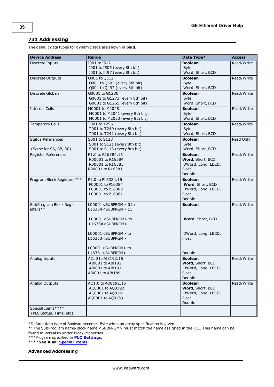## <span id="page-34-0"></span>**731 Addressing**

The default data types for dynamic tags are shown in **bold**.

| I001 to I512<br><b>Boolean</b><br>Read/Write<br>Discrete Inputs<br>I001 to I505 (every 8th bit)<br><b>Byte</b><br>I001 to I497 (every 8th bit)<br>Word, Short, BCD<br>Q001 to Q512<br><b>Boolean</b><br>Read/Write<br>Discrete Outputs<br>Q001 to Q505 (every 8th bit)<br><b>Byte</b><br>Q001 to Q497 (every 8th bit)<br>Word, Short, BCD<br>Discrete Globals<br>G0001 to G1280<br>Read/Write<br><b>Boolean</b><br>G0001 to G1273 (every 8th bit)<br><b>Byte</b><br>G0001 to G1265 (every 8th bit)<br>Word, Short, BCD<br><b>Internal Coils</b><br>Read/Write<br>M0001 to M2048<br><b>Boolean</b><br>M0001 to M2041 (every 8th bit)<br><b>Byte</b><br>M0001 to M2033 (every 8th bit)<br>Word, Short, BCD<br><b>Temporary Coils</b><br>Read/Write<br>T001 to T256<br><b>Boolean</b><br>T001 to T249 (every 8th bit)<br><b>Byte</b><br>T001 to T241 (every 8th bit)<br>Word, Short, BCD<br><b>Status References</b><br>S001 to S128<br><b>Boolean</b><br>Read Only<br>S001 to S121 (every 8th bit)<br><b>Byte</b><br>S001 to S113 (every 8th bit)<br>Word, Short, BCD<br>(Same for SA, SB, SC)<br>Register References<br>Read/Write<br>R1.0 to R16384.15<br><b>Boolean</b><br>R00001 to R16384<br>Word, Short, BCD<br>R00001 to R16383<br>DWord, Long, LBCD,<br>Float<br>R00001 to R16381<br>Double<br>Program Block Registers***<br>P1.0 to P16384.15<br>Read/Write<br><b>Boolean</b><br>Word, Short, BCD<br>P00001 to P16384<br>P00001 to P16383<br>DWord, Long, LBCD,<br>P00001 to P16381<br>Float<br>Double<br>SubProgram Block Reg-<br>Read/Write<br>L00001 <subprgm>.0 to<br/><b>Boolean</b><br/>isters**<br/>L16384<subprgm>.15<br/>L00001<subprgm> to<br/>Word, Short, BCD<br/>L16384<subprgm><br/>L00001<subprgm> to<br/>DWord, Long, LBCD,<br/>L16383<subprgm><br/>Float<br/>L00001<subprgm> to<br/>L16381<subprgm><br/>Double<br/>AI1.0 to AI8192.15<br/>Read/Write<br/>Analog Inputs<br/><b>Boolean</b><br/>Word, Short, BCD<br/>AI0001 to AI8192<br/>DWord, Long, LBCD,<br/>AI0001 to AI8191<br/>Float<br/>AI0001 to AI8189<br/>Double<br/>Read/Write<br/>Analog Outputs<br/>AQ1.0 to AQ8192.15<br/><b>Boolean</b><br/>AQ0001 to AQ8192<br/>Word, Short, BCD<br/>AQ0001 to AQ8191<br/>DWord, Long, LBCD,<br/>AQ0001 to AQ8189<br/>Float<br/>Double<br/>Special Items****<br/>(PLC Status, Time, etc)</subprgm></subprgm></subprgm></subprgm></subprgm></subprgm></subprgm></subprgm> | <b>Device Address</b> | Range | Data Type* | <b>Access</b> |
|-------------------------------------------------------------------------------------------------------------------------------------------------------------------------------------------------------------------------------------------------------------------------------------------------------------------------------------------------------------------------------------------------------------------------------------------------------------------------------------------------------------------------------------------------------------------------------------------------------------------------------------------------------------------------------------------------------------------------------------------------------------------------------------------------------------------------------------------------------------------------------------------------------------------------------------------------------------------------------------------------------------------------------------------------------------------------------------------------------------------------------------------------------------------------------------------------------------------------------------------------------------------------------------------------------------------------------------------------------------------------------------------------------------------------------------------------------------------------------------------------------------------------------------------------------------------------------------------------------------------------------------------------------------------------------------------------------------------------------------------------------------------------------------------------------------------------------------------------------------------------------------------------------------------------------------------------------------------------------------------------------------------------------------------------------------------------------------------------------------------------------------------------------------------------------------------------------------------------------------------------------------------------------------------------------------------------------------------------------------------------------------------------|-----------------------|-------|------------|---------------|
|                                                                                                                                                                                                                                                                                                                                                                                                                                                                                                                                                                                                                                                                                                                                                                                                                                                                                                                                                                                                                                                                                                                                                                                                                                                                                                                                                                                                                                                                                                                                                                                                                                                                                                                                                                                                                                                                                                                                                                                                                                                                                                                                                                                                                                                                                                                                                                                                 |                       |       |            |               |
|                                                                                                                                                                                                                                                                                                                                                                                                                                                                                                                                                                                                                                                                                                                                                                                                                                                                                                                                                                                                                                                                                                                                                                                                                                                                                                                                                                                                                                                                                                                                                                                                                                                                                                                                                                                                                                                                                                                                                                                                                                                                                                                                                                                                                                                                                                                                                                                                 |                       |       |            |               |
|                                                                                                                                                                                                                                                                                                                                                                                                                                                                                                                                                                                                                                                                                                                                                                                                                                                                                                                                                                                                                                                                                                                                                                                                                                                                                                                                                                                                                                                                                                                                                                                                                                                                                                                                                                                                                                                                                                                                                                                                                                                                                                                                                                                                                                                                                                                                                                                                 |                       |       |            |               |
|                                                                                                                                                                                                                                                                                                                                                                                                                                                                                                                                                                                                                                                                                                                                                                                                                                                                                                                                                                                                                                                                                                                                                                                                                                                                                                                                                                                                                                                                                                                                                                                                                                                                                                                                                                                                                                                                                                                                                                                                                                                                                                                                                                                                                                                                                                                                                                                                 |                       |       |            |               |
|                                                                                                                                                                                                                                                                                                                                                                                                                                                                                                                                                                                                                                                                                                                                                                                                                                                                                                                                                                                                                                                                                                                                                                                                                                                                                                                                                                                                                                                                                                                                                                                                                                                                                                                                                                                                                                                                                                                                                                                                                                                                                                                                                                                                                                                                                                                                                                                                 |                       |       |            |               |
|                                                                                                                                                                                                                                                                                                                                                                                                                                                                                                                                                                                                                                                                                                                                                                                                                                                                                                                                                                                                                                                                                                                                                                                                                                                                                                                                                                                                                                                                                                                                                                                                                                                                                                                                                                                                                                                                                                                                                                                                                                                                                                                                                                                                                                                                                                                                                                                                 |                       |       |            |               |
|                                                                                                                                                                                                                                                                                                                                                                                                                                                                                                                                                                                                                                                                                                                                                                                                                                                                                                                                                                                                                                                                                                                                                                                                                                                                                                                                                                                                                                                                                                                                                                                                                                                                                                                                                                                                                                                                                                                                                                                                                                                                                                                                                                                                                                                                                                                                                                                                 |                       |       |            |               |
|                                                                                                                                                                                                                                                                                                                                                                                                                                                                                                                                                                                                                                                                                                                                                                                                                                                                                                                                                                                                                                                                                                                                                                                                                                                                                                                                                                                                                                                                                                                                                                                                                                                                                                                                                                                                                                                                                                                                                                                                                                                                                                                                                                                                                                                                                                                                                                                                 |                       |       |            |               |
|                                                                                                                                                                                                                                                                                                                                                                                                                                                                                                                                                                                                                                                                                                                                                                                                                                                                                                                                                                                                                                                                                                                                                                                                                                                                                                                                                                                                                                                                                                                                                                                                                                                                                                                                                                                                                                                                                                                                                                                                                                                                                                                                                                                                                                                                                                                                                                                                 |                       |       |            |               |
|                                                                                                                                                                                                                                                                                                                                                                                                                                                                                                                                                                                                                                                                                                                                                                                                                                                                                                                                                                                                                                                                                                                                                                                                                                                                                                                                                                                                                                                                                                                                                                                                                                                                                                                                                                                                                                                                                                                                                                                                                                                                                                                                                                                                                                                                                                                                                                                                 |                       |       |            |               |
|                                                                                                                                                                                                                                                                                                                                                                                                                                                                                                                                                                                                                                                                                                                                                                                                                                                                                                                                                                                                                                                                                                                                                                                                                                                                                                                                                                                                                                                                                                                                                                                                                                                                                                                                                                                                                                                                                                                                                                                                                                                                                                                                                                                                                                                                                                                                                                                                 |                       |       |            |               |
|                                                                                                                                                                                                                                                                                                                                                                                                                                                                                                                                                                                                                                                                                                                                                                                                                                                                                                                                                                                                                                                                                                                                                                                                                                                                                                                                                                                                                                                                                                                                                                                                                                                                                                                                                                                                                                                                                                                                                                                                                                                                                                                                                                                                                                                                                                                                                                                                 |                       |       |            |               |
|                                                                                                                                                                                                                                                                                                                                                                                                                                                                                                                                                                                                                                                                                                                                                                                                                                                                                                                                                                                                                                                                                                                                                                                                                                                                                                                                                                                                                                                                                                                                                                                                                                                                                                                                                                                                                                                                                                                                                                                                                                                                                                                                                                                                                                                                                                                                                                                                 |                       |       |            |               |
|                                                                                                                                                                                                                                                                                                                                                                                                                                                                                                                                                                                                                                                                                                                                                                                                                                                                                                                                                                                                                                                                                                                                                                                                                                                                                                                                                                                                                                                                                                                                                                                                                                                                                                                                                                                                                                                                                                                                                                                                                                                                                                                                                                                                                                                                                                                                                                                                 |                       |       |            |               |
|                                                                                                                                                                                                                                                                                                                                                                                                                                                                                                                                                                                                                                                                                                                                                                                                                                                                                                                                                                                                                                                                                                                                                                                                                                                                                                                                                                                                                                                                                                                                                                                                                                                                                                                                                                                                                                                                                                                                                                                                                                                                                                                                                                                                                                                                                                                                                                                                 |                       |       |            |               |
|                                                                                                                                                                                                                                                                                                                                                                                                                                                                                                                                                                                                                                                                                                                                                                                                                                                                                                                                                                                                                                                                                                                                                                                                                                                                                                                                                                                                                                                                                                                                                                                                                                                                                                                                                                                                                                                                                                                                                                                                                                                                                                                                                                                                                                                                                                                                                                                                 |                       |       |            |               |
|                                                                                                                                                                                                                                                                                                                                                                                                                                                                                                                                                                                                                                                                                                                                                                                                                                                                                                                                                                                                                                                                                                                                                                                                                                                                                                                                                                                                                                                                                                                                                                                                                                                                                                                                                                                                                                                                                                                                                                                                                                                                                                                                                                                                                                                                                                                                                                                                 |                       |       |            |               |
|                                                                                                                                                                                                                                                                                                                                                                                                                                                                                                                                                                                                                                                                                                                                                                                                                                                                                                                                                                                                                                                                                                                                                                                                                                                                                                                                                                                                                                                                                                                                                                                                                                                                                                                                                                                                                                                                                                                                                                                                                                                                                                                                                                                                                                                                                                                                                                                                 |                       |       |            |               |
|                                                                                                                                                                                                                                                                                                                                                                                                                                                                                                                                                                                                                                                                                                                                                                                                                                                                                                                                                                                                                                                                                                                                                                                                                                                                                                                                                                                                                                                                                                                                                                                                                                                                                                                                                                                                                                                                                                                                                                                                                                                                                                                                                                                                                                                                                                                                                                                                 |                       |       |            |               |
|                                                                                                                                                                                                                                                                                                                                                                                                                                                                                                                                                                                                                                                                                                                                                                                                                                                                                                                                                                                                                                                                                                                                                                                                                                                                                                                                                                                                                                                                                                                                                                                                                                                                                                                                                                                                                                                                                                                                                                                                                                                                                                                                                                                                                                                                                                                                                                                                 |                       |       |            |               |
|                                                                                                                                                                                                                                                                                                                                                                                                                                                                                                                                                                                                                                                                                                                                                                                                                                                                                                                                                                                                                                                                                                                                                                                                                                                                                                                                                                                                                                                                                                                                                                                                                                                                                                                                                                                                                                                                                                                                                                                                                                                                                                                                                                                                                                                                                                                                                                                                 |                       |       |            |               |
|                                                                                                                                                                                                                                                                                                                                                                                                                                                                                                                                                                                                                                                                                                                                                                                                                                                                                                                                                                                                                                                                                                                                                                                                                                                                                                                                                                                                                                                                                                                                                                                                                                                                                                                                                                                                                                                                                                                                                                                                                                                                                                                                                                                                                                                                                                                                                                                                 |                       |       |            |               |
|                                                                                                                                                                                                                                                                                                                                                                                                                                                                                                                                                                                                                                                                                                                                                                                                                                                                                                                                                                                                                                                                                                                                                                                                                                                                                                                                                                                                                                                                                                                                                                                                                                                                                                                                                                                                                                                                                                                                                                                                                                                                                                                                                                                                                                                                                                                                                                                                 |                       |       |            |               |
|                                                                                                                                                                                                                                                                                                                                                                                                                                                                                                                                                                                                                                                                                                                                                                                                                                                                                                                                                                                                                                                                                                                                                                                                                                                                                                                                                                                                                                                                                                                                                                                                                                                                                                                                                                                                                                                                                                                                                                                                                                                                                                                                                                                                                                                                                                                                                                                                 |                       |       |            |               |
|                                                                                                                                                                                                                                                                                                                                                                                                                                                                                                                                                                                                                                                                                                                                                                                                                                                                                                                                                                                                                                                                                                                                                                                                                                                                                                                                                                                                                                                                                                                                                                                                                                                                                                                                                                                                                                                                                                                                                                                                                                                                                                                                                                                                                                                                                                                                                                                                 |                       |       |            |               |
|                                                                                                                                                                                                                                                                                                                                                                                                                                                                                                                                                                                                                                                                                                                                                                                                                                                                                                                                                                                                                                                                                                                                                                                                                                                                                                                                                                                                                                                                                                                                                                                                                                                                                                                                                                                                                                                                                                                                                                                                                                                                                                                                                                                                                                                                                                                                                                                                 |                       |       |            |               |
|                                                                                                                                                                                                                                                                                                                                                                                                                                                                                                                                                                                                                                                                                                                                                                                                                                                                                                                                                                                                                                                                                                                                                                                                                                                                                                                                                                                                                                                                                                                                                                                                                                                                                                                                                                                                                                                                                                                                                                                                                                                                                                                                                                                                                                                                                                                                                                                                 |                       |       |            |               |
|                                                                                                                                                                                                                                                                                                                                                                                                                                                                                                                                                                                                                                                                                                                                                                                                                                                                                                                                                                                                                                                                                                                                                                                                                                                                                                                                                                                                                                                                                                                                                                                                                                                                                                                                                                                                                                                                                                                                                                                                                                                                                                                                                                                                                                                                                                                                                                                                 |                       |       |            |               |
|                                                                                                                                                                                                                                                                                                                                                                                                                                                                                                                                                                                                                                                                                                                                                                                                                                                                                                                                                                                                                                                                                                                                                                                                                                                                                                                                                                                                                                                                                                                                                                                                                                                                                                                                                                                                                                                                                                                                                                                                                                                                                                                                                                                                                                                                                                                                                                                                 |                       |       |            |               |
|                                                                                                                                                                                                                                                                                                                                                                                                                                                                                                                                                                                                                                                                                                                                                                                                                                                                                                                                                                                                                                                                                                                                                                                                                                                                                                                                                                                                                                                                                                                                                                                                                                                                                                                                                                                                                                                                                                                                                                                                                                                                                                                                                                                                                                                                                                                                                                                                 |                       |       |            |               |
|                                                                                                                                                                                                                                                                                                                                                                                                                                                                                                                                                                                                                                                                                                                                                                                                                                                                                                                                                                                                                                                                                                                                                                                                                                                                                                                                                                                                                                                                                                                                                                                                                                                                                                                                                                                                                                                                                                                                                                                                                                                                                                                                                                                                                                                                                                                                                                                                 |                       |       |            |               |
|                                                                                                                                                                                                                                                                                                                                                                                                                                                                                                                                                                                                                                                                                                                                                                                                                                                                                                                                                                                                                                                                                                                                                                                                                                                                                                                                                                                                                                                                                                                                                                                                                                                                                                                                                                                                                                                                                                                                                                                                                                                                                                                                                                                                                                                                                                                                                                                                 |                       |       |            |               |
|                                                                                                                                                                                                                                                                                                                                                                                                                                                                                                                                                                                                                                                                                                                                                                                                                                                                                                                                                                                                                                                                                                                                                                                                                                                                                                                                                                                                                                                                                                                                                                                                                                                                                                                                                                                                                                                                                                                                                                                                                                                                                                                                                                                                                                                                                                                                                                                                 |                       |       |            |               |
|                                                                                                                                                                                                                                                                                                                                                                                                                                                                                                                                                                                                                                                                                                                                                                                                                                                                                                                                                                                                                                                                                                                                                                                                                                                                                                                                                                                                                                                                                                                                                                                                                                                                                                                                                                                                                                                                                                                                                                                                                                                                                                                                                                                                                                                                                                                                                                                                 |                       |       |            |               |
|                                                                                                                                                                                                                                                                                                                                                                                                                                                                                                                                                                                                                                                                                                                                                                                                                                                                                                                                                                                                                                                                                                                                                                                                                                                                                                                                                                                                                                                                                                                                                                                                                                                                                                                                                                                                                                                                                                                                                                                                                                                                                                                                                                                                                                                                                                                                                                                                 |                       |       |            |               |
|                                                                                                                                                                                                                                                                                                                                                                                                                                                                                                                                                                                                                                                                                                                                                                                                                                                                                                                                                                                                                                                                                                                                                                                                                                                                                                                                                                                                                                                                                                                                                                                                                                                                                                                                                                                                                                                                                                                                                                                                                                                                                                                                                                                                                                                                                                                                                                                                 |                       |       |            |               |
|                                                                                                                                                                                                                                                                                                                                                                                                                                                                                                                                                                                                                                                                                                                                                                                                                                                                                                                                                                                                                                                                                                                                                                                                                                                                                                                                                                                                                                                                                                                                                                                                                                                                                                                                                                                                                                                                                                                                                                                                                                                                                                                                                                                                                                                                                                                                                                                                 |                       |       |            |               |
|                                                                                                                                                                                                                                                                                                                                                                                                                                                                                                                                                                                                                                                                                                                                                                                                                                                                                                                                                                                                                                                                                                                                                                                                                                                                                                                                                                                                                                                                                                                                                                                                                                                                                                                                                                                                                                                                                                                                                                                                                                                                                                                                                                                                                                                                                                                                                                                                 |                       |       |            |               |
|                                                                                                                                                                                                                                                                                                                                                                                                                                                                                                                                                                                                                                                                                                                                                                                                                                                                                                                                                                                                                                                                                                                                                                                                                                                                                                                                                                                                                                                                                                                                                                                                                                                                                                                                                                                                                                                                                                                                                                                                                                                                                                                                                                                                                                                                                                                                                                                                 |                       |       |            |               |
|                                                                                                                                                                                                                                                                                                                                                                                                                                                                                                                                                                                                                                                                                                                                                                                                                                                                                                                                                                                                                                                                                                                                                                                                                                                                                                                                                                                                                                                                                                                                                                                                                                                                                                                                                                                                                                                                                                                                                                                                                                                                                                                                                                                                                                                                                                                                                                                                 |                       |       |            |               |
|                                                                                                                                                                                                                                                                                                                                                                                                                                                                                                                                                                                                                                                                                                                                                                                                                                                                                                                                                                                                                                                                                                                                                                                                                                                                                                                                                                                                                                                                                                                                                                                                                                                                                                                                                                                                                                                                                                                                                                                                                                                                                                                                                                                                                                                                                                                                                                                                 |                       |       |            |               |
|                                                                                                                                                                                                                                                                                                                                                                                                                                                                                                                                                                                                                                                                                                                                                                                                                                                                                                                                                                                                                                                                                                                                                                                                                                                                                                                                                                                                                                                                                                                                                                                                                                                                                                                                                                                                                                                                                                                                                                                                                                                                                                                                                                                                                                                                                                                                                                                                 |                       |       |            |               |
|                                                                                                                                                                                                                                                                                                                                                                                                                                                                                                                                                                                                                                                                                                                                                                                                                                                                                                                                                                                                                                                                                                                                                                                                                                                                                                                                                                                                                                                                                                                                                                                                                                                                                                                                                                                                                                                                                                                                                                                                                                                                                                                                                                                                                                                                                                                                                                                                 |                       |       |            |               |
|                                                                                                                                                                                                                                                                                                                                                                                                                                                                                                                                                                                                                                                                                                                                                                                                                                                                                                                                                                                                                                                                                                                                                                                                                                                                                                                                                                                                                                                                                                                                                                                                                                                                                                                                                                                                                                                                                                                                                                                                                                                                                                                                                                                                                                                                                                                                                                                                 |                       |       |            |               |
|                                                                                                                                                                                                                                                                                                                                                                                                                                                                                                                                                                                                                                                                                                                                                                                                                                                                                                                                                                                                                                                                                                                                                                                                                                                                                                                                                                                                                                                                                                                                                                                                                                                                                                                                                                                                                                                                                                                                                                                                                                                                                                                                                                                                                                                                                                                                                                                                 |                       |       |            |               |
|                                                                                                                                                                                                                                                                                                                                                                                                                                                                                                                                                                                                                                                                                                                                                                                                                                                                                                                                                                                                                                                                                                                                                                                                                                                                                                                                                                                                                                                                                                                                                                                                                                                                                                                                                                                                                                                                                                                                                                                                                                                                                                                                                                                                                                                                                                                                                                                                 |                       |       |            |               |
|                                                                                                                                                                                                                                                                                                                                                                                                                                                                                                                                                                                                                                                                                                                                                                                                                                                                                                                                                                                                                                                                                                                                                                                                                                                                                                                                                                                                                                                                                                                                                                                                                                                                                                                                                                                                                                                                                                                                                                                                                                                                                                                                                                                                                                                                                                                                                                                                 |                       |       |            |               |
|                                                                                                                                                                                                                                                                                                                                                                                                                                                                                                                                                                                                                                                                                                                                                                                                                                                                                                                                                                                                                                                                                                                                                                                                                                                                                                                                                                                                                                                                                                                                                                                                                                                                                                                                                                                                                                                                                                                                                                                                                                                                                                                                                                                                                                                                                                                                                                                                 |                       |       |            |               |
|                                                                                                                                                                                                                                                                                                                                                                                                                                                                                                                                                                                                                                                                                                                                                                                                                                                                                                                                                                                                                                                                                                                                                                                                                                                                                                                                                                                                                                                                                                                                                                                                                                                                                                                                                                                                                                                                                                                                                                                                                                                                                                                                                                                                                                                                                                                                                                                                 |                       |       |            |               |
|                                                                                                                                                                                                                                                                                                                                                                                                                                                                                                                                                                                                                                                                                                                                                                                                                                                                                                                                                                                                                                                                                                                                                                                                                                                                                                                                                                                                                                                                                                                                                                                                                                                                                                                                                                                                                                                                                                                                                                                                                                                                                                                                                                                                                                                                                                                                                                                                 |                       |       |            |               |

\*Default data type of Boolean becomes Byte when an array specification is given.

\*\*The SubProgram name/Block name <SUBPRGM> must match the name assigned in the PLC. This name can be found in VersaPro under Block Properties.

\*\*\*Program specified in **[PLC](#page-7-1) [Settings](#page-7-1)**.

\*\***\*\*See Also: [Special](#page-44-0) [Items](#page-44-0)**.

**Advanced Addressing**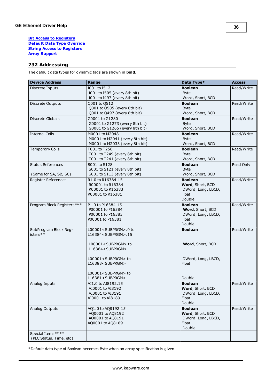#### **[Bit](#page-43-1) [Access](#page-43-1) [to](#page-43-1) [Registers](#page-43-1) [Default](#page-43-2) [Data](#page-43-2) [Type](#page-43-2) [Override](#page-43-2) [String](#page-43-3) [Access](#page-43-3) [to](#page-43-3) [Registers](#page-43-3) [Array](#page-44-1) [Support](#page-44-1)**

## <span id="page-35-0"></span>**732 Addressing**

The default data types for dynamic tags are shown in **bold**.

| <b>Device Address</b>      | Range                           | Data Type*                  | <b>Access</b> |
|----------------------------|---------------------------------|-----------------------------|---------------|
| Discrete Inputs            | I001 to I512                    | <b>Boolean</b>              | Read/Write    |
|                            | I001 to I505 (every 8th bit)    | <b>Byte</b>                 |               |
|                            | I001 to I497 (every 8th bit)    | Word, Short, BCD            |               |
| Discrete Outputs           | Q001 to Q512                    | <b>Boolean</b>              | Read/Write    |
|                            | Q001 to Q505 (every 8th bit)    | <b>Byte</b>                 |               |
|                            | Q001 to Q497 (every 8th bit)    | Word, Short, BCD            |               |
| Discrete Globals           | G0001 to G1280                  | <b>Boolean</b>              | Read/Write    |
|                            | G0001 to G1273 (every 8th bit)  | <b>Byte</b>                 |               |
|                            | G0001 to G1265 (every 8th bit)  | Word, Short, BCD            |               |
| <b>Internal Coils</b>      | M0001 to M2048                  | <b>Boolean</b>              | Read/Write    |
|                            | M0001 to M2041 (every 8th bit)  | <b>Byte</b>                 |               |
|                            | M0001 to M2033 (every 8th bit)  | Word, Short, BCD            |               |
| <b>Temporary Coils</b>     | T001 to T256                    | <b>Boolean</b>              | Read/Write    |
|                            | T001 to T249 (every 8th bit)    | <b>Byte</b>                 |               |
|                            | T001 to T241 (every 8th bit)    | Word, Short, BCD            |               |
| <b>Status References</b>   | S001 to S128                    | <b>Boolean</b>              | Read Only     |
|                            | S001 to S121 (every 8th bit)    | <b>Byte</b>                 |               |
| (Same for SA, SB, SC)      | S001 to S113 (every 8th bit)    | Word, Short, BCD            |               |
| Register References        | R1.0 to R16384.15               | <b>Boolean</b>              | Read/Write    |
|                            | R00001 to R16384                | Word, Short, BCD            |               |
|                            | R00001 to R16383                | DWord, Long, LBCD,          |               |
|                            | R00001 to R16381                | Float                       |               |
|                            |                                 | Double                      |               |
| Program Block Registers*** | P1.0 to P16384.15               | <b>Boolean</b>              | Read/Write    |
|                            | P00001 to P16384                | Word, Short, BCD            |               |
|                            | P00001 to P16383                | DWord, Long, LBCD,<br>Float |               |
|                            | P00001 to P16381                | Double                      |               |
| SubProgram Block Reg-      | L00001 <subprgm>.0 to</subprgm> | <b>Boolean</b>              | Read/Write    |
| isters**                   | L16384 <subprgm>.15</subprgm>   |                             |               |
|                            |                                 |                             |               |
|                            | L00001 <subprgm> to</subprgm>   | Word, Short, BCD            |               |
|                            | L16384 <subprgm></subprgm>      |                             |               |
|                            |                                 |                             |               |
|                            | L00001 <subprgm> to</subprgm>   | DWord, Long, LBCD,          |               |
|                            | L16383 <subprgm></subprgm>      | Float                       |               |
|                            |                                 |                             |               |
|                            | L00001 <subprgm> to</subprgm>   |                             |               |
|                            | L16381 <subprgm></subprgm>      | Double                      |               |
| Analog Inputs              | AI1.0 to AI8192.15              | <b>Boolean</b>              | Read/Write    |
|                            | AI0001 to AI8192                | Word, Short, BCD            |               |
|                            | AI0001 to AI8191                | DWord, Long, LBCD,          |               |
|                            | AI0001 to AI8189                | Float                       |               |
|                            |                                 | Double                      |               |
| Analog Outputs             | AQ1.0 to AQ8192.15              | <b>Boolean</b>              | Read/Write    |
|                            | AQ0001 to AQ8192                | Word, Short, BCD            |               |
|                            | AQ0001 to AQ8191                | DWord, Long, LBCD,          |               |
|                            | AQ0001 to AQ8189                | Float<br>Double             |               |
| Special Items****          |                                 |                             |               |
| (PLC Status, Time, etc)    |                                 |                             |               |
|                            |                                 |                             |               |

\*Default data type of Boolean becomes Byte when an array specification is given.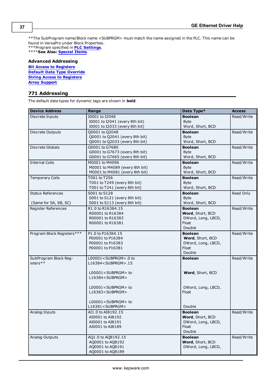\*\*The SubProgram name/Block name <SUBPRGM> must match the name assigned in the PLC. This name can be found in VersaPro under Block Properties. \*\*\*Program specified in **[PLC](#page-7-1) [Settings](#page-7-1)**.

\*\*\*\***See Also: [Special](#page-44-0) [Items](#page-44-0)**.

## **Advanced Addressing**

**[Bit](#page-43-1) [Access](#page-43-1) [to](#page-43-1) [Registers](#page-43-1) [Default](#page-43-2) [Data](#page-43-2) [Type](#page-43-2) [Override](#page-43-2) [String](#page-43-3) [Access](#page-43-3) [to](#page-43-3) [Registers](#page-43-3) [Array](#page-44-1) [Support](#page-44-1)**

## <span id="page-36-0"></span>**771 Addressing**

The default data types for dynamic tags are shown in **bold**.

| I0001 to I2048<br><b>Boolean</b><br>Discrete Inputs<br>Read/Write<br>I0001 to I2041 (every 8th bit)<br><b>Byte</b><br>10001 to I2033 (every 8th bit)<br>Word, Short, BCD<br>Q0001 to Q2048<br><b>Boolean</b><br>Read/Write<br>Discrete Outputs<br>Q0001 to Q2041 (every 8th bit)<br><b>Byte</b><br>Q0001 to Q2033 (every 8th bit)<br>Word, Short, BCD<br>G0001 to G7680<br>Read/Write<br>Discrete Globals<br><b>Boolean</b><br>G0001 to G7673 (every 8th bit)<br><b>Byte</b><br>G0001 to G7665 (every 8th bit)<br>Word, Short, BCD<br><b>Internal Coils</b><br>Read/Write<br>M0001 to M4096<br><b>Boolean</b><br>M0001 to M4089 (every 8th bit)<br><b>Byte</b><br>M0001 to M4081 (every 8th bit)<br>Word, Short, BCD<br>T001 to T256<br><b>Boolean</b><br>Read/Write<br><b>Temporary Coils</b><br>T001 to T249 (every 8th bit)<br><b>Byte</b><br>T001 to T241 (every 8th bit)<br>Word, Short, BCD<br><b>Status References</b><br>S001 to S128<br><b>Boolean</b><br>Read Only<br>S001 to S121 (every 8th bit)<br><b>Byte</b><br>S001 to S113 (every 8th bit)<br>Word, Short, BCD<br>(Same for SA, SB, SC)<br>Register References<br><b>Boolean</b><br>R1.0 to R16384.15<br>Read/Write<br>Word, Short, BCD<br>R00001 to R16384<br>R00001 to R16383<br>DWord, Long, LBCD,<br>Float<br>R00001 to R16381<br>Double<br>Program Block Registers***<br>P1.0 to P16384.15<br><b>Boolean</b><br>Read/Write<br>P00001 to P16384<br>Word, Short, BCD<br>P00001 to P16383<br>DWord, Long, LBCD,<br>Float<br>P00001 to P16381<br>Double<br>SubProgram Block Reg-<br>L00001 <subprgm>.0 to<br/><b>Boolean</b><br/>Read/Write<br/>isters**<br/>L16384<subprgm>.15<br/>L00001<subprgm> to<br/>Word, Short, BCD<br/>L16384<subprgm><br/>L00001<subprgm> to<br/>DWord, Long, LBCD,<br/>Float<br/>L16383<subprgm><br/>L00001<subprgm> to<br/>L16381<subprgm><br/>Double<br/>Read/Write<br/>Analog Inputs<br/>AI1.0 to AI8192.15<br/><b>Boolean</b><br/>Word, Short, BCD<br/>AI0001 to AI8192<br/>AI0001 to AI8191<br/>DWord, Long, LBCD,<br/>AI0001 to AI8189<br/>Float<br/>Double<br/>AQ1.0 to AQ8192.15<br/>Read/Write<br/>Analog Outputs<br/><b>Boolean</b><br/>AQ0001 to AQ8192<br/>Word, Short, BCD</subprgm></subprgm></subprgm></subprgm></subprgm></subprgm></subprgm></subprgm> | <b>Device Address</b> | Range            | Data Type*         | <b>Access</b> |
|----------------------------------------------------------------------------------------------------------------------------------------------------------------------------------------------------------------------------------------------------------------------------------------------------------------------------------------------------------------------------------------------------------------------------------------------------------------------------------------------------------------------------------------------------------------------------------------------------------------------------------------------------------------------------------------------------------------------------------------------------------------------------------------------------------------------------------------------------------------------------------------------------------------------------------------------------------------------------------------------------------------------------------------------------------------------------------------------------------------------------------------------------------------------------------------------------------------------------------------------------------------------------------------------------------------------------------------------------------------------------------------------------------------------------------------------------------------------------------------------------------------------------------------------------------------------------------------------------------------------------------------------------------------------------------------------------------------------------------------------------------------------------------------------------------------------------------------------------------------------------------------------------------------------------------------------------------------------------------------------------------------------------------------------------------------------------------------------------------------------------------------------------------------------------------------------------------------------------------------------------------------------|-----------------------|------------------|--------------------|---------------|
|                                                                                                                                                                                                                                                                                                                                                                                                                                                                                                                                                                                                                                                                                                                                                                                                                                                                                                                                                                                                                                                                                                                                                                                                                                                                                                                                                                                                                                                                                                                                                                                                                                                                                                                                                                                                                                                                                                                                                                                                                                                                                                                                                                                                                                                                      |                       |                  |                    |               |
|                                                                                                                                                                                                                                                                                                                                                                                                                                                                                                                                                                                                                                                                                                                                                                                                                                                                                                                                                                                                                                                                                                                                                                                                                                                                                                                                                                                                                                                                                                                                                                                                                                                                                                                                                                                                                                                                                                                                                                                                                                                                                                                                                                                                                                                                      |                       |                  |                    |               |
|                                                                                                                                                                                                                                                                                                                                                                                                                                                                                                                                                                                                                                                                                                                                                                                                                                                                                                                                                                                                                                                                                                                                                                                                                                                                                                                                                                                                                                                                                                                                                                                                                                                                                                                                                                                                                                                                                                                                                                                                                                                                                                                                                                                                                                                                      |                       |                  |                    |               |
|                                                                                                                                                                                                                                                                                                                                                                                                                                                                                                                                                                                                                                                                                                                                                                                                                                                                                                                                                                                                                                                                                                                                                                                                                                                                                                                                                                                                                                                                                                                                                                                                                                                                                                                                                                                                                                                                                                                                                                                                                                                                                                                                                                                                                                                                      |                       |                  |                    |               |
|                                                                                                                                                                                                                                                                                                                                                                                                                                                                                                                                                                                                                                                                                                                                                                                                                                                                                                                                                                                                                                                                                                                                                                                                                                                                                                                                                                                                                                                                                                                                                                                                                                                                                                                                                                                                                                                                                                                                                                                                                                                                                                                                                                                                                                                                      |                       |                  |                    |               |
|                                                                                                                                                                                                                                                                                                                                                                                                                                                                                                                                                                                                                                                                                                                                                                                                                                                                                                                                                                                                                                                                                                                                                                                                                                                                                                                                                                                                                                                                                                                                                                                                                                                                                                                                                                                                                                                                                                                                                                                                                                                                                                                                                                                                                                                                      |                       |                  |                    |               |
|                                                                                                                                                                                                                                                                                                                                                                                                                                                                                                                                                                                                                                                                                                                                                                                                                                                                                                                                                                                                                                                                                                                                                                                                                                                                                                                                                                                                                                                                                                                                                                                                                                                                                                                                                                                                                                                                                                                                                                                                                                                                                                                                                                                                                                                                      |                       |                  |                    |               |
|                                                                                                                                                                                                                                                                                                                                                                                                                                                                                                                                                                                                                                                                                                                                                                                                                                                                                                                                                                                                                                                                                                                                                                                                                                                                                                                                                                                                                                                                                                                                                                                                                                                                                                                                                                                                                                                                                                                                                                                                                                                                                                                                                                                                                                                                      |                       |                  |                    |               |
|                                                                                                                                                                                                                                                                                                                                                                                                                                                                                                                                                                                                                                                                                                                                                                                                                                                                                                                                                                                                                                                                                                                                                                                                                                                                                                                                                                                                                                                                                                                                                                                                                                                                                                                                                                                                                                                                                                                                                                                                                                                                                                                                                                                                                                                                      |                       |                  |                    |               |
|                                                                                                                                                                                                                                                                                                                                                                                                                                                                                                                                                                                                                                                                                                                                                                                                                                                                                                                                                                                                                                                                                                                                                                                                                                                                                                                                                                                                                                                                                                                                                                                                                                                                                                                                                                                                                                                                                                                                                                                                                                                                                                                                                                                                                                                                      |                       |                  |                    |               |
|                                                                                                                                                                                                                                                                                                                                                                                                                                                                                                                                                                                                                                                                                                                                                                                                                                                                                                                                                                                                                                                                                                                                                                                                                                                                                                                                                                                                                                                                                                                                                                                                                                                                                                                                                                                                                                                                                                                                                                                                                                                                                                                                                                                                                                                                      |                       |                  |                    |               |
|                                                                                                                                                                                                                                                                                                                                                                                                                                                                                                                                                                                                                                                                                                                                                                                                                                                                                                                                                                                                                                                                                                                                                                                                                                                                                                                                                                                                                                                                                                                                                                                                                                                                                                                                                                                                                                                                                                                                                                                                                                                                                                                                                                                                                                                                      |                       |                  |                    |               |
|                                                                                                                                                                                                                                                                                                                                                                                                                                                                                                                                                                                                                                                                                                                                                                                                                                                                                                                                                                                                                                                                                                                                                                                                                                                                                                                                                                                                                                                                                                                                                                                                                                                                                                                                                                                                                                                                                                                                                                                                                                                                                                                                                                                                                                                                      |                       |                  |                    |               |
|                                                                                                                                                                                                                                                                                                                                                                                                                                                                                                                                                                                                                                                                                                                                                                                                                                                                                                                                                                                                                                                                                                                                                                                                                                                                                                                                                                                                                                                                                                                                                                                                                                                                                                                                                                                                                                                                                                                                                                                                                                                                                                                                                                                                                                                                      |                       |                  |                    |               |
|                                                                                                                                                                                                                                                                                                                                                                                                                                                                                                                                                                                                                                                                                                                                                                                                                                                                                                                                                                                                                                                                                                                                                                                                                                                                                                                                                                                                                                                                                                                                                                                                                                                                                                                                                                                                                                                                                                                                                                                                                                                                                                                                                                                                                                                                      |                       |                  |                    |               |
|                                                                                                                                                                                                                                                                                                                                                                                                                                                                                                                                                                                                                                                                                                                                                                                                                                                                                                                                                                                                                                                                                                                                                                                                                                                                                                                                                                                                                                                                                                                                                                                                                                                                                                                                                                                                                                                                                                                                                                                                                                                                                                                                                                                                                                                                      |                       |                  |                    |               |
|                                                                                                                                                                                                                                                                                                                                                                                                                                                                                                                                                                                                                                                                                                                                                                                                                                                                                                                                                                                                                                                                                                                                                                                                                                                                                                                                                                                                                                                                                                                                                                                                                                                                                                                                                                                                                                                                                                                                                                                                                                                                                                                                                                                                                                                                      |                       |                  |                    |               |
|                                                                                                                                                                                                                                                                                                                                                                                                                                                                                                                                                                                                                                                                                                                                                                                                                                                                                                                                                                                                                                                                                                                                                                                                                                                                                                                                                                                                                                                                                                                                                                                                                                                                                                                                                                                                                                                                                                                                                                                                                                                                                                                                                                                                                                                                      |                       |                  |                    |               |
|                                                                                                                                                                                                                                                                                                                                                                                                                                                                                                                                                                                                                                                                                                                                                                                                                                                                                                                                                                                                                                                                                                                                                                                                                                                                                                                                                                                                                                                                                                                                                                                                                                                                                                                                                                                                                                                                                                                                                                                                                                                                                                                                                                                                                                                                      |                       |                  |                    |               |
|                                                                                                                                                                                                                                                                                                                                                                                                                                                                                                                                                                                                                                                                                                                                                                                                                                                                                                                                                                                                                                                                                                                                                                                                                                                                                                                                                                                                                                                                                                                                                                                                                                                                                                                                                                                                                                                                                                                                                                                                                                                                                                                                                                                                                                                                      |                       |                  |                    |               |
|                                                                                                                                                                                                                                                                                                                                                                                                                                                                                                                                                                                                                                                                                                                                                                                                                                                                                                                                                                                                                                                                                                                                                                                                                                                                                                                                                                                                                                                                                                                                                                                                                                                                                                                                                                                                                                                                                                                                                                                                                                                                                                                                                                                                                                                                      |                       |                  |                    |               |
|                                                                                                                                                                                                                                                                                                                                                                                                                                                                                                                                                                                                                                                                                                                                                                                                                                                                                                                                                                                                                                                                                                                                                                                                                                                                                                                                                                                                                                                                                                                                                                                                                                                                                                                                                                                                                                                                                                                                                                                                                                                                                                                                                                                                                                                                      |                       |                  |                    |               |
|                                                                                                                                                                                                                                                                                                                                                                                                                                                                                                                                                                                                                                                                                                                                                                                                                                                                                                                                                                                                                                                                                                                                                                                                                                                                                                                                                                                                                                                                                                                                                                                                                                                                                                                                                                                                                                                                                                                                                                                                                                                                                                                                                                                                                                                                      |                       |                  |                    |               |
|                                                                                                                                                                                                                                                                                                                                                                                                                                                                                                                                                                                                                                                                                                                                                                                                                                                                                                                                                                                                                                                                                                                                                                                                                                                                                                                                                                                                                                                                                                                                                                                                                                                                                                                                                                                                                                                                                                                                                                                                                                                                                                                                                                                                                                                                      |                       |                  |                    |               |
|                                                                                                                                                                                                                                                                                                                                                                                                                                                                                                                                                                                                                                                                                                                                                                                                                                                                                                                                                                                                                                                                                                                                                                                                                                                                                                                                                                                                                                                                                                                                                                                                                                                                                                                                                                                                                                                                                                                                                                                                                                                                                                                                                                                                                                                                      |                       |                  |                    |               |
|                                                                                                                                                                                                                                                                                                                                                                                                                                                                                                                                                                                                                                                                                                                                                                                                                                                                                                                                                                                                                                                                                                                                                                                                                                                                                                                                                                                                                                                                                                                                                                                                                                                                                                                                                                                                                                                                                                                                                                                                                                                                                                                                                                                                                                                                      |                       |                  |                    |               |
|                                                                                                                                                                                                                                                                                                                                                                                                                                                                                                                                                                                                                                                                                                                                                                                                                                                                                                                                                                                                                                                                                                                                                                                                                                                                                                                                                                                                                                                                                                                                                                                                                                                                                                                                                                                                                                                                                                                                                                                                                                                                                                                                                                                                                                                                      |                       |                  |                    |               |
|                                                                                                                                                                                                                                                                                                                                                                                                                                                                                                                                                                                                                                                                                                                                                                                                                                                                                                                                                                                                                                                                                                                                                                                                                                                                                                                                                                                                                                                                                                                                                                                                                                                                                                                                                                                                                                                                                                                                                                                                                                                                                                                                                                                                                                                                      |                       |                  |                    |               |
|                                                                                                                                                                                                                                                                                                                                                                                                                                                                                                                                                                                                                                                                                                                                                                                                                                                                                                                                                                                                                                                                                                                                                                                                                                                                                                                                                                                                                                                                                                                                                                                                                                                                                                                                                                                                                                                                                                                                                                                                                                                                                                                                                                                                                                                                      |                       |                  |                    |               |
|                                                                                                                                                                                                                                                                                                                                                                                                                                                                                                                                                                                                                                                                                                                                                                                                                                                                                                                                                                                                                                                                                                                                                                                                                                                                                                                                                                                                                                                                                                                                                                                                                                                                                                                                                                                                                                                                                                                                                                                                                                                                                                                                                                                                                                                                      |                       |                  |                    |               |
|                                                                                                                                                                                                                                                                                                                                                                                                                                                                                                                                                                                                                                                                                                                                                                                                                                                                                                                                                                                                                                                                                                                                                                                                                                                                                                                                                                                                                                                                                                                                                                                                                                                                                                                                                                                                                                                                                                                                                                                                                                                                                                                                                                                                                                                                      |                       |                  |                    |               |
|                                                                                                                                                                                                                                                                                                                                                                                                                                                                                                                                                                                                                                                                                                                                                                                                                                                                                                                                                                                                                                                                                                                                                                                                                                                                                                                                                                                                                                                                                                                                                                                                                                                                                                                                                                                                                                                                                                                                                                                                                                                                                                                                                                                                                                                                      |                       |                  |                    |               |
|                                                                                                                                                                                                                                                                                                                                                                                                                                                                                                                                                                                                                                                                                                                                                                                                                                                                                                                                                                                                                                                                                                                                                                                                                                                                                                                                                                                                                                                                                                                                                                                                                                                                                                                                                                                                                                                                                                                                                                                                                                                                                                                                                                                                                                                                      |                       |                  |                    |               |
|                                                                                                                                                                                                                                                                                                                                                                                                                                                                                                                                                                                                                                                                                                                                                                                                                                                                                                                                                                                                                                                                                                                                                                                                                                                                                                                                                                                                                                                                                                                                                                                                                                                                                                                                                                                                                                                                                                                                                                                                                                                                                                                                                                                                                                                                      |                       |                  |                    |               |
|                                                                                                                                                                                                                                                                                                                                                                                                                                                                                                                                                                                                                                                                                                                                                                                                                                                                                                                                                                                                                                                                                                                                                                                                                                                                                                                                                                                                                                                                                                                                                                                                                                                                                                                                                                                                                                                                                                                                                                                                                                                                                                                                                                                                                                                                      |                       |                  |                    |               |
|                                                                                                                                                                                                                                                                                                                                                                                                                                                                                                                                                                                                                                                                                                                                                                                                                                                                                                                                                                                                                                                                                                                                                                                                                                                                                                                                                                                                                                                                                                                                                                                                                                                                                                                                                                                                                                                                                                                                                                                                                                                                                                                                                                                                                                                                      |                       |                  |                    |               |
|                                                                                                                                                                                                                                                                                                                                                                                                                                                                                                                                                                                                                                                                                                                                                                                                                                                                                                                                                                                                                                                                                                                                                                                                                                                                                                                                                                                                                                                                                                                                                                                                                                                                                                                                                                                                                                                                                                                                                                                                                                                                                                                                                                                                                                                                      |                       |                  |                    |               |
|                                                                                                                                                                                                                                                                                                                                                                                                                                                                                                                                                                                                                                                                                                                                                                                                                                                                                                                                                                                                                                                                                                                                                                                                                                                                                                                                                                                                                                                                                                                                                                                                                                                                                                                                                                                                                                                                                                                                                                                                                                                                                                                                                                                                                                                                      |                       |                  |                    |               |
|                                                                                                                                                                                                                                                                                                                                                                                                                                                                                                                                                                                                                                                                                                                                                                                                                                                                                                                                                                                                                                                                                                                                                                                                                                                                                                                                                                                                                                                                                                                                                                                                                                                                                                                                                                                                                                                                                                                                                                                                                                                                                                                                                                                                                                                                      |                       |                  |                    |               |
|                                                                                                                                                                                                                                                                                                                                                                                                                                                                                                                                                                                                                                                                                                                                                                                                                                                                                                                                                                                                                                                                                                                                                                                                                                                                                                                                                                                                                                                                                                                                                                                                                                                                                                                                                                                                                                                                                                                                                                                                                                                                                                                                                                                                                                                                      |                       |                  |                    |               |
|                                                                                                                                                                                                                                                                                                                                                                                                                                                                                                                                                                                                                                                                                                                                                                                                                                                                                                                                                                                                                                                                                                                                                                                                                                                                                                                                                                                                                                                                                                                                                                                                                                                                                                                                                                                                                                                                                                                                                                                                                                                                                                                                                                                                                                                                      |                       |                  |                    |               |
|                                                                                                                                                                                                                                                                                                                                                                                                                                                                                                                                                                                                                                                                                                                                                                                                                                                                                                                                                                                                                                                                                                                                                                                                                                                                                                                                                                                                                                                                                                                                                                                                                                                                                                                                                                                                                                                                                                                                                                                                                                                                                                                                                                                                                                                                      |                       |                  |                    |               |
|                                                                                                                                                                                                                                                                                                                                                                                                                                                                                                                                                                                                                                                                                                                                                                                                                                                                                                                                                                                                                                                                                                                                                                                                                                                                                                                                                                                                                                                                                                                                                                                                                                                                                                                                                                                                                                                                                                                                                                                                                                                                                                                                                                                                                                                                      |                       |                  |                    |               |
|                                                                                                                                                                                                                                                                                                                                                                                                                                                                                                                                                                                                                                                                                                                                                                                                                                                                                                                                                                                                                                                                                                                                                                                                                                                                                                                                                                                                                                                                                                                                                                                                                                                                                                                                                                                                                                                                                                                                                                                                                                                                                                                                                                                                                                                                      |                       |                  |                    |               |
|                                                                                                                                                                                                                                                                                                                                                                                                                                                                                                                                                                                                                                                                                                                                                                                                                                                                                                                                                                                                                                                                                                                                                                                                                                                                                                                                                                                                                                                                                                                                                                                                                                                                                                                                                                                                                                                                                                                                                                                                                                                                                                                                                                                                                                                                      |                       |                  |                    |               |
|                                                                                                                                                                                                                                                                                                                                                                                                                                                                                                                                                                                                                                                                                                                                                                                                                                                                                                                                                                                                                                                                                                                                                                                                                                                                                                                                                                                                                                                                                                                                                                                                                                                                                                                                                                                                                                                                                                                                                                                                                                                                                                                                                                                                                                                                      |                       | AQ0001 to AQ8191 | DWord, Long, LBCD, |               |
| AQ0001 to AQ8189                                                                                                                                                                                                                                                                                                                                                                                                                                                                                                                                                                                                                                                                                                                                                                                                                                                                                                                                                                                                                                                                                                                                                                                                                                                                                                                                                                                                                                                                                                                                                                                                                                                                                                                                                                                                                                                                                                                                                                                                                                                                                                                                                                                                                                                     |                       |                  |                    |               |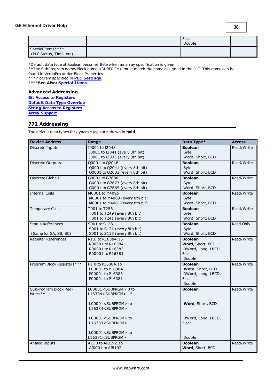**38**

|                                               | Float<br>Double |  |
|-----------------------------------------------|-----------------|--|
| Special Items ****<br>(PLC Status, Time, etc) |                 |  |

\*Default data type of Boolean becomes Byte when an array specification is given.

\*\*The SubProgram name/Block name <SUBPRGM> must match the name assigned in the PLC. This name can be found in VersaPro under Block Properties. \*\*\*Program specified in **[PLC](#page-7-1) [Settings](#page-7-1)**.

\*\*\*\***See Also: [Special](#page-44-0) [Items](#page-44-0)**.

## **Advanced Addressing**

**[Bit](#page-43-1) [Access](#page-43-1) [to](#page-43-1) [Registers](#page-43-1) [Default](#page-43-2) [Data](#page-43-2) [Type](#page-43-2) [Override](#page-43-2) [String](#page-43-3) [Access](#page-43-3) [to](#page-43-3) [Registers](#page-43-3) [Array](#page-44-1) [Support](#page-44-1)**

## <span id="page-37-0"></span>**772 Addressing**

The default data types for dynamic tags are shown in **bold**.

| <b>Device Address</b>      | Range                           | Data Type*         | <b>Access</b> |
|----------------------------|---------------------------------|--------------------|---------------|
| Discrete Inputs            | I0001 to I2048                  | <b>Boolean</b>     | Read/Write    |
|                            | 10001 to 12041 (every 8th bit)  | <b>Byte</b>        |               |
|                            | I0001 to I2033 (every 8th bit)  | Word, Short, BCD   |               |
| Discrete Outputs           | Q0001 to Q2048                  | <b>Boolean</b>     | Read/Write    |
|                            | Q0001 to Q2041 (every 8th bit)  | <b>B</b> vte       |               |
|                            | Q0001 to Q2033 (every 8th bit)  | Word, Short, BCD   |               |
| Discrete Globals           | G0001 to G7680                  | <b>Boolean</b>     | Read/Write    |
|                            | G0001 to G7673 (every 8th bit)  | <b>Byte</b>        |               |
|                            | G0001 to G7665 (every 8th bit)  | Word, Short, BCD   |               |
| <b>Internal Coils</b>      | M0001 to M4096                  | <b>Boolean</b>     | Read/Write    |
|                            | M0001 to M4089 (every 8th bit)  | <b>Byte</b>        |               |
|                            | M0001 to M4081 (every 8th bit)  | Word, Short, BCD   |               |
| Temporary Coils            | T001 to T256                    | <b>Boolean</b>     | Read/Write    |
|                            | T001 to T249 (every 8th bit)    | <b>Byte</b>        |               |
|                            | T001 to T241 (every 8th bit)    | Word, Short, BCD   |               |
| <b>Status References</b>   | S001 to S128                    | <b>Boolean</b>     | Read Only     |
|                            | S001 to S121 (every 8th bit)    | <b>Byte</b>        |               |
| (Same for SA, SB, SC)      | S001 to S113 (every 8th bit)    | Word, Short, BCD   |               |
| <b>Register References</b> | R1.0 to R16384.15               | <b>Boolean</b>     | Read/Write    |
|                            | R00001 to R16384                | Word, Short, BCD   |               |
|                            | R00001 to R16383                | DWord, Long, LBCD, |               |
|                            | R00001 to R16381                | Float              |               |
|                            |                                 | Double             |               |
| Program Block Registers*** | P1.0 to P16384.15               | <b>Boolean</b>     | Read/Write    |
|                            | P00001 to P16384                | Word, Short, BCD   |               |
|                            | P00001 to P16383                | DWord, Long, LBCD, |               |
|                            | P00001 to P16381                | Float              |               |
|                            |                                 | Double             |               |
| SubProgram Block Reg-      | L00001 <subprgm>.0 to</subprgm> | <b>Boolean</b>     | Read/Write    |
| isters**                   | L16384 <subprgm>.15</subprgm>   |                    |               |
|                            |                                 |                    |               |
|                            | L00001 <subprgm> to</subprgm>   | Word, Short, BCD   |               |
|                            | L16384 <subprgm></subprgm>      |                    |               |
|                            | L00001 <subprgm> to</subprgm>   | DWord, Long, LBCD, |               |
|                            | L16383 <subprgm></subprgm>      | Float              |               |
|                            |                                 |                    |               |
|                            | L00001 <subprgm> to</subprgm>   |                    |               |
|                            | L16381 <subprgm></subprgm>      | Double             |               |
| Analog Inputs              | AI1.0 to AI8192.15              | <b>Boolean</b>     | Read/Write    |
|                            | AI0001 to AI8192                | Word, Short, BCD   |               |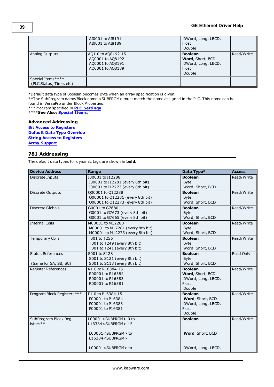|                                              | AI0001 to AI8191<br>AI0001 to AI8189                                           | DWord, Long, LBCD,<br>Float<br>Double                                       |            |
|----------------------------------------------|--------------------------------------------------------------------------------|-----------------------------------------------------------------------------|------------|
| Analog Outputs                               | AQ1.0 to AQ8192.15<br>A00001 to A08192<br>A00001 to A08191<br>A00001 to A08189 | <b>Boolean</b><br>Word, Short, BCD<br>DWord, Long, LBCD,<br>Float<br>Double | Read/Write |
| Special Items****<br>(PLC Status, Time, etc) |                                                                                |                                                                             |            |

\*\*The SubProgram name/Block name <SUBPRGM> must match the name assigned in the PLC. This name can be found in VersaPro under Block Properties.

\*\*\*Program specified in **[PLC](#page-7-1) [Settings](#page-7-1)**.

\*\*\*\***See Also: [Special](#page-44-0) [Items](#page-44-0)**.

## **Advanced Addressing**

**[Bit](#page-43-1) [Access](#page-43-1) [to](#page-43-1) [Registers](#page-43-1) [Default](#page-43-2) [Data](#page-43-2) [Type](#page-43-2) [Override](#page-43-2) [String](#page-43-3) [Access](#page-43-3) [to](#page-43-3) [Registers](#page-43-3) [Array](#page-44-1) [Support](#page-44-1)**

## <span id="page-38-0"></span>**781 Addressing**

The default data types for dynamic tags are shown in **bold**.

| <b>Device Address</b>                             | Range                                                                                             | Data Type*                                                                  | <b>Access</b> |
|---------------------------------------------------|---------------------------------------------------------------------------------------------------|-----------------------------------------------------------------------------|---------------|
| Discrete Inputs                                   | I00001 to I12288<br>I00001 to I12281 (every 8th bit)<br>100001 to 112273 (every 8th bit)          | <b>Boolean</b><br><b>Byte</b><br>Word, Short, BCD                           | Read/Write    |
| Discrete Outputs                                  | Q00001 to Q12288<br>Q00001 to Q12281 (every 8th bit)<br>Q00001 to Q12273 (every 8th bit)          | <b>Boolean</b><br><b>Byte</b><br>Word, Short, BCD                           | Read/Write    |
| Discrete Globals                                  | G0001 to G7680<br>G0001 to G7673 (every 8th bit)<br>G0001 to G7665 (every 8th bit)                | <b>Boolean</b><br><b>Byte</b><br>Word, Short, BCD                           | Read/Write    |
| <b>Internal Coils</b>                             | M00001 to M12288<br>M00001 to M12281 (every 8th bit)<br>M00001 to M12273 (every 8th bit)          | <b>Boolean</b><br><b>Byte</b><br>Word, Short, BCD                           | Read/Write    |
| <b>Temporary Coils</b>                            | T001 to T256<br>T001 to T249 (every 8th bit)<br>T001 to T241 (every 8th bit)                      | <b>Boolean</b><br><b>B</b> vte<br>Word, Short, BCD                          | Read/Write    |
| <b>Status References</b><br>(Same for SA, SB, SC) | S001 to S128<br>S001 to S121 (every 8th bit)<br>S001 to S113 (every 8th bit)                      | <b>Boolean</b><br><b>Byte</b><br>Word, Short, BCD                           | Read Only     |
| Register References                               | R1.0 to R16384.15<br>R00001 to R16384<br>R00001 to R16383<br>R00001 to R16381                     | <b>Boolean</b><br>Word, Short, BCD<br>DWord, Long, LBCD,<br>Float<br>Double | Read/Write    |
| Program Block Registers***                        | P1.0 to P16384.15<br>P00001 to P16384<br>P00001 to P16383<br>P00001 to P16381                     | <b>Boolean</b><br>Word, Short, BCD<br>DWord, Long, LBCD,<br>Float<br>Double | Read/Write    |
| SubProgram Block Reg-<br>isters**                 | L00001 <subprgm>.0 to<br/>L16384<subprgm>.15<br/>L00001<subprgm> to</subprgm></subprgm></subprgm> | <b>Boolean</b><br>Word, Short, BCD                                          | Read/Write    |
|                                                   | L16384 <subprgm><br/>L00001<subprgm> to</subprgm></subprgm>                                       | DWord, Long, LBCD,                                                          |               |

**39**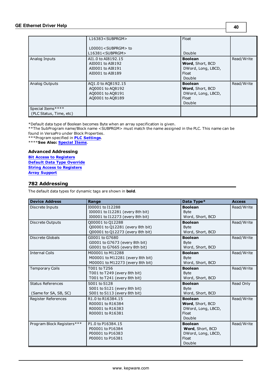|                                              | L16383 <subprgm><br/>L00001<subprgm> to<br/>L16381<subprgm></subprgm></subprgm></subprgm> | Float<br>Double                                                             |            |
|----------------------------------------------|-------------------------------------------------------------------------------------------|-----------------------------------------------------------------------------|------------|
| Analog Inputs                                | AI1.0 to AI8192.15<br>AI0001 to AI8192<br>AI0001 to AI8191<br>AI0001 to AI8189            | <b>Boolean</b><br>Word, Short, BCD<br>DWord, Long, LBCD,<br>Float<br>Double | Read/Write |
| Analog Outputs                               | AQ1.0 to AQ8192.15<br>AQ0001 to AQ8192<br>A00001 to A08191<br>AQ0001 to AQ8189            | <b>Boolean</b><br>Word, Short, BCD<br>DWord, Long, LBCD,<br>Float<br>Double | Read/Write |
| Special Items****<br>(PLC Status, Time, etc) |                                                                                           |                                                                             |            |

\*\*The SubProgram name/Block name <SUBPRGM> must match the name assigned in the PLC. This name can be found in VersaPro under Block Properties.

\*\*\*Program specified in **[PLC](#page-7-1) [Settings](#page-7-1)**. \*\*\*\***See Also: [Special](#page-44-0) [Items](#page-44-0)**.

## **Advanced Addressing**

**[Bit](#page-43-1) [Access](#page-43-1) [to](#page-43-1) [Registers](#page-43-1) [Default](#page-43-2) [Data](#page-43-2) [Type](#page-43-2) [Override](#page-43-2) [String](#page-43-3) [Access](#page-43-3) [to](#page-43-3) [Registers](#page-43-3) [Array](#page-44-1) [Support](#page-44-1)**

## <span id="page-39-0"></span>**782 Addressing**

The default data types for dynamic tags are shown in **bold**.

| <b>Device Address</b>      | Range                            | Data Type*         | <b>Access</b> |
|----------------------------|----------------------------------|--------------------|---------------|
| Discrete Inputs            | I00001 to I12288                 | <b>Boolean</b>     | Read/Write    |
|                            | I00001 to I12281 (every 8th bit) | <b>Byte</b>        |               |
|                            | I00001 to I12273 (every 8th bit) | Word, Short, BCD   |               |
| <b>Discrete Outputs</b>    | Q00001 to Q12288                 | <b>Boolean</b>     | Read/Write    |
|                            | Q00001 to Q12281 (every 8th bit) | <b>B</b> vte       |               |
|                            | Q00001 to Q12273 (every 8th bit) | Word, Short, BCD   |               |
| <b>Discrete Globals</b>    | G0001 to G7680                   | <b>Boolean</b>     | Read/Write    |
|                            | G0001 to G7673 (every 8th bit)   | <b>Byte</b>        |               |
|                            | G0001 to G7665 (every 8th bit)   | Word, Short, BCD   |               |
| <b>Internal Coils</b>      | M00001 to M12288                 | <b>Boolean</b>     | Read/Write    |
|                            | M00001 to M12281 (every 8th bit) | <b>Byte</b>        |               |
|                            | M00001 to M12273 (every 8th bit) | Word, Short, BCD   |               |
| <b>Temporary Coils</b>     | T001 to T256                     | <b>Boolean</b>     | Read/Write    |
|                            | T001 to T249 (every 8th bit)     | <b>Byte</b>        |               |
|                            | T001 to T241 (every 8th bit)     | Word, Short, BCD   |               |
| <b>Status References</b>   | S001 to S128                     | <b>Boolean</b>     | Read Only     |
|                            | S001 to S121 (every 8th bit)     | <b>Byte</b>        |               |
| (Same for SA, SB, SC)      | S001 to S113 (every 8th bit)     | Word, Short, BCD   |               |
| Register References        | R1.0 to R16384.15                | <b>Boolean</b>     | Read/Write    |
|                            | R00001 to R16384                 | Word, Short, BCD   |               |
|                            | R00001 to R16383                 | DWord, Long, LBCD, |               |
|                            | R00001 to R16381                 | Float              |               |
|                            |                                  | Double             |               |
| Program Block Registers*** | P1.0 to P16384.15                | <b>Boolean</b>     | Read/Write    |
|                            | P00001 to P16384                 | Word, Short, BCD   |               |
|                            | P00001 to P16383                 | DWord, Long, LBCD, |               |
|                            | P00001 to P16381                 | Float              |               |
|                            |                                  | Double             |               |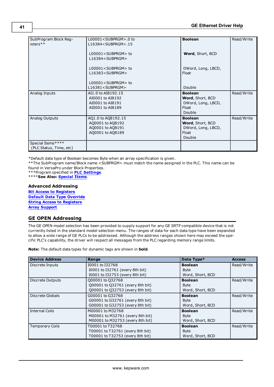| SubProgram Block Reg-<br>isters**            | L00001 <subprgm>.0 to<br/>L16384<subprgm>.15</subprgm></subprgm>               | <b>Boolean</b>                                                              | Read/Write |
|----------------------------------------------|--------------------------------------------------------------------------------|-----------------------------------------------------------------------------|------------|
|                                              | L00001 <subprgm> to<br/>L16384<subprgm></subprgm></subprgm>                    | Word, Short, BCD                                                            |            |
|                                              | L00001 <subprgm> to<br/>L16383<subprgm></subprgm></subprgm>                    | DWord, Long, LBCD,<br>Float                                                 |            |
|                                              | L00001 <subprgm> to<br/>L16381<subprgm></subprgm></subprgm>                    | Double                                                                      |            |
| Analog Inputs                                | AI1.0 to AI8192.15<br>AI0001 to AI8192<br>AI0001 to AI8191<br>AI0001 to AI8189 | <b>Boolean</b><br>Word, Short, BCD<br>DWord, Long, LBCD,<br>Float<br>Double | Read/Write |
| Analog Outputs                               | AQ1.0 to AQ8192.15<br>AQ0001 to AQ8192<br>AQ0001 to AQ8191<br>AQ0001 to AQ8189 | <b>Boolean</b><br>Word, Short, BCD<br>DWord, Long, LBCD,<br>Float<br>Double | Read/Write |
| Special Items****<br>(PLC Status, Time, etc) |                                                                                |                                                                             |            |

\*\*The SubProgram name/Block name <SUBPRGM> must match the name assigned in the PLC. This name can be found in VersaPro under Block Properties.

\*\*\*Program specified in **[PLC](#page-7-1) [Settings](#page-7-1)**.

\*\*\*\***See Also: [Special](#page-44-0) [Items](#page-44-0)**.

## **Advanced Addressing**

**[Bit](#page-43-1) [Access](#page-43-1) [to](#page-43-1) [Registers](#page-43-1) [Default](#page-43-2) [Data](#page-43-2) [Type](#page-43-2) [Override](#page-43-2) [String](#page-43-3) [Access](#page-43-3) [to](#page-43-3) [Registers](#page-43-3) [Array](#page-44-1) [Support](#page-44-1)**

## <span id="page-40-0"></span>**GE OPEN Addressing**

The GE OPEN model selection has been provided to supply support for any GE SRTP compatible device that is not currently listed in the standard model selection menu. The ranges of data for each data type have been expanded to allow a wide range of GE PLCs to be addressed. Although the address ranges shown here may exceed the specific PLC's capability, the driver will respect all messages from the PLC regarding memory range limits.

**Note:** The default data types for dynamic tags are shown in **bold**.

| <b>Device Address</b>   | Range                            | Data Type*       | <b>Access</b> |
|-------------------------|----------------------------------|------------------|---------------|
| Discrete Inputs         | I0001 to I32768                  | <b>Boolean</b>   | Read/Write    |
|                         | 10001 to 132761 (every 8th bit)  | <b>Byte</b>      |               |
|                         | I0001 to I32753 (every 8th bit)  | Word, Short, BCD |               |
| <b>Discrete Outputs</b> | Q00001 to Q32768                 | <b>Boolean</b>   | Read/Write    |
|                         | Q00001 to Q32761 (every 8th bit) | <b>Byte</b>      |               |
|                         | Q00001 to Q32753 (every 8th bit) | Word, Short, BCD |               |
| Discrete Globals        | G00001 to G32768                 | <b>Boolean</b>   | Read/Write    |
|                         | G00001 to G32761 (every 8th bit) | <b>Byte</b>      |               |
|                         | G00001 to G32753 (every 8th bit) | Word, Short, BCD |               |
| <b>Internal Coils</b>   | M00001 to M32768                 | <b>Boolean</b>   | Read/Write    |
|                         | M00001 to M32761 (every 8th bit) | <b>Byte</b>      |               |
|                         | M00001 to M32753 (every 8th bit) | Word, Short, BCD |               |
| <b>Temporary Coils</b>  | T00001 to T32768                 | <b>Boolean</b>   | Read/Write    |
|                         | T00001 to T32761 (every 8th bit) | <b>Byte</b>      |               |
|                         | T00001 to T32753 (every 8th bit) | Word, Short, BCD |               |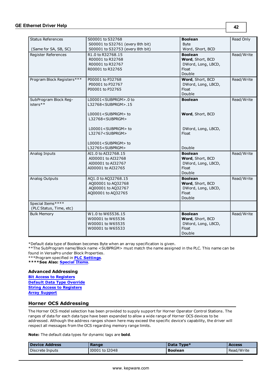| <b>Status References</b>   | S00001 to S32768                                            | <b>Boolean</b>              | Read Only  |
|----------------------------|-------------------------------------------------------------|-----------------------------|------------|
|                            | S00001 to S32761 (every 8th bit)                            | <b>Byte</b>                 |            |
| (Same for SA, SB, SC)      | S00001 to S32753 (every 8th bit)                            | Word, Short, BCD            |            |
| Register References        | R1.0 to R32768.15                                           | <b>Boolean</b>              | Read/Write |
|                            | R00001 to R32768                                            | Word, Short, BCD            |            |
|                            | R00001 to R32767                                            | DWord, Long, LBCD,          |            |
|                            | R00001 to R32765                                            | Float                       |            |
|                            |                                                             | Double                      |            |
| Program Block Registers*** | P00001 to P32768                                            | Word, Short, BCD            | Read/Write |
|                            | P00001 to P32767                                            | DWord, Long, LBCD,          |            |
|                            | P00001 to P32765                                            | Float                       |            |
|                            |                                                             | Double                      |            |
| SubProgram Block Reg-      | L00001 <subprgm>.0 to</subprgm>                             | <b>Boolean</b>              | Read/Write |
| isters**                   | L32768 <subprgm>.15</subprgm>                               |                             |            |
|                            |                                                             |                             |            |
|                            | L00001 <subprgm> to</subprgm>                               | Word, Short, BCD            |            |
|                            | L32768 <subprgm></subprgm>                                  |                             |            |
|                            |                                                             |                             |            |
|                            | L00001 <subprgm> to</subprgm>                               | DWord, Long, LBCD,          |            |
|                            | L32767 <subprgm></subprgm>                                  | Float                       |            |
|                            |                                                             |                             |            |
|                            | L00001 <subprgm> to<br/>L32765<subprgm></subprgm></subprgm> | Double                      |            |
|                            |                                                             |                             |            |
| Analog Inputs              | AI1.0 to AI32768.15                                         | <b>Boolean</b>              | Read/Write |
|                            | AI00001 to AI32768                                          | Word, Short, BCD            |            |
|                            | AI00001 to AI32767                                          | DWord, Long, LBCD,          |            |
|                            | AI00001 to AI32765                                          | Float<br>Double             |            |
|                            |                                                             | <b>Boolean</b>              |            |
| Analog Outputs             | AQ1.0 to AQ32768.15                                         |                             | Read/Write |
|                            | AQ00001 to AQ32768                                          | Word, Short, BCD            |            |
|                            | AQ00001 to AQ32767                                          | DWord, Long, LBCD,<br>Float |            |
|                            | AQ00001 to AQ32765                                          | Double                      |            |
|                            |                                                             |                             |            |
| Special Items****          |                                                             |                             |            |
| (PLC Status, Time, etc)    |                                                             |                             |            |
| <b>Bulk Memory</b>         | W1.0 to W65536.15                                           | <b>Boolean</b>              | Read/Write |
|                            | W00001 to W65536                                            | Word, Short, BCD            |            |
|                            | W00001 to W65535                                            | DWord, Long, LBCD,          |            |
|                            | W00001 to W65533                                            | Float                       |            |
|                            |                                                             | Double                      |            |

\*\*The SubProgram name/Block name <SUBPRGM> must match the name assigned in the PLC. This name can be found in VersaPro under Block Properties.

\*\*\*Program specified in **[PLC](#page-7-1) [Settings](#page-7-1)**.

**\*\*\*\*See Also: [Special](#page-44-0) [Items](#page-44-0)**.

#### **Advanced Addressing**

**[Bit](#page-43-1) [Access](#page-43-1) [to](#page-43-1) [Registers](#page-43-1) [Default](#page-43-2) [Data](#page-43-2) [Type](#page-43-2) [Override](#page-43-2) [String](#page-43-3) [Access](#page-43-3) [to](#page-43-3) [Registers](#page-43-3) [Array](#page-44-1) [Support](#page-44-1)**

## <span id="page-41-0"></span>**Horner OCS Addressing**

The Horner OCS model selection has been provided to supply support for Horner Operator Control Stations. The ranges of data for each data type have been expanded to allow a wide range of Horner OCS devices to be addressed. Although the address ranges shown here may exceed the specific device's capability, the driver will respect all messages from the OCS regarding memory range limits.

**Note:** The default data types for dynamic tags are **bold**.

| Device Address  | Range          | Data Type*     | <b>Access</b> |
|-----------------|----------------|----------------|---------------|
| Discrete Inputs | I0001 to I2048 | <b>Boolean</b> | Read/Write    |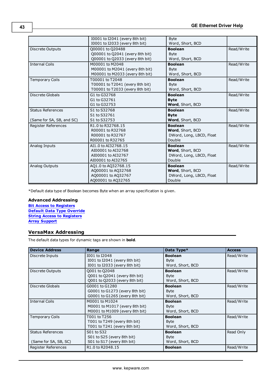|                                                       | I0001 to I2041 (every 8th bit)<br>I0001 to I2033 (every 8th bit)                       | <b>Byte</b><br>Word, Short, BCD                                          |            |
|-------------------------------------------------------|----------------------------------------------------------------------------------------|--------------------------------------------------------------------------|------------|
| Discrete Outputs                                      | Q00001 to Q20488<br>Q00001 to Q2041 (every 8th bit)<br>Q00001 to Q2033 (every 8th bit) | <b>Boolean</b><br><b>Byte</b><br>Word, Short, BCD                        | Read/Write |
| <b>Internal Coils</b>                                 | M00001 to M2048<br>M00001 to M2041 (every 8th bit)<br>M00001 to M2033 (every 8th bit)  | <b>Boolean</b><br><b>Byte</b><br>Word, Short, BCD                        | Read/Write |
| <b>Temporary Coils</b>                                | T00001 to T2048<br>T00001 to T2041 (every 8th bit)<br>T00001 to T2033 (every 8th bit)  | <b>Boolean</b><br><b>Byte</b><br>Word, Short, BCD                        | Read/Write |
| Discrete Globals                                      | G1 to G32768<br>G1 to G32761<br>G1 to G32753                                           | <b>Boolean</b><br><b>Byte</b><br>Word, Short, BCD                        | Read/Write |
| <b>Status References</b><br>(Same for SA, SB, and SC) | S1 to S32768<br>S1 to S32761<br>S1 to S32753                                           | <b>Boolean</b><br><b>Byte</b><br>Word, Short, BCD                        | Read/Write |
| Register References                                   | R1.0 to R32768.15<br>R00001 to R32768<br>R00001 to R32767<br>R00001 to R32765          | <b>Boolean</b><br>Word, Short, BCD<br>DWord, Long, LBCD, Float<br>Double | Read/Write |
| Analog Inputs                                         | AI1.0 to AI32768.15<br>AI00001 to AI32768<br>AI00001 to AI32767<br>AI00001 to AI32765  | <b>Boolean</b><br>Word, Short, BCD<br>DWord, Long, LBCD, Float<br>Double | Read/Write |
| Analog Outputs                                        | AQ1.0 to AQ32768.15<br>AQ00001 to AQ32768<br>AQ00001 to AQ32767<br>AQ00001 to AQ32765  | <b>Boolean</b><br>Word, Short, BCD<br>DWord, Long, LBCD, Float<br>Double | Read/Write |

## **Advanced Addressing**

**[Bit](#page-43-1) [Access](#page-43-1) [to](#page-43-1) [Registers](#page-43-1) [Default](#page-43-2) [Data](#page-43-2) [Type](#page-43-2) [Override](#page-43-2) [String](#page-43-3) [Access](#page-43-3) [to](#page-43-3) [Registers](#page-43-3) [Array](#page-44-1) [Support](#page-44-1)**

## <span id="page-42-0"></span>**VersaMax Addressing**

The default data types for dynamic tags are shown in **bold**.

| <b>Device Address</b>    | Range                          | Data Type*       | <b>Access</b> |
|--------------------------|--------------------------------|------------------|---------------|
| Discrete Inputs          | I001 to I2048                  | <b>Boolean</b>   | Read/Write    |
|                          | 1001 to 12041 (every 8th bit)  | <b>Byte</b>      |               |
|                          | 1001 to I2033 (every 8th bit)  | Word, Short, BCD |               |
| Discrete Outputs         | Q001 to Q2048                  | <b>Boolean</b>   | Read/Write    |
|                          | Q001 to Q2041 (every 8th bit)  | <b>Byte</b>      |               |
|                          | Q001 to Q2033 (every 8th bit)  | Word, Short, BCD |               |
| Discrete Globals         | G0001 to G1280                 | <b>Boolean</b>   | Read/Write    |
|                          | G0001 to G1273 (every 8th bit) | <b>Byte</b>      |               |
|                          | G0001 to G1265 (every 8th bit) | Word, Short, BCD |               |
| <b>Internal Coils</b>    | M0001 to M1024                 | <b>Boolean</b>   | Read/Write    |
|                          | M0001 to M1017 (every 8th bit) | <b>Byte</b>      |               |
|                          | M0001 to M1009 (every 8th bit) | Word, Short, BCD |               |
| <b>Temporary Coils</b>   | T001 to T256                   | <b>Boolean</b>   | Read/Write    |
|                          | T001 to T249 (every 8th bit)   | <b>Byte</b>      |               |
|                          | T001 to T241 (every 8th bit)   | Word, Short, BCD |               |
| <b>Status References</b> | S01 to S32                     | <b>Boolean</b>   | Read Only     |
|                          | S01 to S25 (every 8th bit)     | <b>Byte</b>      |               |
| (Same for SA, SB, SC)    | S01 to S17 (every 8th bit)     | Word, Short, BCD |               |
| Register References      | R1.0 to R2048.15               | <b>Boolean</b>   | Read/Write    |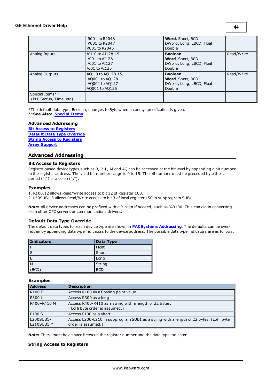## **GE Ethernet Driver Help**

|                                            | R001 to R2048<br>R001 to R2047<br>R001 to R2045                         | <b>Word, Short, BCD</b><br>DWord, Long, LBCD, Float<br>Double                   |            |
|--------------------------------------------|-------------------------------------------------------------------------|---------------------------------------------------------------------------------|------------|
| Analog Inputs                              | AI1.0 to AI128.15<br>AI01 to AI128<br>AI01 to AI127<br>AI01 to AI125    | <b>Boolean</b><br><b>Word, Short, BCD</b><br>DWord, Long, LBCD, Float<br>Double | Read/Write |
| Analog Outputs                             | AQ1.0 to AQ128.15<br>A0001 to A0128<br>AQ001 to AQ127<br>A0001 to A0125 | <b>Boolean</b><br>Word, Short, BCD<br>DWord, Long, LBCD, Float<br>Double        | Read/Write |
| Special Items**<br>(PLC Status, Time, etc) |                                                                         |                                                                                 |            |

\*The default data type, Boolean, changes to Byte when an array specification is given. \*\***See Also: [Special](#page-44-0) [Items](#page-44-0)**.

#### **Advanced Addressing**

**[Bit](#page-43-1) [Access](#page-43-1) [to](#page-43-1) [Registers](#page-43-1) [Default](#page-43-2) [Data](#page-43-2) [Type](#page-43-2) [Override](#page-43-2) [String](#page-43-3) [Access](#page-43-3) [to](#page-43-3) [Registers](#page-43-3) [Array](#page-44-1) [Support](#page-44-1)**

## <span id="page-43-1"></span><span id="page-43-0"></span>**Advanced Addressing**

#### **Bit Access to Registers**

Register based device types such as R, P, L, AI and AQ can be accessed at the bit level by appending a bit number to the register address. The valid bit number range is 0 to 15. The bit number must be preceded by either a period (".") or a colon (":").

#### **Examples**

1. R100.12 allows Read/Write access to bit 12 of Register 100.

2. L50SUB1.3 allows Read/Write access to bit 3 of local register L50 in subprogram SUB1.

<span id="page-43-2"></span>**Note:** All device addresses can be prefixed with a % sign if needed, such as %R100. This can aid in converting from other OPC servers or communications drivers.

## **Default Data Type Override**

The default data types for each device type are shown in **[PACSystems](#page-25-1) [Addressing](#page-25-1)**. The defaults can be overridden by appending data type indicators to the device address. The possible data type indicators are as follows.

| <b>Indicators</b> | Data Type  |
|-------------------|------------|
|                   | Float      |
| S                 | Short      |
|                   | Long       |
| M                 | String     |
| <b>BCD</b>        | <b>BCD</b> |

#### **Examples**

| <b>Address</b>          | <b>Description</b>                                                                                          |
|-------------------------|-------------------------------------------------------------------------------------------------------------|
| <b>R100 F</b>           | Access R100 as a floating point value                                                                       |
| <b>R300L</b>            | Access R300 as a long                                                                                       |
| R400-R410 M             | Access R400-R410 as a string with a length of 22 bytes.<br>(LoHi byte order is assumed.)                    |
| P <sub>100</sub> S      | Access P100 as a short                                                                                      |
| L200SUB1-<br>L210SUB1 M | Access L200-L210 in subprogram SUB1 as a string with a length of 22 bytes. (LoHi byte<br>order is assumed.) |

<span id="page-43-3"></span>**Note:** There must be a space between the register number and the data type indicator.

## **String Access to Registers**

**44**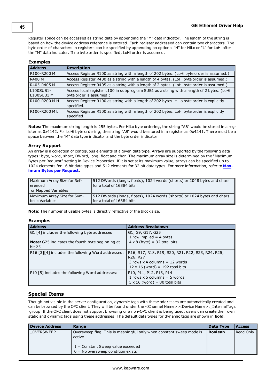Register space can be accessed as string data by appending the "M" data indicator. The length of the string is based on how the device address reference is entered. Each register addressed can contain two characters. The byte order of characters in registers can be specified by appending an optional "H" for HiLo or "L" for LoHi after the "M" data indicator. If no byte order is specified, LoHi order is assumed.

## **Examples**

| <b>Address</b> | <b>Description</b>                                                                                     |
|----------------|--------------------------------------------------------------------------------------------------------|
| R100-R200 M    | Access Register R100 as string with a length of 202 bytes. (LoHi byte order is assumed.)               |
| R400 M         | Access Register R400 as a string with a length of 4 bytes. (LoHi byte order is assumed.)               |
| R405-R405 M    | Access Register R405 as a string with a length of 2 bytes. (LoHi byte order is assumed.)               |
| L100SUB1-      | Access local register L100 in subprogram SUB1 as a string with a length of 2 bytes. (LoHi              |
| L100SUB1 M     | byte order is assumed.)                                                                                |
| R100-R200 M H  | Access Register R100 as string with a length of 202 bytes. HiLo byte order is explicitly<br>specified. |
| R100-R200 ML   | Access Register R100 as string with a length of 202 bytes. LoHi byte order is explicitly<br>specified. |

<span id="page-44-1"></span>**Notes:** The maximum string length is 255 bytes. For HiLo byte ordering, the string "AB" would be stored in a register as 0x4142. For LoHi byte ordering, the string "AB" would be stored in a register as 0x4241. There must be a space between the "M" data type indicator and the byte order indicator.

#### **Array Support**

An array is a collection of contiguous elements of a given data type. Arrays are supported by the following data types: byte, word, short, DWord, long, float and char. The maximum array size is determined by the "Maximum Bytes per Request" setting in Device Properties. If it is set at its maximum value, arrays can be specified up to 1024 elements for 16 bit data types and 512 elements for 32 bit data types. For more information, refer to **Maximum Bytes per Request**.

| Maximum Array Size for Ref-<br>l erenced<br>or Mapped Variables | 512 DWords (longs, floats), 1024 words (shorts) or 2048 bytes and chars<br>for a total of 16384 bits |
|-----------------------------------------------------------------|------------------------------------------------------------------------------------------------------|
| Maximum Array Size for Sym-                                     | 512 DWords (longs, floats), 1024 words (shorts) or 1024 bytes and chars                              |
| bolic Variables                                                 | for a total of 16384 bits                                                                            |

**Note:** The number of usable bytes is directly reflective of the block size.

#### **Examples**

| <b>Address</b>                                          | <b>Address Breakdown</b>                          |
|---------------------------------------------------------|---------------------------------------------------|
| G1 [4] includes the following byte addresses            | G1, G9, G17, G25                                  |
|                                                         | 1 row implied $=$ 4 bytes                         |
| <b>Note:</b> G25 indicates the fourth byte beginning at | $4 \times 8$ (byte) = 32 total bits               |
| bit 25.                                                 |                                                   |
| R16 [3][4] includes the following Word addresses:       | R16, R17, R18, R19, R20, R21, R22, R23, R24, R25, |
|                                                         | R26, R27                                          |
|                                                         | $3$ rows $x$ 4 columns = 12 words                 |
|                                                         | $12 \times 16$ (word) = 192 total bits            |
| P10 [5] includes the following Word addresses:          | P10, P11, P12, P13, P14                           |
|                                                         | 1 rows $x$ 5 columns = 5 words                    |
|                                                         | $5 \times 16$ (word) = 80 total bits              |

## <span id="page-44-0"></span>**Special Items**

Though not visible in the server configuration, dynamic tags with these addresses are automatically created and can be browsed by the OPC client. They will be found under the <Channel Name>.<Device Name>.\_InternalTags group. If the OPC client does not support browsing or a non-OPC client is being used, users can create their own static and dynamic tags using these addresses. The default data types for dynamic tags are shown in **bold**.

| <b>Device Address</b> | Range                                                                                                                                                        | Data Type      | <b>Access</b> |
|-----------------------|--------------------------------------------------------------------------------------------------------------------------------------------------------------|----------------|---------------|
| OVERSWEEP             | Oversweep flag. This is meaningful only when constant sweep mode is<br>active.<br>$1 =$ Constant Sweep value exceeded<br>$0 = No$ oversweep condition exists | <b>Boolean</b> | Read Only     |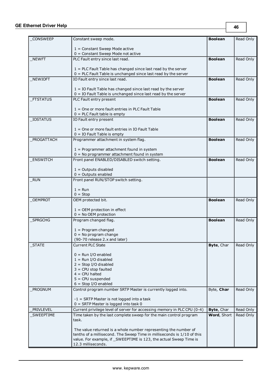| <b>CONSWEEP</b> | Constant sweep mode.                                                                                                              | <b>Boolean</b> | Read Only |
|-----------------|-----------------------------------------------------------------------------------------------------------------------------------|----------------|-----------|
|                 |                                                                                                                                   |                |           |
|                 | $1 =$ Constant Sweep Mode active<br>$0 =$ Constant Sweep Mode not active                                                          |                |           |
| <b>NEWFT</b>    | PLC Fault entry since last read.                                                                                                  | <b>Boolean</b> | Read Only |
|                 |                                                                                                                                   |                |           |
|                 | $1 =$ PLC Fault Table has changed since last read by the server                                                                   |                |           |
| <b>NEWIOFT</b>  | $0 =$ PLC Fault Table is unchanged since last read by the server<br>IO Fault entry since last read.                               | <b>Boolean</b> | Read Only |
|                 |                                                                                                                                   |                |           |
|                 | $1 =$ IO Fault Table has changed since last read by the server<br>$0 =$ IO Fault Table is unchanged since last read by the server |                |           |
| <b>FTSTATUS</b> | PLC Fault entry present                                                                                                           | <b>Boolean</b> | Read Only |
|                 |                                                                                                                                   |                |           |
|                 | $1 =$ One or more fault entries in PLC Fault Table                                                                                |                |           |
| <b>IOSTATUS</b> | $0 =$ PLC Fault table is empty<br>IO Fault entry present                                                                          | <b>Boolean</b> | Read Only |
|                 |                                                                                                                                   |                |           |
|                 | 1 = One or more fault entries in IO Fault Table                                                                                   |                |           |
|                 | $0 = IO$ Fault Table is empty                                                                                                     |                |           |
| PROGATTACH      | Programmer attachment in system flag.                                                                                             | <b>Boolean</b> | Read Only |
|                 | $1 =$ Programmer attachment found in system                                                                                       |                |           |
|                 | $0 = No programmer attachment found in system$                                                                                    |                |           |
| <b>ENSWITCH</b> | Front panel ENABLED/DISABLED switch setting.                                                                                      | <b>Boolean</b> | Read Only |
|                 | $1 =$ Outputs disabled                                                                                                            |                |           |
|                 | $0 =$ Outputs enabled                                                                                                             |                |           |
| <b>RUN</b>      | Front panel RUN/STOP switch setting.                                                                                              |                |           |
|                 | $1 = Run$                                                                                                                         |                |           |
|                 | $0 = Stop$                                                                                                                        |                |           |
| <b>OEMPROT</b>  | OEM protected bit.                                                                                                                | <b>Boolean</b> | Read Only |
|                 | $1 =$ OEM protection in effect                                                                                                    |                |           |
|                 | $0 = No$ OEM protection                                                                                                           |                |           |
| <b>SPRGCHG</b>  | Program changed flag.                                                                                                             | <b>Boolean</b> | Read Only |
|                 |                                                                                                                                   |                |           |
|                 | $1 = Program changed$<br>$0 = No program change$                                                                                  |                |           |
|                 | (90-70 release 2.x and later)                                                                                                     |                |           |
| <b>STATE</b>    | Current PLC State                                                                                                                 | Byte, Char     | Read Only |
|                 | $0 =$ Run I/O enabled                                                                                                             |                |           |
|                 | $1 =$ Run I/O disabled                                                                                                            |                |           |
|                 | $2 = Stop I/O disabeled$                                                                                                          |                |           |
|                 | $3 = CPU stop faulted$                                                                                                            |                |           |
|                 | $4 = CPU$ halted<br>$5 = CPU$ suspended                                                                                           |                |           |
|                 | $6 =$ Stop I/O enabled                                                                                                            |                |           |
| PROGNUM         | Control program number SRTP Master is currently logged into.                                                                      | Byte, Char     | Read Only |
|                 | $-1$ = SRTP Master is not logged into a task                                                                                      |                |           |
|                 | $0 =$ SRTP Master is logged into task 0                                                                                           |                |           |
| PRIVLEVEL       | Current privilege level of server for accessing memory in PLC CPU (0-4)                                                           | Byte, Char     | Read Only |
| SWEEPTIME       | Time taken by the last complete sweep for the main control program                                                                | Word, Short    | Read Only |
|                 | task.                                                                                                                             |                |           |
|                 | The value returned is a whole number representing the number of                                                                   |                |           |
|                 | tenths of a millisecond. The Sweep Time in milliseconds is 1/10 of this                                                           |                |           |
|                 | value. For example, if _SWEEPTIME is 123, the actual Sweep Time is<br>12.3 milliseconds.                                          |                |           |
|                 |                                                                                                                                   |                |           |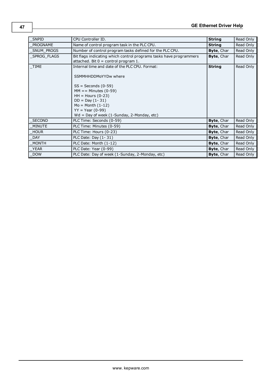## **GE Ethernet Driver Help**

| <b>SNPID</b>    | CPU Controller ID.                                                                                                                                                                                                                                                   | <b>String</b>     | Read Only |
|-----------------|----------------------------------------------------------------------------------------------------------------------------------------------------------------------------------------------------------------------------------------------------------------------|-------------------|-----------|
| <b>PROGNAME</b> | Name of control program task in the PLC CPU.                                                                                                                                                                                                                         | <b>String</b>     | Read Only |
| SNUM PROGS      | Number of control program tasks defined for the PLC CPU.                                                                                                                                                                                                             | Byte, Char        | Read Only |
| SPROG_FLAGS     | Bit flags indicating which control programs tasks have programmers<br>attached. Bit $0 =$ control program 1.                                                                                                                                                         | Byte, Char        | Read Only |
| <b>TIME</b>     | Internal time and date of the PLC CPU. Format:<br>SSMMHHDDMoYYDw where<br>$SS =$ Seconds (0-59)<br>$MM ==$ Minutes (0-59)<br>$HH =$ Hours (0-23)<br>$DD = Day (1 - 31)$<br>$Mo = Month (1-12)$<br>$YY = Year (0-99)$<br>$Wd = Day$ of week (1-Sunday, 2-Monday, etc) | <b>String</b>     | Read Only |
| <b>SECOND</b>   | PLC Time: Seconds (0-59)                                                                                                                                                                                                                                             | <b>Byte, Char</b> | Read Only |
| <b>MINUTE</b>   | PLC Time: Minutes (0-59)                                                                                                                                                                                                                                             | Byte, Char        | Read Only |
| <b>HOUR</b>     | PLC Time: Hours (0-23)                                                                                                                                                                                                                                               | Byte, Char        | Read Only |
| <b>DAY</b>      | PLC Date: Day (1-31)                                                                                                                                                                                                                                                 | <b>Byte, Char</b> | Read Only |
| <b>MONTH</b>    | PLC Date: Month (1-12)                                                                                                                                                                                                                                               | <b>Byte, Char</b> | Read Only |
| <b>YEAR</b>     | PLC Date: Year (0-99)                                                                                                                                                                                                                                                | Byte, Char        | Read Only |
| <b>DOW</b>      | PLC Date: Day of week (1-Sunday, 2-Monday, etc)                                                                                                                                                                                                                      | Byte, Char        | Read Only |

**47**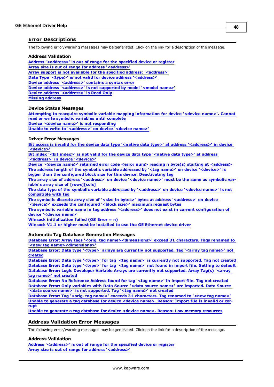## <span id="page-47-0"></span>**Error Descriptions**

The following error/warning messages may be generated. Click on the link for a description of the message.

#### **Address Validation**

<span id="page-47-2"></span>**[Address](#page-48-0) ['<address>'](#page-48-0) [is](#page-48-0) [out](#page-48-0) [of](#page-48-0) [range](#page-48-0) [for](#page-48-0) [the](#page-48-0) [specified](#page-48-0) [device](#page-48-0) [or](#page-48-0) [register](#page-48-0) [Array](#page-48-1) [size](#page-48-1) [is](#page-48-1) [out](#page-48-1) [of](#page-48-1) [range](#page-48-1) [for](#page-48-1) [address](#page-48-1) ['<address>'](#page-48-1) [Array](#page-48-2) [support](#page-48-2) [is](#page-48-2) [not](#page-48-2) [available](#page-48-2) [for](#page-48-2) [the](#page-48-2) [specified](#page-48-2) [address:](#page-48-2) ['<address>'](#page-48-2) [Data](#page-48-3) [Type](#page-48-3) ['<type>'](#page-48-3) [is](#page-48-3) [not](#page-48-3) [valid](#page-48-3) [for](#page-48-3) [device](#page-48-3) [address](#page-48-3) ['<address>'](#page-48-3) [Device](#page-48-4) [address](#page-48-4) ['<address>'](#page-48-4) [contains](#page-48-4) [a](#page-48-4) [syntax](#page-48-4) [error](#page-48-4) [Device](#page-49-0) [address](#page-49-0) ['<address>'](#page-49-0)** [is](#page-49-0) [not](#page-49-0) [supported](#page-49-0) [by](#page-49-0) [model](#page-49-0) ['<model](#page-49-0) [name>'](#page-49-0) **[Device](#page-49-1) [address](#page-49-1) ['<address>'](#page-49-1) [is](#page-49-1) [Read](#page-49-1) [Only](#page-49-1) [Missing](#page-49-2) [address](#page-49-2)**

#### **Device Status Messages**

**[Attempting](#page-49-4) [to](#page-49-4) [reacquire](#page-49-4) [symbolic](#page-49-4) [variable](#page-49-4) [mapping](#page-49-4) [information](#page-49-4) [for](#page-49-4) [device](#page-49-4) ['<device](#page-49-4) [name>'.](#page-49-4) [Cannot](#page-49-4) [read](#page-49-4) [or](#page-49-4) [write](#page-49-4) [symbolic](#page-49-4) [variables](#page-49-4) [until](#page-49-4) [complete](#page-49-4) [Device](#page-49-5) ['<device](#page-49-5) [name>'](#page-49-5) [is](#page-49-5) [not](#page-49-5) [responding](#page-49-5)**

**[Unable](#page-50-0) [to](#page-50-0) [write](#page-50-0) [to](#page-50-0) ['<address>'](#page-50-0) [on](#page-50-0) [device](#page-50-0) ['<device](#page-50-0) [name>'](#page-50-0)**

#### **Driver Error Messages**

**[Bit](#page-50-2) [access](#page-50-2) [is](#page-50-2) [invalid](#page-50-2) [for](#page-50-2) [the](#page-50-2) [device](#page-50-2) [data](#page-50-2) [type](#page-50-2) ['<native](#page-50-2) [data](#page-50-2) [type>'](#page-50-2) [at](#page-50-2) [address](#page-50-2) ['<address>'](#page-50-2) [in](#page-50-2) [device](#page-50-2) ['<device>'](#page-50-2)**

**[Bit](#page-51-0) [index](#page-51-0) ['<bit](#page-51-0) [index>'](#page-51-0) [is](#page-51-0) [not](#page-51-0) [valid](#page-51-0) [for](#page-51-0) [the](#page-51-0) [device](#page-51-0) [data](#page-51-0) [type](#page-51-0) ['<native](#page-51-0) [data](#page-51-0) [type>'](#page-51-0) [at](#page-51-0) [address](#page-51-0) ['<address>'](#page-51-0) [in](#page-51-0) [device](#page-51-0) ['<device>'](#page-51-0)**

**[Device](#page-51-1) ['<device](#page-51-1) [name>'](#page-51-1) [returned](#page-51-1) [error](#page-51-1) [code](#page-51-1) [<error](#page-51-1) [num>](#page-51-1) [reading](#page-51-1) [n](#page-51-1) [byte\(s\)](#page-51-1) [starting](#page-51-1) [at](#page-51-1) [<address>](#page-51-1) [The](#page-51-2) [address](#page-51-2) [length](#page-51-2) [of](#page-51-2) [the](#page-51-2) [symbolic](#page-51-2) [variable](#page-51-2) [addressed](#page-51-2) [by](#page-51-2) ['<tag](#page-51-2) [name>'](#page-51-2) [on](#page-51-2) [device](#page-51-2) ['<device>'](#page-51-2) [is](#page-51-2) [bigger](#page-51-2) [than](#page-51-2) [the](#page-51-2) [configured](#page-51-2) [block](#page-51-2) [size](#page-51-2) [for](#page-51-2) [this](#page-51-2) [device.](#page-51-2) [Deactivating](#page-51-2) [tag](#page-51-2)**

**[The](#page-51-3) [array](#page-51-3) [size](#page-51-3) [of](#page-51-3) [address](#page-51-3) ['<address>'](#page-51-3) [on](#page-51-3) [device](#page-51-3) ['<device](#page-51-3) [name>'](#page-51-3) [must](#page-51-3) [be](#page-51-3) [the](#page-51-3) [same](#page-51-3) [as](#page-51-3) [symbolic](#page-51-3) [var](#page-51-3)[iable's](#page-51-3) [array](#page-51-3) [size](#page-51-3) [of](#page-51-3) [\[rows\]\[cols\]](#page-51-3)**

**[The](#page-51-4) [data](#page-51-4) [type](#page-51-4) [of](#page-51-4) [the](#page-51-4) [symbolic](#page-51-4) [variable](#page-51-4) [addressed](#page-51-4) [by](#page-51-4) ['<address>'](#page-51-4) [on](#page-51-4) [device](#page-51-4) ['<device](#page-51-4) [name>'](#page-51-4) [is](#page-51-4) [not](#page-51-4) [compatible](#page-51-4) [with](#page-51-4) [tag](#page-51-4)**

**[The](#page-52-0) [symbolic](#page-52-0) [discrete](#page-52-0) [array](#page-52-0) [size](#page-52-0) [of](#page-52-0) ['<size](#page-52-0) [in](#page-52-0) [bytes>'](#page-52-0) [bytes](#page-52-0) [at](#page-52-0) [address](#page-52-0) ['<address>'](#page-52-0) [on](#page-52-0) [device](#page-52-0) ['<device>'](#page-52-0) [exceeds](#page-52-0) [the](#page-52-0) [configured](#page-52-0) ['<block](#page-52-0) [size>'](#page-52-0) [maximum](#page-52-0) [request](#page-52-0) [bytes](#page-52-0)**

**[The](#page-52-1) [symbolic](#page-52-1) [variable](#page-52-1) [name](#page-52-1) [in](#page-52-1) [tag](#page-52-1) [address](#page-52-1) ['<address>'](#page-52-1) [does](#page-52-1) [not](#page-52-1) [exist](#page-52-1) [in](#page-52-1) [current](#page-52-1) [configuration](#page-52-1) [of](#page-52-1) [device](#page-52-1) ['<device](#page-52-1) [name>'](#page-52-1)**

**[Winsock](#page-52-2) [initialization](#page-52-2) [failed](#page-52-2) [\(OS](#page-52-2) [Error](#page-52-2) [=](#page-52-2) [n\)](#page-52-2)**

**[Winsock](#page-53-0) [V1.1](#page-53-0) [or](#page-53-0) [higher](#page-53-0) [must](#page-53-0) [be](#page-53-0) [installed](#page-53-0) [to](#page-53-0) [use](#page-53-0) [the](#page-53-0) [GE](#page-53-0) [Ethernet](#page-53-0) [device](#page-53-0) [driver](#page-53-0)**

#### **Automatic Tag Database Generation Messages**

**[Database](#page-53-2) [Error:](#page-53-2) [Array](#page-53-2) [tags](#page-53-2) ['<orig.](#page-53-2) [tag](#page-53-2) [name><dimensions>'](#page-53-2) [exceed](#page-53-2) [31](#page-53-2) [characters.](#page-53-2) [Tags](#page-53-2) [renamed](#page-53-2) [to](#page-53-2) ['<new](#page-53-2) [tag](#page-53-2) [name><dimensions>'](#page-53-2)**

**[Database](#page-53-3) [Error:](#page-53-3) [Data](#page-53-3) [type](#page-53-3) ['<type>'](#page-53-3) [arrays](#page-53-3) [are](#page-53-3) [currently](#page-53-3) [not](#page-53-3) [supported.](#page-53-3) [Tag](#page-53-3) ['<array](#page-53-3) [tag](#page-53-3) [name>'](#page-53-3) [not](#page-53-3) [created](#page-53-3)**

**[Database](#page-54-0) [Error:](#page-54-0) [Data](#page-54-0) [type](#page-54-0) ['<type>'](#page-54-0) [for](#page-54-0) [tag](#page-54-0) ['<tag](#page-54-0) [name>'](#page-54-0) [is](#page-54-0) [currently](#page-54-0) [not](#page-54-0) [supported.](#page-54-0) [Tag](#page-54-0) [not](#page-54-0) [created](#page-54-0) [Database](#page-54-1) [Error:](#page-54-1) [Data](#page-54-1) [type](#page-54-1) ['<type>'](#page-54-1) [for](#page-54-1) [tag](#page-54-1) ['<tag](#page-54-1) [name>'](#page-54-1) [not](#page-54-1) [found](#page-54-1) [in](#page-54-1) [import](#page-54-1) [file.](#page-54-1) [Setting](#page-54-1) [to](#page-54-1) [default](#page-54-1) [Database](#page-54-2) [Error:](#page-54-2) [Logic](#page-54-2) [Developer](#page-54-2) [Variable](#page-54-2) [Arrays](#page-54-2) [are](#page-54-2) [currently](#page-54-2) [not](#page-54-2) [supported.](#page-54-2) [Array](#page-54-2) [Tag\(s\)](#page-54-2) ['<array](#page-54-2) [tag](#page-54-2) [name>'](#page-54-2) [not](#page-54-2) [created](#page-54-2)**

**[Database](#page-54-3) [Error:](#page-54-3) [No](#page-54-3) [Reference](#page-54-3) [Address](#page-54-3) [found](#page-54-3) [for](#page-54-3) [tag](#page-54-3) ['<tag](#page-54-3) [name>'](#page-54-3) [in](#page-54-3) [import](#page-54-3) [file.](#page-54-3) [Tag](#page-54-3) [not](#page-54-3) [created](#page-54-3) [Database](#page-55-0) [Error:](#page-55-0) [Only](#page-55-0) [variables](#page-55-0) [with](#page-55-0) [Data](#page-55-0) [Source](#page-55-0) ['<data](#page-55-0) [source](#page-55-0) [name>'](#page-55-0) [are](#page-55-0) [imported.](#page-55-0) [Data](#page-55-0) [Source](#page-55-0) ['<data](#page-55-0) [source](#page-55-0) [name>'](#page-55-0) [is](#page-55-0) [not](#page-55-0) [supported.](#page-55-0) [Tag](#page-55-0) ['<tag](#page-55-0) [name>'](#page-55-0) [not](#page-55-0) [created](#page-55-0)**

**[Database](#page-55-1) [Error:](#page-55-1) [Tag](#page-55-1) ['<orig.](#page-55-1) [tag](#page-55-1) [name>'](#page-55-1) [exceeds](#page-55-1) [31](#page-55-1) [characters.](#page-55-1) [Tag](#page-55-1) [renamed](#page-55-1) [to](#page-55-1) ['<new](#page-55-1) [tag](#page-55-1) [name>'](#page-55-1) [Unable](#page-55-2) [to](#page-55-2) [generate](#page-55-2) [a](#page-55-2) [tag](#page-55-2) [database](#page-55-2) [for](#page-55-2) [device](#page-55-2) [<device](#page-55-2) [name>.](#page-55-2) [Reason:](#page-55-2) [Import](#page-55-2) [file](#page-55-2) [is](#page-55-2) [invalid](#page-55-2) [or](#page-55-2) [cor](#page-55-2)[rupt](#page-55-2)**

<span id="page-47-1"></span>**[Unable](#page-55-3) [to](#page-55-3) [generate](#page-55-3) [a](#page-55-3) [tag](#page-55-3) [database](#page-55-3) [for](#page-55-3) [device](#page-55-3) [<device](#page-55-3) [name>.](#page-55-3) [Reason:](#page-55-3) [Low](#page-55-3) [memory](#page-55-3) [resources](#page-55-3)**

## **Address Validation Error Messages**

The following error/warning messages may be generated. Click on the link for a description of the message.

#### **Address Validation**

**[Address](#page-48-0) ['<address>'](#page-48-0) [is](#page-48-0) [out](#page-48-0) [of](#page-48-0) [range](#page-48-0) [for](#page-48-0) [the](#page-48-0) [specified](#page-48-0) [device](#page-48-0) [or](#page-48-0) [register](#page-48-0) [Array](#page-48-1) [size](#page-48-1) [is](#page-48-1) [out](#page-48-1) [of](#page-48-1) [range](#page-48-1) [for](#page-48-1) [address](#page-48-1) ['<address>'](#page-48-1)**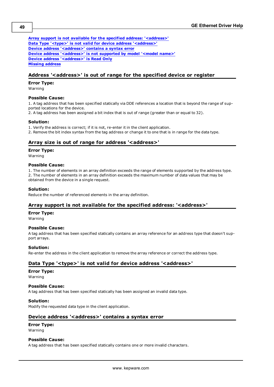**[Array](#page-48-2) [support](#page-48-2) [is](#page-48-2) [not](#page-48-2) [available](#page-48-2) [for](#page-48-2) [the](#page-48-2) [specified](#page-48-2) [address:](#page-48-2) ['<address>'](#page-48-2) [Data](#page-48-3) [Type](#page-48-3) ['<type>'](#page-48-3) [is](#page-48-3) [not](#page-48-3) [valid](#page-48-3) [for](#page-48-3) [device](#page-48-3) [address](#page-48-3) ['<address>'](#page-48-3) [Device](#page-48-4) [address](#page-48-4) ['<address>'](#page-48-4) [contains](#page-48-4) [a](#page-48-4) [syntax](#page-48-4) [error](#page-48-4) [Device](#page-49-0) [address](#page-49-0) ['<address>'](#page-49-0) [is](#page-49-0) [not](#page-49-0) [supported](#page-49-0) [by](#page-49-0) [model](#page-49-0) ['<model](#page-49-0) [name>'](#page-49-0) [Device](#page-49-1) [address](#page-49-1) ['<address>'](#page-49-1) [is](#page-49-1) [Read](#page-49-1) [Only](#page-49-1) [Missing](#page-49-2) [address](#page-49-2)**

## <span id="page-48-0"></span>**Address '<address>' is out of range for the specified device or register**

#### **Error Type:**

Warning

#### **Possible Cause:**

1. A tag address that has been specified statically via DDE references a location that is beyond the range of supported locations for the device.

2. A tag address has been assigned a bit index that is out of range (greater than or equal to 32).

## **Solution:**

1. Verify the address is correct; if it is not, re-enter it in the client application.

<span id="page-48-1"></span>2. Remove the bit index syntax from the tag address or change it to one that is in range for the data type.

## **Array size is out of range for address '<address>'**

### **Error Type:**

Warning

## **Possible Cause:**

1. The number of elements in an array definition exceeds the range of elements supported by the address type. 2. The number of elements in an array definition exceeds the maximum number of data values that may be obtained from the device in a single request.

## **Solution:**

<span id="page-48-2"></span>Reduce the number of referenced elements in the array definition.

## **Array support is not available for the specified address: '<address>'**

#### **Error Type:**

Warning

## **Possible Cause:**

A tag address that has been specified statically contains an array reference for an address type that doesn't support arrays.

## **Solution:**

<span id="page-48-3"></span>Re-enter the address in the client application to remove the array reference or correct the address type.

## **Data Type '<type>' is not valid for device address '<address>'**

#### **Error Type:** Warning

## **Possible Cause:**

A tag address that has been specified statically has been assigned an invalid data type.

## **Solution:**

<span id="page-48-4"></span>Modify the requested data type in the client application.

## **Device address '<address>' contains a syntax error**

#### **Error Type:**

Warning

#### **Possible Cause:**

A tag address that has been specified statically contains one or more invalid characters.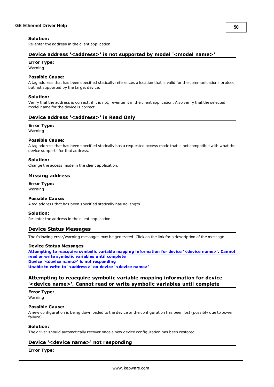#### **Solution:**

<span id="page-49-0"></span>Re-enter the address in the client application.

## **Device address '<address>' is not supported by model '<model name>'**

#### **Error Type:**

Warning

#### **Possible Cause:**

A tag address that has been specified statically references a location that is valid for the communications protocol but not supported by the target device.

#### **Solution:**

Verify that the address is correct; if it is not, re-enter it in the client application. Also verify that the selected model name for the device is correct.

## <span id="page-49-1"></span>**Device address '<address>' is Read Only**

#### **Error Type:**

Warning

#### **Possible Cause:**

A tag address that has been specified statically has a requested access mode that is not compatible with what the device supports for that address.

#### **Solution:**

<span id="page-49-2"></span>Change the access mode in the client application.

## **Missing address**

**Error Type:** Warning

#### **Possible Cause:**

A tag address that has been specified statically has no length.

#### **Solution:**

<span id="page-49-3"></span>Re-enter the address in the client application.

## **Device Status Messages**

The following error/warning messages may be generated. Click on the link for a description of the message.

#### **Device Status Messages**

**[Attempting](#page-49-4) [to](#page-49-4) [reacquire](#page-49-4) [symbolic](#page-49-4) [variable](#page-49-4) [mapping](#page-49-4) [information](#page-49-4) [for](#page-49-4) [device](#page-49-4) ['<device](#page-49-4) [name>'.](#page-49-4) [Cannot](#page-49-4) [read](#page-49-4) [or](#page-49-4) [write](#page-49-4) [symbolic](#page-49-4) [variables](#page-49-4) [until](#page-49-4) [complete](#page-49-4) [Device](#page-49-5) ['<device](#page-49-5) [name>'](#page-49-5) [is](#page-49-5) [not](#page-49-5) [responding](#page-49-5) [Unable](#page-50-0) [to](#page-50-0) [write](#page-50-0) [to](#page-50-0) ['<address>'](#page-50-0) [on](#page-50-0) [device](#page-50-0) ['<device](#page-50-0) [name>'](#page-50-0)**

## <span id="page-49-4"></span>**Attempting to reacquire symbolic variable mapping information for device '<device name>'. Cannot read or write symbolic variables until complete**

**Error Type:** Warning

#### **Possible Cause:**

A new configuration is being downloaded to the device or the configuration has been lost (possibly due to power failure).

#### **Solution:**

<span id="page-49-5"></span>The driver should automatically recover once a new device configuration has been restored.

## **Device '<device name>' not responding**

#### **Error Type:**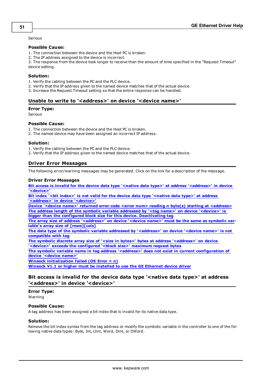Serious

#### **Possible Cause:**

- 1. The connection between the device and the Host PC is broken.
- 2. The IP address assigned to the device is incorrect.

3. The response from the device took longer to receive than the amount of time specified in the "Request Timeout" device setting.

#### **Solution:**

- 1. Verify the cabling between the PC and the PLC device.
- 2. Verify that the IP address given to the named device matches that of the actual device.
- <span id="page-50-0"></span>3. Increase the Request Timeout setting so that the entire response can be handled.

## **Unable to write to '<address>' on device '<device name>'**

#### **Error Type:**

Serious

#### **Possible Cause:**

1. The connection between the device and the Host PC is broken.

2. The named device may have been assigned an incorrect IP address.

#### **Solution:**

1. Verify the cabling between the PC and the PLC device.

<span id="page-50-1"></span>2. Verify that the IP address given to the named device matches that of the actual device.

## **Driver Error Messages**

The following error/warning messages may be generated. Click on the link for a description of the message.

#### **Driver Error Messages**

**[Bit](#page-50-2) [access](#page-50-2) [is](#page-50-2) [invalid](#page-50-2) [for](#page-50-2) [the](#page-50-2) [device](#page-50-2) [data](#page-50-2) [type](#page-50-2) ['<native](#page-50-2) [data](#page-50-2) [type>'](#page-50-2) [at](#page-50-2) [address](#page-50-2) ['<address>'](#page-50-2) [in](#page-50-2) [device](#page-50-2) ['<device>'](#page-50-2)**

**[Bit](#page-51-0) [index](#page-51-0) ['<bit](#page-51-0) [index>'](#page-51-0) [is](#page-51-0) [not](#page-51-0) [valid](#page-51-0) [for](#page-51-0) [the](#page-51-0) [device](#page-51-0) [data](#page-51-0) [type](#page-51-0) ['<native](#page-51-0) [data](#page-51-0) [type>'](#page-51-0) [at](#page-51-0) [address](#page-51-0) ['<address>'](#page-51-0) [in](#page-51-0) [device](#page-51-0) ['<device>'](#page-51-0)**

**[Device](#page-51-1) ['<device](#page-51-1) [name>'](#page-51-1) [returned](#page-51-1) [error](#page-51-1) [code](#page-51-1) [<error](#page-51-1) [num>](#page-51-1) [reading](#page-51-1) [n](#page-51-1) [byte\(s\)](#page-51-1) [starting](#page-51-1) [at](#page-51-1) [<address>](#page-51-1) [The](#page-51-2) [address](#page-51-2) [length](#page-51-2) [of](#page-51-2) [the](#page-51-2) [symbolic](#page-51-2) [variable](#page-51-2) [addressed](#page-51-2) [by](#page-51-2) ['<tag](#page-51-2) [name>'](#page-51-2) [on](#page-51-2) [device](#page-51-2) ['<device>'](#page-51-2) [is](#page-51-2) [bigger](#page-51-2) [than](#page-51-2) [the](#page-51-2) [configured](#page-51-2) [block](#page-51-2) [size](#page-51-2) [for](#page-51-2) [this](#page-51-2) [device.](#page-51-2) [Deactivating](#page-51-2) [tag](#page-51-2)**

**[The](#page-51-3) [array](#page-51-3) [size](#page-51-3) [of](#page-51-3) [address](#page-51-3) ['<address>'](#page-51-3) [on](#page-51-3) [device](#page-51-3) ['<device](#page-51-3) [name>'](#page-51-3) [must](#page-51-3) [be](#page-51-3) [the](#page-51-3) [same](#page-51-3) [as](#page-51-3) [symbolic](#page-51-3) [var](#page-51-3)[iable's](#page-51-3) [array](#page-51-3) [size](#page-51-3) [of](#page-51-3) [\[rows\]\[cols\]](#page-51-3)**

**[The](#page-51-4) [data](#page-51-4) [type](#page-51-4) [of](#page-51-4) [the](#page-51-4) [symbolic](#page-51-4) [variable](#page-51-4) [addressed](#page-51-4) [by](#page-51-4) ['<address>'](#page-51-4) [on](#page-51-4) [device](#page-51-4) ['<device](#page-51-4) [name>'](#page-51-4) [is](#page-51-4) [not](#page-51-4) [compatible](#page-51-4) [with](#page-51-4) [tag](#page-51-4)**

**[The](#page-52-0) [symbolic](#page-52-0) [discrete](#page-52-0) [array](#page-52-0) [size](#page-52-0) [of](#page-52-0) ['<size](#page-52-0) [in](#page-52-0) [bytes>'](#page-52-0) [bytes](#page-52-0) [at](#page-52-0) [address](#page-52-0) ['<address>'](#page-52-0) [on](#page-52-0) [device](#page-52-0) ['<device>'](#page-52-0) [exceeds](#page-52-0) [the](#page-52-0) [configured](#page-52-0) ['<block](#page-52-0) [size>'](#page-52-0) [maximum](#page-52-0) [request](#page-52-0) [bytes](#page-52-0)**

**[The](#page-52-1) [symbolic](#page-52-1) [variable](#page-52-1) [name](#page-52-1) [in](#page-52-1) [tag](#page-52-1) [address](#page-52-1) ['<address>'](#page-52-1) [does](#page-52-1) [not](#page-52-1) [exist](#page-52-1) [in](#page-52-1) [current](#page-52-1) [configuration](#page-52-1) [of](#page-52-1) [device](#page-52-1) ['<device](#page-52-1) [name>'](#page-52-1)**

**[Winsock](#page-52-2) [initialization](#page-52-2) [failed](#page-52-2) [\(OS](#page-52-2) [Error](#page-52-2) [=](#page-52-2) [n\)](#page-52-2)**

<span id="page-50-2"></span>**[Winsock](#page-53-0) [V1.1](#page-53-0) [or](#page-53-0) [higher](#page-53-0) [must](#page-53-0) [be](#page-53-0) [installed](#page-53-0) [to](#page-53-0) [use](#page-53-0) [the](#page-53-0) [GE](#page-53-0) [Ethernet](#page-53-0) [device](#page-53-0) [driver](#page-53-0)**

## **Bit access is invalid for the device data type '<native data type>' at address '<address>' in device '<device>'**

**Error Type:**

Warning

## **Possible Cause:**

A tag address has been assigned a bit index that is invalid for its native data type.

#### **Solution:**

Remove the bit index syntax from the tag address or modify the symbolic variable in the controller to one of the following native data types: Byte, Int, Uint, Word, Dint, or DWord.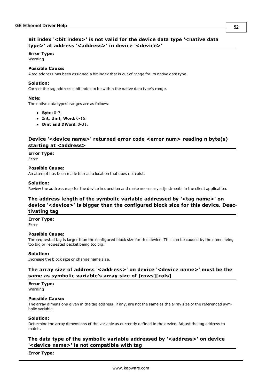## <span id="page-51-0"></span>**Bit index '<bit index>' is not valid for the device data type '<native data type>' at address '<address>' in device '<device>'**

#### **Error Type:**

Warning

## **Possible Cause:**

A tag address has been assigned a bit index that is out of range for its native data type.

#### **Solution:**

Correct the tag address's bit index to be within the native data type's range.

#### **Note:**

The native data types' ranges are as follows:

- l **Byte:** 0-7.
- l **Int, Uint, Word:** 0-15.
- l **Dint and DWord:** 0-31.

## <span id="page-51-1"></span>**Device '<device name>' returned error code <error num> reading n byte(s) starting at <address>**

**Error Type:**

Error

#### **Possible Cause:**

An attempt has been made to read a location that does not exist.

#### **Solution:**

<span id="page-51-2"></span>Review the address map for the device in question and make necessary adjustments in the client application.

## **The address length of the symbolic variable addressed by '<tag name>' on device '<device>' is bigger than the configured block size for this device. Deactivating tag**

#### **Error Type:**

Error

#### **Possible Cause:**

The requested tag is larger than the configured block size for this device. This can be caused by the name being too big or requested packet being too big.

#### **Solution:**

<span id="page-51-3"></span>Increase the block size or change name size.

## **The array size of address '<address>' on device '<device name>' must be the same as symbolic variable's array size of [rows][cols]**

#### **Error Type:**

Warning

#### **Possible Cause:**

The array dimensions given in the tag address, if any, are not the same as the array size of the referenced symbolic variable.

#### **Solution:**

Determine the array dimensions of the variable as currently defined in the device. Adjust the tag address to match.

## <span id="page-51-4"></span>**The data type of the symbolic variable addressed by '<address>' on device '<device name>' is not compatible with tag**

**Error Type:**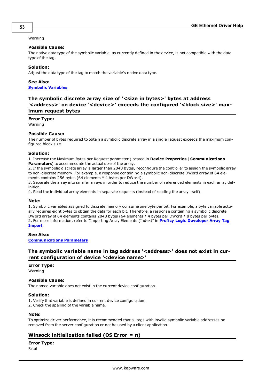#### Warning

#### **Possible Cause:**

The native data type of the symbolic variable, as currently defined in the device, is not compatible with the data type of the tag.

#### **Solution:**

Adjust the data type of the tag to match the variable's native data type.

## **See Also: [Symbolic](#page-26-0) [Variables](#page-26-0)**

## <span id="page-52-0"></span>**The symbolic discrete array size of '<size in bytes>' bytes at address '<address>' on device '<device>' exceeds the configured '<block size>' maximum request bytes**

#### **Error Type:**

Warning

#### **Possible Cause:**

The number of bytes required to obtain a symbolic discrete array in a single request exceeds the maximum configured block size.

#### **Solution:**

1. Increase the Maximum Bytes per Request parameter (located in **Device Properties** | **Communications Parameters**) to accommodate the actual size of the array.

2. If the symbolic discrete array is larger than 2048 bytes, reconfigure the controller to assign the symbolic array to non-discrete memory. For example, a response containing a symbolic non-discrete DWord array of 64 elements contains 256 bytes (64 elements \* 4 bytes per DWord).

3. Separate the array into smaller arrays in order to reduce the number of referenced elements in each array definition.

4. Read the individual array elements in separate requests (instead of reading the array itself).

#### **Note:**

1. Symbolic variables assigned to discrete memory consume one byte per bit. For example, a byte variable actually requires eight bytes to obtain the data for each bit. Therefore, a response containing a symbolic discrete DWord array of 64 elements contains 2048 bytes (64 elements \* 4 bytes per DWord \* 8 bytes per byte). 2. For more information, refer to "Importing Array Elements (Index)" in **[Proficy](#page-20-2) [Logic](#page-20-2) [Developer](#page-20-2) [Array](#page-20-2) [Tag](#page-20-2) [Import](#page-20-2)**.

## **See Also:**

<span id="page-52-1"></span>**[Communications](#page-6-0) [Parameters](#page-6-0)**

## **The symbolic variable name in tag address '<address>' does not exist in current configuration of device '<device name>'**

## **Error Type:**

Warning

#### **Possible Cause:**

The named variable does not exist in the current device configuration.

## **Solution:**

1. Verify that variable is defined in current device configuration.

2. Check the spelling of the variable name.

#### **Note:**

To optimize driver performance, it is recommended that all tags with invalid symbolic variable addresses be removed from the server configuration or not be used by a client application.

## <span id="page-52-2"></span>**Winsock initialization failed (OS Error = n)**

## **Error Type:**

Fatal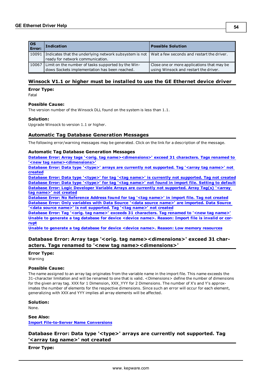| $\overline{\text{os}}$<br><b>Error:</b> | <b>Indication</b>                                                                                                                       | <b>Possible Solution</b>                                                            |
|-----------------------------------------|-----------------------------------------------------------------------------------------------------------------------------------------|-------------------------------------------------------------------------------------|
| 10091                                   | Indicates that the underlying network subsystem is not   Wait a few seconds and restart the driver.<br>ready for network communication. |                                                                                     |
| 10067                                   | Limit on the number of tasks supported by the Win-<br>dows Sockets implementation has been reached.                                     | Close one or more applications that may be<br>using Winsock and restart the driver. |

## <span id="page-53-0"></span>**Winsock V1.1 or higher must be installed to use the GE Ethernet device driver**

**Error Type:**

Fatal

#### **Possible Cause:**

The version number of the Winsock DLL found on the system is less than 1.1.

#### **Solution:**

<span id="page-53-1"></span>Upgrade Winsock to version 1.1 or higher.

## **Automatic Tag Database Generation Messages**

The following error/warning messages may be generated. Click on the link for a description of the message.

#### **Automatic Tag Database Generation Messages**

**[Database](#page-53-2) [Error:](#page-53-2) [Array](#page-53-2) [tags](#page-53-2) ['<orig.](#page-53-2) [tag](#page-53-2) [name><dimensions>'](#page-53-2) [exceed](#page-53-2) [31](#page-53-2) [characters.](#page-53-2) [Tags](#page-53-2) [renamed](#page-53-2) [to](#page-53-2) ['<new](#page-53-2) [tag](#page-53-2) [name><dimensions>'](#page-53-2)**

**[Database](#page-53-3) [Error:](#page-53-3) [Data](#page-53-3) [type](#page-53-3) ['<type>'](#page-53-3) [arrays](#page-53-3) [are](#page-53-3) [currently](#page-53-3) [not](#page-53-3) [supported.](#page-53-3) [Tag](#page-53-3) ['<array](#page-53-3) [tag](#page-53-3) [name>'](#page-53-3) [not](#page-53-3) [created](#page-53-3)**

**[Database](#page-54-0) [Error:](#page-54-0) [Data](#page-54-0) [type](#page-54-0) ['<type>'](#page-54-0) [for](#page-54-0) [tag](#page-54-0) ['<tag](#page-54-0) [name>'](#page-54-0) [is](#page-54-0) [currently](#page-54-0) [not](#page-54-0) [supported.](#page-54-0) [Tag](#page-54-0) [not](#page-54-0) [created](#page-54-0) [Database](#page-54-1) [Error:](#page-54-1) [Data](#page-54-1) [type](#page-54-1) ['<type>'](#page-54-1) [for](#page-54-1) [tag](#page-54-1) ['<tag](#page-54-1) [name>'](#page-54-1) [not](#page-54-1) [found](#page-54-1) [in](#page-54-1) [import](#page-54-1) [file.](#page-54-1) [Setting](#page-54-1) [to](#page-54-1) [default](#page-54-1) [Database](#page-54-2) [Error:](#page-54-2) [Logic](#page-54-2) [Developer](#page-54-2) [Variable](#page-54-2) [Arrays](#page-54-2) [are](#page-54-2) [currently](#page-54-2) [not](#page-54-2) [supported.](#page-54-2) [Array](#page-54-2) [Tag\(s\)](#page-54-2) ['<array](#page-54-2) [tag](#page-54-2) [name>'](#page-54-2) [not](#page-54-2) [created](#page-54-2)**

**[Database](#page-54-3) [Error:](#page-54-3) [No](#page-54-3) [Reference](#page-54-3) [Address](#page-54-3) [found](#page-54-3) [for](#page-54-3) [tag](#page-54-3) ['<tag](#page-54-3) [name>'](#page-54-3) [in](#page-54-3) [import](#page-54-3) [file.](#page-54-3) [Tag](#page-54-3) [not](#page-54-3) [created](#page-54-3) [Database](#page-55-0) [Error:](#page-55-0) [Only](#page-55-0) [variables](#page-55-0) [with](#page-55-0) [Data](#page-55-0) [Source](#page-55-0) ['<data](#page-55-0) [source](#page-55-0) [name>'](#page-55-0) [are](#page-55-0) [imported.](#page-55-0) [Data](#page-55-0) [Source](#page-55-0) ['<data](#page-55-0) [source](#page-55-0) [name>'](#page-55-0) [is](#page-55-0) [not](#page-55-0) [supported.](#page-55-0) [Tag](#page-55-0) ['<tag](#page-55-0) [name>'](#page-55-0) [not](#page-55-0) [created](#page-55-0)**

**[Database](#page-55-1) [Error:](#page-55-1) [Tag](#page-55-1) ['<orig.](#page-55-1) [tag](#page-55-1) [name>'](#page-55-1) [exceeds](#page-55-1) [31](#page-55-1) [characters.](#page-55-1) [Tag](#page-55-1) [renamed](#page-55-1) [to](#page-55-1) ['<new](#page-55-1) [tag](#page-55-1) [name>'](#page-55-1) [Unable](#page-55-2) [to](#page-55-2) [generate](#page-55-2) [a](#page-55-2) [tag](#page-55-2) [database](#page-55-2) [for](#page-55-2) [device](#page-55-2) [<device](#page-55-2) [name>.](#page-55-2) [Reason:](#page-55-2) [Import](#page-55-2) [file](#page-55-2) [is](#page-55-2) [invalid](#page-55-2) [or](#page-55-2) [cor](#page-55-2)[rupt](#page-55-2)**

<span id="page-53-2"></span>**[Unable](#page-55-3) [to](#page-55-3) [generate](#page-55-3) [a](#page-55-3) [tag](#page-55-3) [database](#page-55-3) [for](#page-55-3) [device](#page-55-3) [<device](#page-55-3) [name>.](#page-55-3) [Reason:](#page-55-3) [Low](#page-55-3) [memory](#page-55-3) [resources](#page-55-3)**

## **Database Error: Array tags '<orig. tag name><dimensions>' exceed 31 characters. Tags renamed to '<new tag name><dimensions>'**

## **Error Type:**

Warning

#### **Possible Cause:**

The name assigned to an array tag originates from the variable name in the import file. This name exceeds the 31-character limitation and will be renamed to one that is valid. <Dimensions> define the number of dimensions for the given array tag. XXX for 1 Dimension, XXX\_YYY for 2 Dimensions. The number of X's and Y's approximates the number of elements for the respective dimensions. Since such an error will occur for each element, generalizing with XXX and YYY implies all array elements will be affected.

**Solution:**

None.

**See Also: [Import](#page-10-0) [File-to-Server](#page-10-0) [Name](#page-10-0) [Conversions](#page-10-0)**

## <span id="page-53-3"></span>**Database Error: Data type '<type>' arrays are currently not supported. Tag '<array tag name>' not created**

**Error Type:**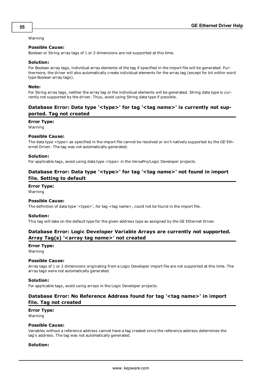#### Warning

#### **Possible Cause:**

Boolean or String array tags of 1 or 2 dimensions are not supported at this time.

#### **Solution:**

For Boolean array tags, individual array elements of the tag if specified in the import file will be generated. Furthermore, the driver will also automatically create individual elements for the array tag (except for bit within word type Boolean array tags).

#### **Note:**

For String array tags, neither the array tag or the individual elements will be generated. String data type is currently not supported by the driver. Thus, avoid using String data type if possible.

## <span id="page-54-0"></span>**Database Error: Data type '<type>' for tag '<tag name>' is currently not supported. Tag not created**

**Error Type:**

Warning

#### **Possible Cause:**

The data type <type> as specified in the import file cannot be resolved or isn't natively supported by the GE Ethernet Driver. The tag was not automatically generated.

#### **Solution:**

<span id="page-54-1"></span>For applicable tags, avoid using data type <type> in the VersaPro/Logic Developer projects.

## **Database Error: Data type '<type>' for tag '<tag name>' not found in import file. Setting to default**

## **Error Type:**

Warning

#### **Possible Cause:**

The definition of data type '<type>', for tag <tag name>, could not be found in the import file.

#### **Solution:**

<span id="page-54-2"></span>This tag will take on the default type for the given address type as assigned by the GE Ethernet Driver.

## **Database Error: Logic Developer Variable Arrays are currently not supported. Array Tag(s) '<array tag name>' not created**

#### **Error Type:**

Warning

#### **Possible Cause:**

Array tags of 1 or 2 dimensions originating from a Logic Developer import file are not supported at this time. The array tags were not automatically generated.

#### **Solution:**

<span id="page-54-3"></span>For applicable tags, avoid using arrays in the Logic Developer projects.

## **Database Error: No Reference Address found for tag '<tag name>' in import file. Tag not created**

#### **Error Type:**

Warning

## **Possible Cause:**

Variables without a reference address cannot have a tag created since the reference address determines the tag's address. The tag was not automatically generated.

#### **Solution:**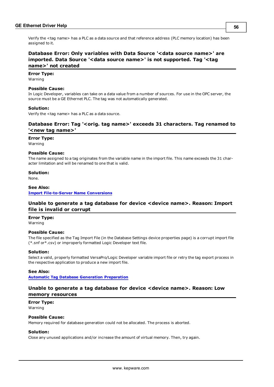Verify the <tag name> has a PLC as a data source and that reference address (PLC memory location) has been assigned to it.

## <span id="page-55-0"></span>**Database Error: Only variables with Data Source '<data source name>' are imported. Data Source '<data source name>' is not supported. Tag '<tag name>' not created**

## **Error Type:**

Warning

#### **Possible Cause:**

In Logic Developer, variables can take on a data value from a number of sources. For use in the OPC server, the source must be a GE Ethernet PLC. The tag was not automatically generated.

#### **Solution:**

<span id="page-55-1"></span>Verify the <tag name> has a PLC as a data source.

## **Database Error: Tag '<orig. tag name>' exceeds 31 characters. Tag renamed to '<new tag name>'**

#### **Error Type:**

Warning

#### **Possible Cause:**

The name assigned to a tag originates from the variable name in the import file. This name exceeds the 31 character limitation and will be renamed to one that is valid.

#### **Solution:**

None.

## **See Also: [Import](#page-10-0) [File-to-Server](#page-10-0) [Name](#page-10-0) [Conversions](#page-10-0)**

## <span id="page-55-2"></span>**Unable to generate a tag database for device <device name>. Reason: Import file is invalid or corrupt**

## **Error Type:**

Warning

## **Possible Cause:**

The file specified as the Tag Import File (in the Database Settings device properties page) is a corrupt import file (\*.snf or\*.csv) or improperly formatted Logic Developer text file.

#### **Solution:**

Select a valid, properly formatted VersaPro/Logic Developer variable import file or retry the tag export process in the respective application to produce a new import file.

#### **See Also:**

<span id="page-55-3"></span>**[Automatic](#page-9-0) [Tag](#page-9-0) [Database](#page-9-0) [Generation](#page-9-0) [Preparation](#page-9-0)**

## **Unable to generate a tag database for device <device name>. Reason: Low memory resources**

**Error Type:** Warning

## **Possible Cause:**

Memory required for database generation could not be allocated. The process is aborted.

## **Solution:**

Close any unused applications and/or increase the amount of virtual memory. Then, try again.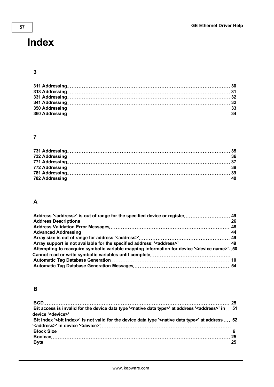# <span id="page-56-0"></span>**Index**

## **3**

## **7**

## **A**

| Attempting to reacquire symbolic variable mapping information for device ' <device name="">'. 50</device> |  |
|-----------------------------------------------------------------------------------------------------------|--|
|                                                                                                           |  |
|                                                                                                           |  |
|                                                                                                           |  |

## **B**

| Bit access is invalid for the device data type ' <native data="" type="">' at address '<address>' in  51</address></native> |  |
|-----------------------------------------------------------------------------------------------------------------------------|--|
|                                                                                                                             |  |
| Bit index '<br>bit index>' is not valid for the device data type ' <native data="" type="">' at address  52</native>        |  |
| ' <address>' in device '<device>'……………………………………………………………………</device></address>                                              |  |
|                                                                                                                             |  |
|                                                                                                                             |  |
|                                                                                                                             |  |
|                                                                                                                             |  |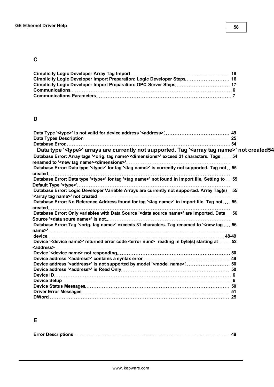## **C**

| Cimplicity Logic Developer Import Preparation: Logic Developer Steps 16 |  |
|-------------------------------------------------------------------------|--|
|                                                                         |  |
|                                                                         |  |
|                                                                         |  |

## **D**

| Data type ' <type>' arrays are currently not supported. Tag '<array name="" tag="">' not created54</array></type>                                                                 |  |
|-----------------------------------------------------------------------------------------------------------------------------------------------------------------------------------|--|
| Database Error: Array tags ' <orig. name="" tag=""><dimensions>' exceed 31 characters. Tags  54</dimensions></orig.>                                                              |  |
| Database Error: Data type ' <type>' for tag '<tag name="">' is currently not supported. Tag not  55</tag></type>                                                                  |  |
| Database Error: Data type ' <type>' for tag '<tag name="">' not found in import file. Setting to  55<br/>Default Type '<type>'…………………………………………………………………………………</type></tag></type> |  |
| Database Error: Logic Developer Variable Arrays are currently not supported. Array Tag(s)  55                                                                                     |  |
| Database Error: No Reference Address found for tag ' <tag name="">' in import file. Tag not  55</tag>                                                                             |  |
| Database Error: Only variables with Data Source ' <data name="" source="">' are imported. Data  56</data>                                                                         |  |
|                                                                                                                                                                                   |  |
| Database Error: Tag ' <orig. name="" tag="">' exceeds 31 characters. Tag renamed to '<new 56<="" tag="" td=""><td></td></new></orig.>                                             |  |
|                                                                                                                                                                                   |  |
| Device ' <device name="">' returned error code <error num=""> reading in byte(s) starting at  52</error></device>                                                                 |  |
|                                                                                                                                                                                   |  |
|                                                                                                                                                                                   |  |
| Device address ' <address>' is not supported by model '<model name="">' 50</model></address>                                                                                      |  |
|                                                                                                                                                                                   |  |
|                                                                                                                                                                                   |  |
|                                                                                                                                                                                   |  |
|                                                                                                                                                                                   |  |
|                                                                                                                                                                                   |  |
|                                                                                                                                                                                   |  |

## **E**

|--|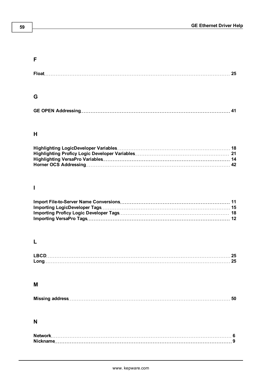## **59**

## **F**

## **G**

| GE OPEN Addressing…………………………………………………………………………………… 41 |  |
|-------------------------------------------------------|--|
|                                                       |  |

## **H**

## **I**

## **L**

| I RCI |  |
|-------|--|
|       |  |

## **M**

|--|

## **N**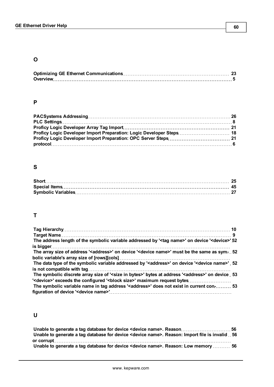## **O**

## **P**

| Proficy Logic Developer Import Preparation: Logic Developer Steps 18 |  |
|----------------------------------------------------------------------|--|
|                                                                      |  |
|                                                                      |  |

## **S**

## **T**

| The address length of the symbolic variable addressed by ' <tag name="">' on device '<device>' 52</device></tag>        |  |
|-------------------------------------------------------------------------------------------------------------------------|--|
|                                                                                                                         |  |
| The array size of address ' <address>' on device '<device name="">' must be the same as sym-52</device></address>       |  |
|                                                                                                                         |  |
| The data type of the symbolic variable addressed by ' <address>' on device '<device name="">' 52</device></address>     |  |
|                                                                                                                         |  |
| The symbolic discrete array size of ' <size bytes="" in="">' bytes at address '<address>' on device 53</address></size> |  |
| ' <device>' exceeds the configured '<block size="">' maximum request bytes</block></device>                             |  |
| The symbolic variable name in tag address ' <address>' does not exist in current con- 53</address>                      |  |
|                                                                                                                         |  |

## **U**

| Unable to generate a tag database for device <device name="">. Reason: Import file is invalid  56</device> |  |
|------------------------------------------------------------------------------------------------------------|--|
|                                                                                                            |  |
| Unable to generate a tag database for device <device name="">. Reason: Low memory  56</device>             |  |